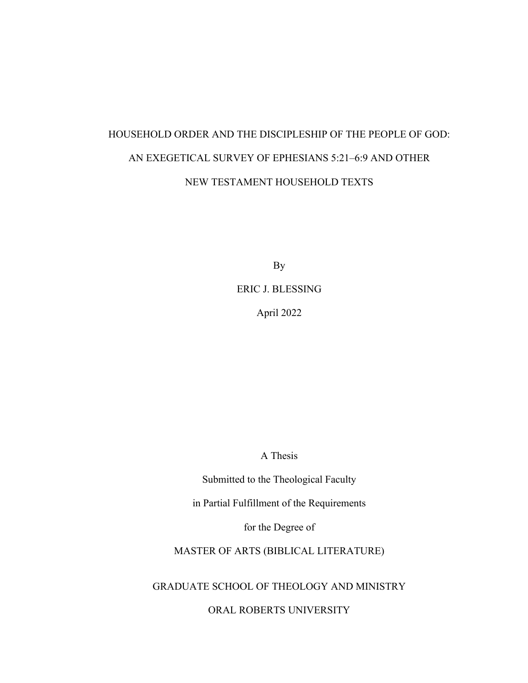# HOUSEHOLD ORDER AND THE DISCIPLESHIP OF THE PEOPLE OF GOD: AN EXEGETICAL SURVEY OF EPHESIANS 5:21–6:9 AND OTHER NEW TESTAMENT HOUSEHOLD TEXTS

By

ERIC J. BLESSING

April 2022

A Thesis

Submitted to the Theological Faculty

in Partial Fulfillment of the Requirements

for the Degree of

MASTER OF ARTS (BIBLICAL LITERATURE)

GRADUATE SCHOOL OF THEOLOGY AND MINISTRY

ORAL ROBERTS UNIVERSITY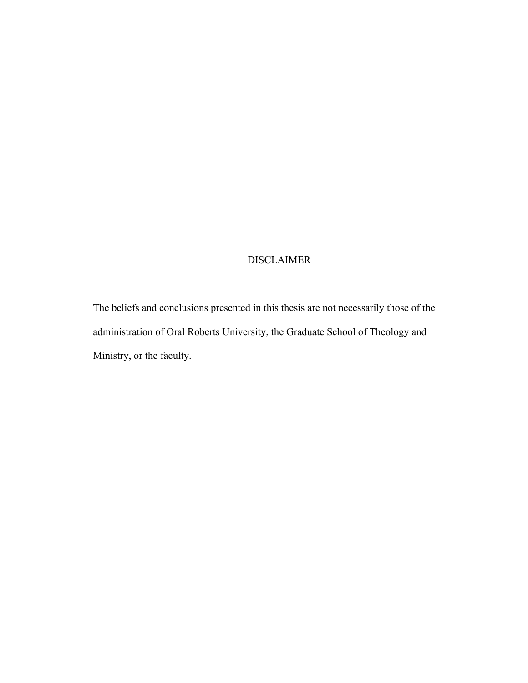## DISCLAIMER

The beliefs and conclusions presented in this thesis are not necessarily those of the administration of Oral Roberts University, the Graduate School of Theology and Ministry, or the faculty.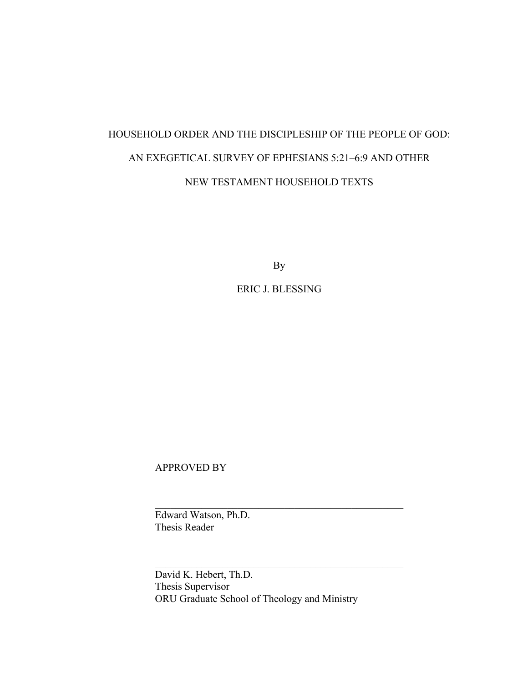# HOUSEHOLD ORDER AND THE DISCIPLESHIP OF THE PEOPLE OF GOD: AN EXEGETICAL SURVEY OF EPHESIANS 5:21–6:9 AND OTHER NEW TESTAMENT HOUSEHOLD TEXTS

By

ERIC J. BLESSING

APPROVED BY

Edward Watson, Ph.D. Thesis Reader

David K. Hebert, Th.D. Thesis Supervisor ORU Graduate School of Theology and Ministry

\_\_\_\_\_\_\_\_\_\_\_\_\_\_\_\_\_\_\_\_\_\_\_\_\_\_\_\_\_\_\_\_\_\_\_\_\_\_\_\_\_\_\_\_\_\_\_\_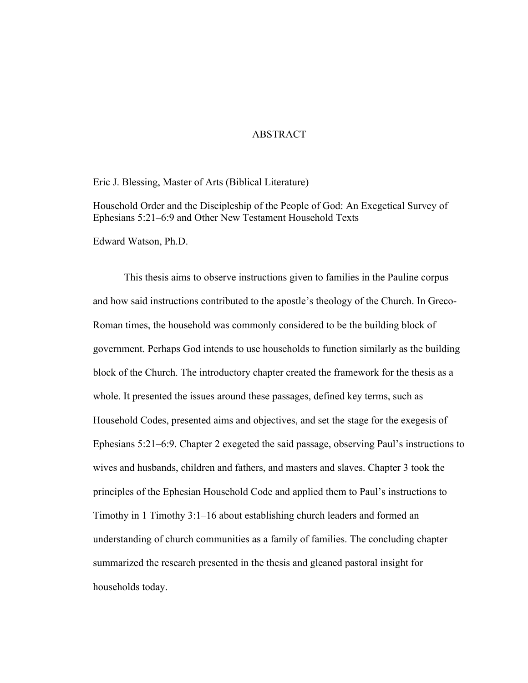#### ABSTRACT

Eric J. Blessing, Master of Arts (Biblical Literature)

Household Order and the Discipleship of the People of God: An Exegetical Survey of Ephesians 5:21–6:9 and Other New Testament Household Texts

Edward Watson, Ph.D.

This thesis aims to observe instructions given to families in the Pauline corpus and how said instructions contributed to the apostle's theology of the Church. In Greco-Roman times, the household was commonly considered to be the building block of government. Perhaps God intends to use households to function similarly as the building block of the Church. The introductory chapter created the framework for the thesis as a whole. It presented the issues around these passages, defined key terms, such as Household Codes, presented aims and objectives, and set the stage for the exegesis of Ephesians 5:21–6:9. Chapter 2 exegeted the said passage, observing Paul's instructions to wives and husbands, children and fathers, and masters and slaves. Chapter 3 took the principles of the Ephesian Household Code and applied them to Paul's instructions to Timothy in 1 Timothy 3:1–16 about establishing church leaders and formed an understanding of church communities as a family of families. The concluding chapter summarized the research presented in the thesis and gleaned pastoral insight for households today.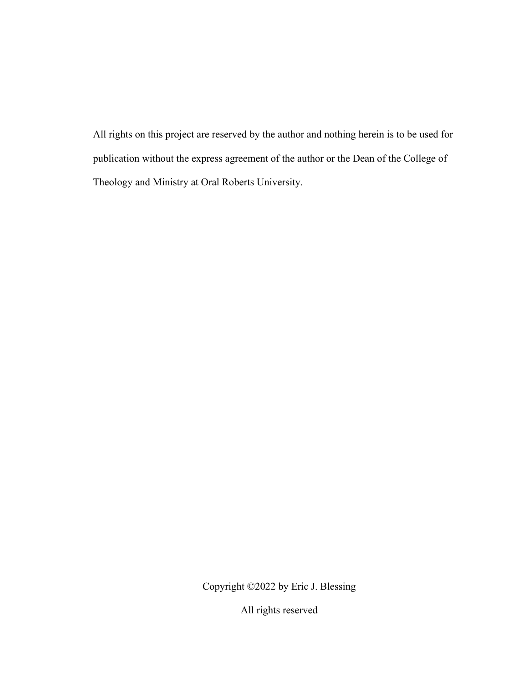All rights on this project are reserved by the author and nothing herein is to be used for publication without the express agreement of the author or the Dean of the College of Theology and Ministry at Oral Roberts University.

Copyright ©2022 by Eric J. Blessing

All rights reserved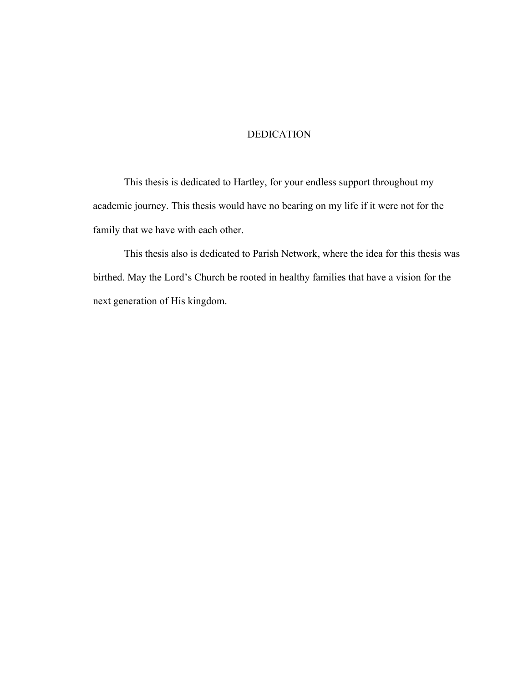## DEDICATION

This thesis is dedicated to Hartley, for your endless support throughout my academic journey. This thesis would have no bearing on my life if it were not for the family that we have with each other.

This thesis also is dedicated to Parish Network, where the idea for this thesis was birthed. May the Lord's Church be rooted in healthy families that have a vision for the next generation of His kingdom.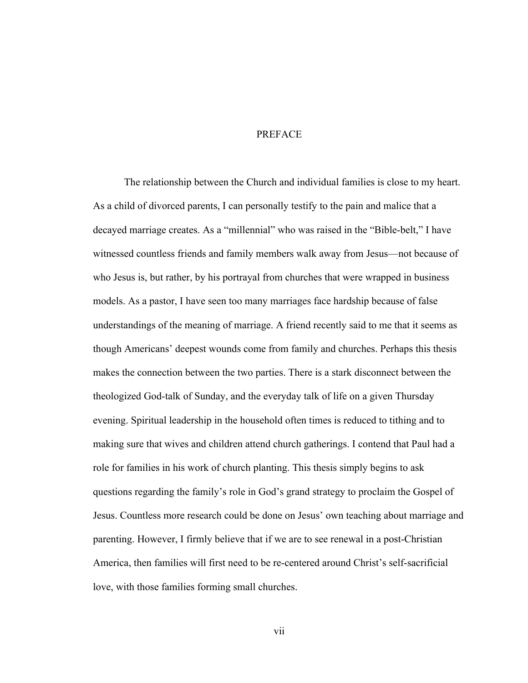#### PREFACE

The relationship between the Church and individual families is close to my heart. As a child of divorced parents, I can personally testify to the pain and malice that a decayed marriage creates. As a "millennial" who was raised in the "Bible-belt," I have witnessed countless friends and family members walk away from Jesus—not because of who Jesus is, but rather, by his portrayal from churches that were wrapped in business models. As a pastor, I have seen too many marriages face hardship because of false understandings of the meaning of marriage. A friend recently said to me that it seems as though Americans' deepest wounds come from family and churches. Perhaps this thesis makes the connection between the two parties. There is a stark disconnect between the theologized God-talk of Sunday, and the everyday talk of life on a given Thursday evening. Spiritual leadership in the household often times is reduced to tithing and to making sure that wives and children attend church gatherings. I contend that Paul had a role for families in his work of church planting. This thesis simply begins to ask questions regarding the family's role in God's grand strategy to proclaim the Gospel of Jesus. Countless more research could be done on Jesus' own teaching about marriage and parenting. However, I firmly believe that if we are to see renewal in a post-Christian America, then families will first need to be re-centered around Christ's self-sacrificial love, with those families forming small churches.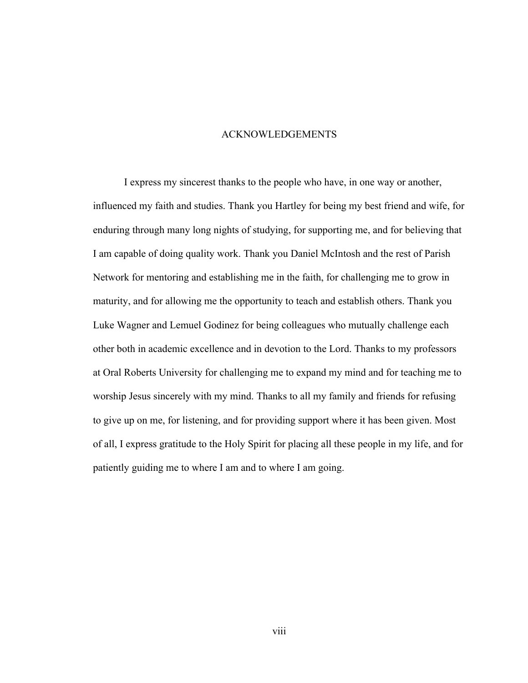#### ACKNOWLEDGEMENTS

I express my sincerest thanks to the people who have, in one way or another, influenced my faith and studies. Thank you Hartley for being my best friend and wife, for enduring through many long nights of studying, for supporting me, and for believing that I am capable of doing quality work. Thank you Daniel McIntosh and the rest of Parish Network for mentoring and establishing me in the faith, for challenging me to grow in maturity, and for allowing me the opportunity to teach and establish others. Thank you Luke Wagner and Lemuel Godinez for being colleagues who mutually challenge each other both in academic excellence and in devotion to the Lord. Thanks to my professors at Oral Roberts University for challenging me to expand my mind and for teaching me to worship Jesus sincerely with my mind. Thanks to all my family and friends for refusing to give up on me, for listening, and for providing support where it has been given. Most of all, I express gratitude to the Holy Spirit for placing all these people in my life, and for patiently guiding me to where I am and to where I am going.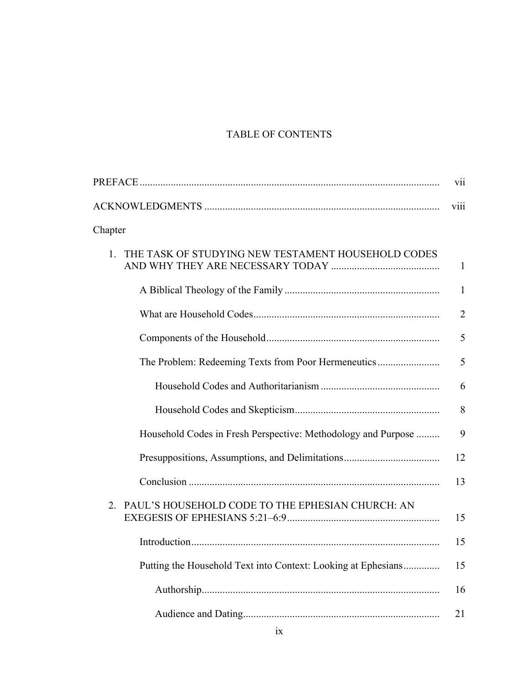# TABLE OF CONTENTS

|                                                               | vii            |
|---------------------------------------------------------------|----------------|
|                                                               | viii           |
| Chapter                                                       |                |
| THE TASK OF STUDYING NEW TESTAMENT HOUSEHOLD CODES<br>1.      | $\mathbf{1}$   |
|                                                               | $\mathbf{1}$   |
|                                                               | $\overline{2}$ |
|                                                               | 5              |
| The Problem: Redeeming Texts from Poor Hermeneutics           | 5              |
|                                                               | 6              |
|                                                               | $8\,$          |
| Household Codes in Fresh Perspective: Methodology and Purpose | 9              |
|                                                               | 12             |
|                                                               | 13             |
| PAUL'S HOUSEHOLD CODE TO THE EPHESIAN CHURCH: AN<br>2         | 15             |
|                                                               | 15             |
| Putting the Household Text into Context: Looking at Ephesians | 15             |
|                                                               | 16             |
|                                                               | 21             |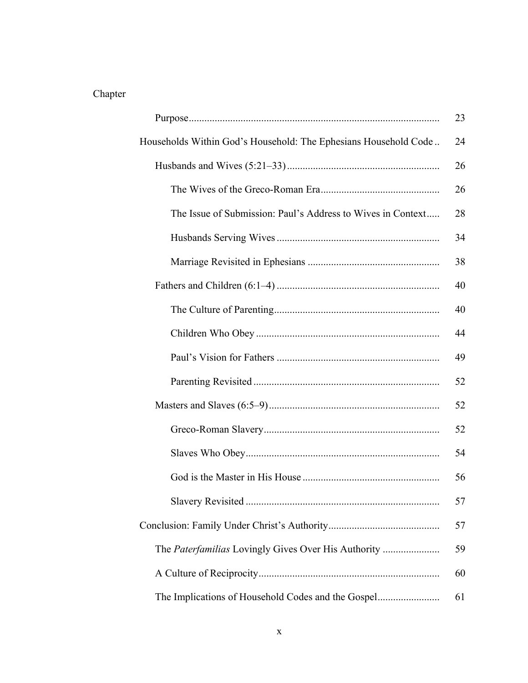# Chapter

|                                                                 | 23 |
|-----------------------------------------------------------------|----|
| Households Within God's Household: The Ephesians Household Code | 24 |
|                                                                 | 26 |
|                                                                 | 26 |
| The Issue of Submission: Paul's Address to Wives in Context     | 28 |
|                                                                 | 34 |
|                                                                 | 38 |
|                                                                 | 40 |
|                                                                 | 40 |
|                                                                 | 44 |
|                                                                 | 49 |
|                                                                 | 52 |
|                                                                 | 52 |
|                                                                 | 52 |
|                                                                 | 54 |
|                                                                 | 56 |
|                                                                 | 57 |
|                                                                 | 57 |
|                                                                 | 59 |
|                                                                 | 60 |
| The Implications of Household Codes and the Gospel              | 61 |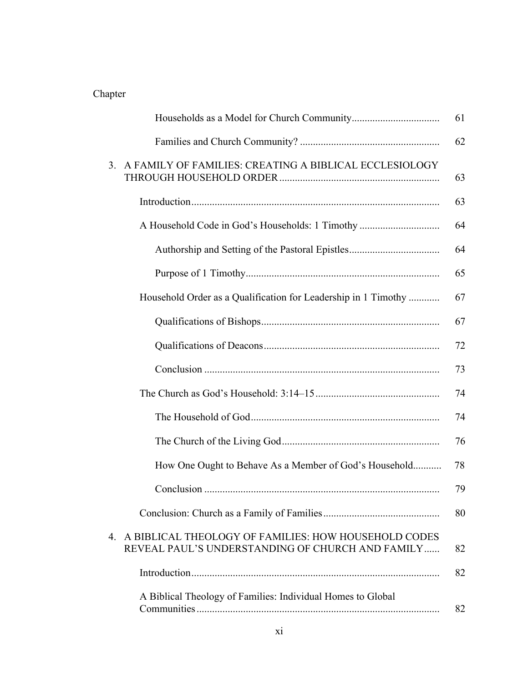# Chapter

|    |                                                                                                             | 61 |
|----|-------------------------------------------------------------------------------------------------------------|----|
|    |                                                                                                             | 62 |
| 3. | A FAMILY OF FAMILIES: CREATING A BIBLICAL ECCLESIOLOGY                                                      | 63 |
|    |                                                                                                             | 63 |
|    | A Household Code in God's Households: 1 Timothy                                                             | 64 |
|    |                                                                                                             | 64 |
|    |                                                                                                             | 65 |
|    | Household Order as a Qualification for Leadership in 1 Timothy                                              | 67 |
|    |                                                                                                             | 67 |
|    |                                                                                                             | 72 |
|    |                                                                                                             | 73 |
|    |                                                                                                             | 74 |
|    |                                                                                                             | 74 |
|    |                                                                                                             | 76 |
|    | How One Ought to Behave As a Member of God's Household                                                      | 78 |
|    |                                                                                                             | 79 |
|    |                                                                                                             | 80 |
|    | 4. A BIBLICAL THEOLOGY OF FAMILIES: HOW HOUSEHOLD CODES<br>REVEAL PAUL'S UNDERSTANDING OF CHURCH AND FAMILY | 82 |
|    |                                                                                                             | 82 |
|    | A Biblical Theology of Families: Individual Homes to Global                                                 | 82 |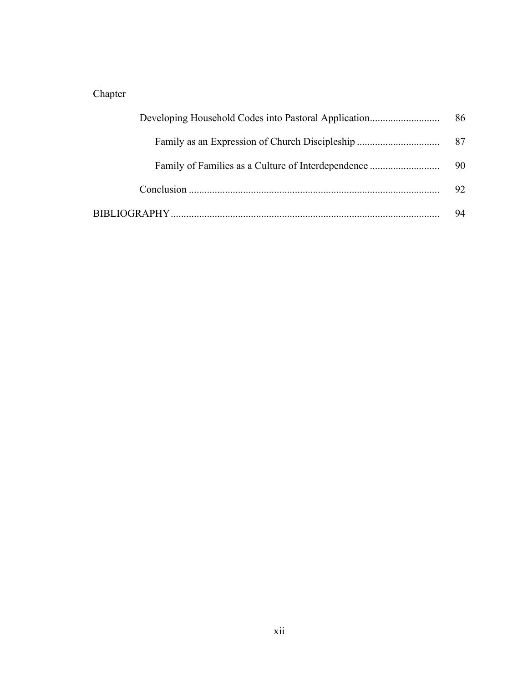# Chapter

|                                                    | 86 |
|----------------------------------------------------|----|
|                                                    | 87 |
| Family of Families as a Culture of Interdependence | 90 |
|                                                    | 92 |
|                                                    | 94 |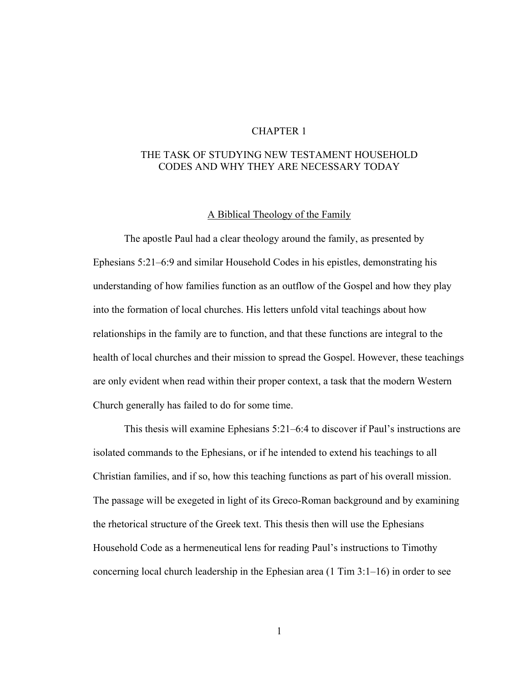#### CHAPTER 1

## THE TASK OF STUDYING NEW TESTAMENT HOUSEHOLD CODES AND WHY THEY ARE NECESSARY TODAY

#### A Biblical Theology of the Family

The apostle Paul had a clear theology around the family, as presented by Ephesians 5:21–6:9 and similar Household Codes in his epistles, demonstrating his understanding of how families function as an outflow of the Gospel and how they play into the formation of local churches. His letters unfold vital teachings about how relationships in the family are to function, and that these functions are integral to the health of local churches and their mission to spread the Gospel. However, these teachings are only evident when read within their proper context, a task that the modern Western Church generally has failed to do for some time.

This thesis will examine Ephesians 5:21–6:4 to discover if Paul's instructions are isolated commands to the Ephesians, or if he intended to extend his teachings to all Christian families, and if so, how this teaching functions as part of his overall mission. The passage will be exegeted in light of its Greco-Roman background and by examining the rhetorical structure of the Greek text. This thesis then will use the Ephesians Household Code as a hermeneutical lens for reading Paul's instructions to Timothy concerning local church leadership in the Ephesian area (1 Tim 3:1–16) in order to see

1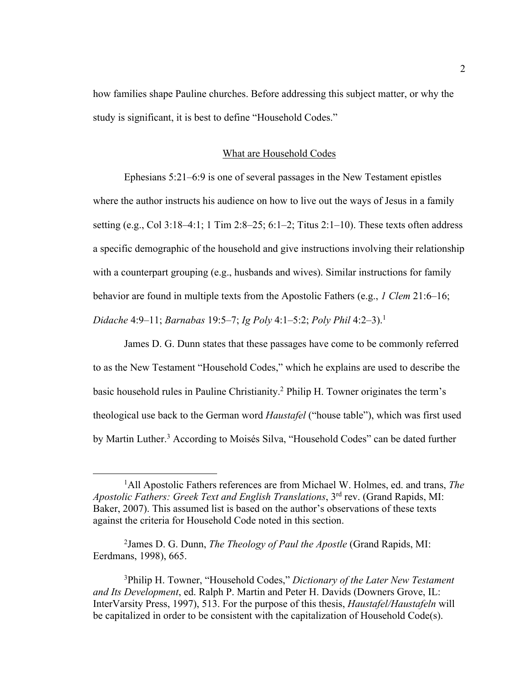how families shape Pauline churches. Before addressing this subject matter, or why the study is significant, it is best to define "Household Codes."

#### What are Household Codes

Ephesians 5:21–6:9 is one of several passages in the New Testament epistles where the author instructs his audience on how to live out the ways of Jesus in a family setting (e.g., Col 3:18–4:1; 1 Tim 2:8–25; 6:1–2; Titus 2:1–10). These texts often address a specific demographic of the household and give instructions involving their relationship with a counterpart grouping (e.g., husbands and wives). Similar instructions for family behavior are found in multiple texts from the Apostolic Fathers (e.g., *1 Clem* 21:6–16; *Didache* 4:9–11; *Barnabas* 19:5–7; *Ig Poly* 4:1–5:2; *Poly Phil* 4:2–3).1

James D. G. Dunn states that these passages have come to be commonly referred to as the New Testament "Household Codes," which he explains are used to describe the basic household rules in Pauline Christianity.2 Philip H. Towner originates the term's theological use back to the German word *Haustafel* ("house table"), which was first used by Martin Luther.3 According to Moisés Silva, "Household Codes" can be dated further

<sup>&</sup>lt;sup>1</sup>All Apostolic Fathers references are from Michael W. Holmes, ed. and trans, *The Apostolic Fathers: Greek Text and English Translations*, 3rd rev. (Grand Rapids, MI: Baker, 2007). This assumed list is based on the author's observations of these texts against the criteria for Household Code noted in this section.

<sup>2</sup> James D. G. Dunn, *The Theology of Paul the Apostle* (Grand Rapids, MI: Eerdmans, 1998), 665.

<sup>3</sup> Philip H. Towner, "Household Codes," *Dictionary of the Later New Testament and Its Development*, ed. Ralph P. Martin and Peter H. Davids (Downers Grove, IL: InterVarsity Press, 1997), 513. For the purpose of this thesis, *Haustafel/Haustafeln* will be capitalized in order to be consistent with the capitalization of Household Code(s).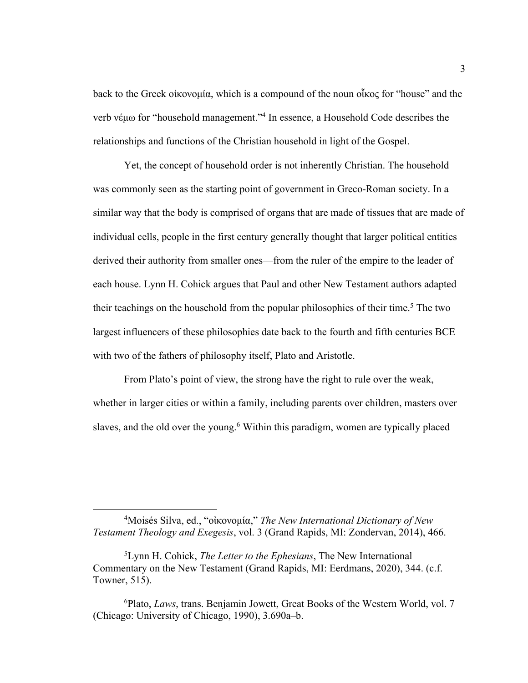back to the Greek οἰκονομία, which is a compound of the noun οἶκος for "house" and the verb νέμω for "household management."4 In essence, a Household Code describes the relationships and functions of the Christian household in light of the Gospel.

Yet, the concept of household order is not inherently Christian. The household was commonly seen as the starting point of government in Greco-Roman society. In a similar way that the body is comprised of organs that are made of tissues that are made of individual cells, people in the first century generally thought that larger political entities derived their authority from smaller ones—from the ruler of the empire to the leader of each house. Lynn H. Cohick argues that Paul and other New Testament authors adapted their teachings on the household from the popular philosophies of their time.<sup>5</sup> The two largest influencers of these philosophies date back to the fourth and fifth centuries BCE with two of the fathers of philosophy itself, Plato and Aristotle.

From Plato's point of view, the strong have the right to rule over the weak, whether in larger cities or within a family, including parents over children, masters over slaves, and the old over the young.<sup>6</sup> Within this paradigm, women are typically placed

<sup>4</sup> Moisés Silva, ed., "οἰκονομία," *The New International Dictionary of New Testament Theology and Exegesis*, vol. 3 (Grand Rapids, MI: Zondervan, 2014), 466.

<sup>5</sup> Lynn H. Cohick, *The Letter to the Ephesians*, The New International Commentary on the New Testament (Grand Rapids, MI: Eerdmans, 2020), 344. (c.f. Towner, 515).

<sup>6</sup> Plato, *Laws*, trans. Benjamin Jowett, Great Books of the Western World, vol. 7 (Chicago: University of Chicago, 1990), 3.690a–b.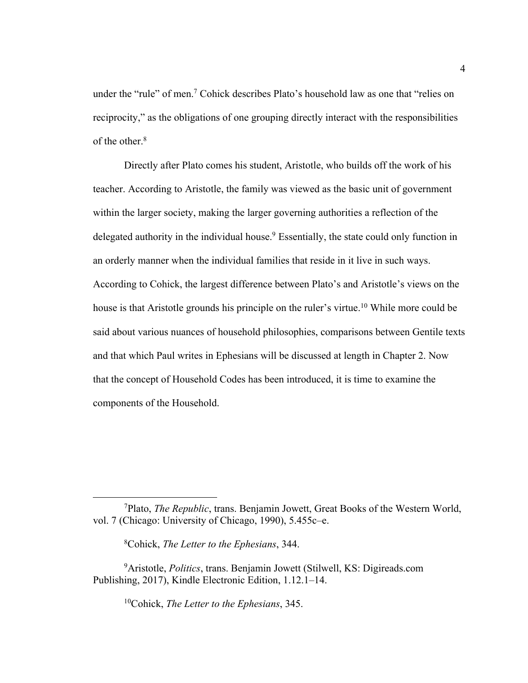under the "rule" of men.7 Cohick describes Plato's household law as one that "relies on reciprocity," as the obligations of one grouping directly interact with the responsibilities of the other.<sup>8</sup>

Directly after Plato comes his student, Aristotle, who builds off the work of his teacher. According to Aristotle, the family was viewed as the basic unit of government within the larger society, making the larger governing authorities a reflection of the delegated authority in the individual house.<sup>9</sup> Essentially, the state could only function in an orderly manner when the individual families that reside in it live in such ways. According to Cohick, the largest difference between Plato's and Aristotle's views on the house is that Aristotle grounds his principle on the ruler's virtue.<sup>10</sup> While more could be said about various nuances of household philosophies, comparisons between Gentile texts and that which Paul writes in Ephesians will be discussed at length in Chapter 2. Now that the concept of Household Codes has been introduced, it is time to examine the components of the Household.

10Cohick, *The Letter to the Ephesians*, 345.

<sup>7</sup> Plato, *The Republic*, trans. Benjamin Jowett, Great Books of the Western World, vol. 7 (Chicago: University of Chicago, 1990), 5.455c–e.

<sup>8</sup> Cohick, *The Letter to the Ephesians*, 344.

<sup>9</sup> Aristotle, *Politics*, trans. Benjamin Jowett (Stilwell, KS: Digireads.com Publishing, 2017), Kindle Electronic Edition, 1.12.1–14.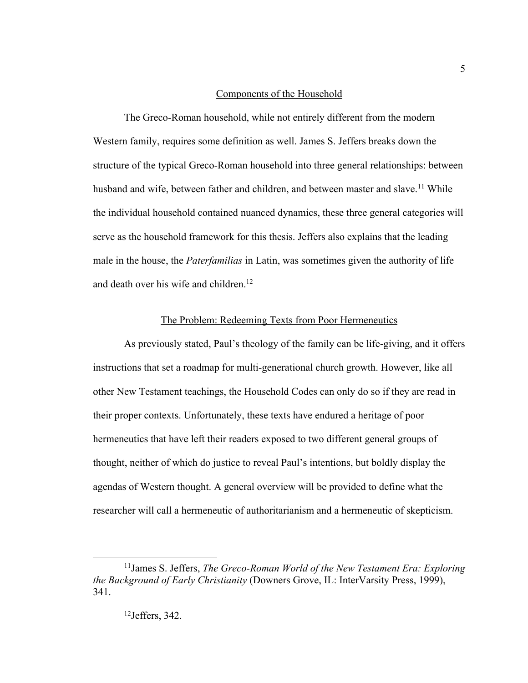#### Components of the Household

The Greco-Roman household, while not entirely different from the modern Western family, requires some definition as well. James S. Jeffers breaks down the structure of the typical Greco-Roman household into three general relationships: between husband and wife, between father and children, and between master and slave.<sup>11</sup> While the individual household contained nuanced dynamics, these three general categories will serve as the household framework for this thesis. Jeffers also explains that the leading male in the house, the *Paterfamilias* in Latin, was sometimes given the authority of life and death over his wife and children.<sup>12</sup>

#### The Problem: Redeeming Texts from Poor Hermeneutics

As previously stated, Paul's theology of the family can be life-giving, and it offers instructions that set a roadmap for multi-generational church growth. However, like all other New Testament teachings, the Household Codes can only do so if they are read in their proper contexts. Unfortunately, these texts have endured a heritage of poor hermeneutics that have left their readers exposed to two different general groups of thought, neither of which do justice to reveal Paul's intentions, but boldly display the agendas of Western thought. A general overview will be provided to define what the researcher will call a hermeneutic of authoritarianism and a hermeneutic of skepticism.

<sup>11</sup>James S. Jeffers, *The Greco-Roman World of the New Testament Era: Exploring the Background of Early Christianity* (Downers Grove, IL: InterVarsity Press, 1999), 341.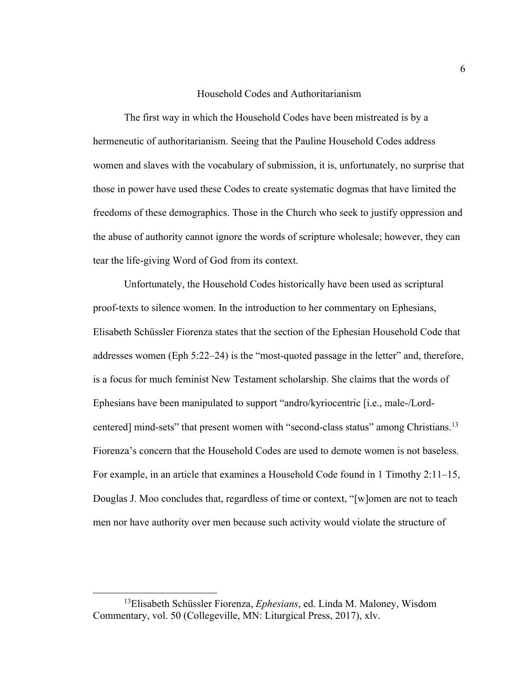#### Household Codes and Authoritarianism

The first way in which the Household Codes have been mistreated is by a hermeneutic of authoritarianism. Seeing that the Pauline Household Codes address women and slaves with the vocabulary of submission, it is, unfortunately, no surprise that those in power have used these Codes to create systematic dogmas that have limited the freedoms of these demographics. Those in the Church who seek to justify oppression and the abuse of authority cannot ignore the words of scripture wholesale; however, they can tear the life-giving Word of God from its context.

Unfortunately, the Household Codes historically have been used as scriptural proof-texts to silence women. In the introduction to her commentary on Ephesians, Elisabeth Schüssler Fiorenza states that the section of the Ephesian Household Code that addresses women (Eph 5:22–24) is the "most-quoted passage in the letter" and, therefore, is a focus for much feminist New Testament scholarship. She claims that the words of Ephesians have been manipulated to support "andro/kyriocentric [i.e., male-/Lordcentered] mind-sets" that present women with "second-class status" among Christians.<sup>13</sup> Fiorenza's concern that the Household Codes are used to demote women is not baseless. For example, in an article that examines a Household Code found in 1 Timothy 2:11–15, Douglas J. Moo concludes that, regardless of time or context, "[w]omen are not to teach men nor have authority over men because such activity would violate the structure of

<sup>13</sup>Elisabeth Schüssler Fiorenza, *Ephesians*, ed. Linda M. Maloney, Wisdom Commentary, vol. 50 (Collegeville, MN: Liturgical Press, 2017), xlv.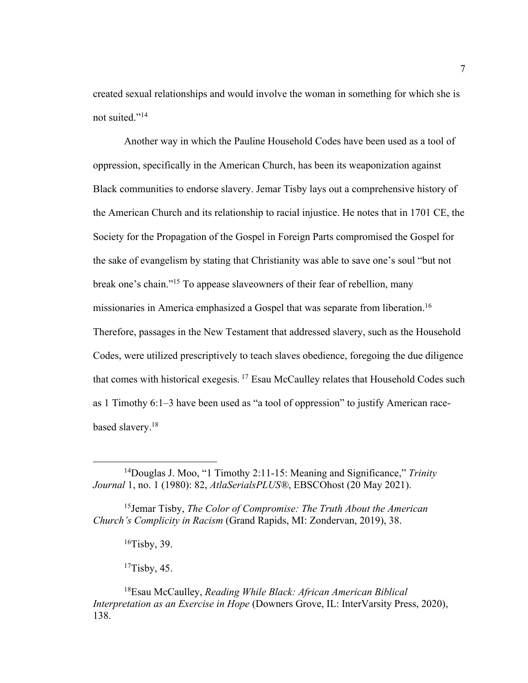created sexual relationships and would involve the woman in something for which she is not suited."<sup>14</sup>

Another way in which the Pauline Household Codes have been used as a tool of oppression, specifically in the American Church, has been its weaponization against Black communities to endorse slavery. Jemar Tisby lays out a comprehensive history of the American Church and its relationship to racial injustice. He notes that in 1701 CE, the Society for the Propagation of the Gospel in Foreign Parts compromised the Gospel for the sake of evangelism by stating that Christianity was able to save one's soul "but not break one's chain."15 To appease slaveowners of their fear of rebellion, many missionaries in America emphasized a Gospel that was separate from liberation.<sup>16</sup> Therefore, passages in the New Testament that addressed slavery, such as the Household Codes, were utilized prescriptively to teach slaves obedience, foregoing the due diligence that comes with historical exegesis. <sup>17</sup> Esau McCaulley relates that Household Codes such as 1 Timothy 6:1–3 have been used as "a tool of oppression" to justify American racebased slavery.18

 $16$ Tisby, 39.

 $17$ Tisby, 45.

<sup>14</sup>Douglas J. Moo, "1 Timothy 2:11-15: Meaning and Significance," *Trinity Journal* 1, no. 1 (1980): 82, *AtlaSerialsPLUS®*, EBSCOhost (20 May 2021).

<sup>15</sup>Jemar Tisby, *The Color of Compromise: The Truth About the American Church's Complicity in Racism* (Grand Rapids, MI: Zondervan, 2019), 38.

<sup>18</sup>Esau McCaulley, *Reading While Black: African American Biblical Interpretation as an Exercise in Hope* (Downers Grove, IL: InterVarsity Press, 2020), 138.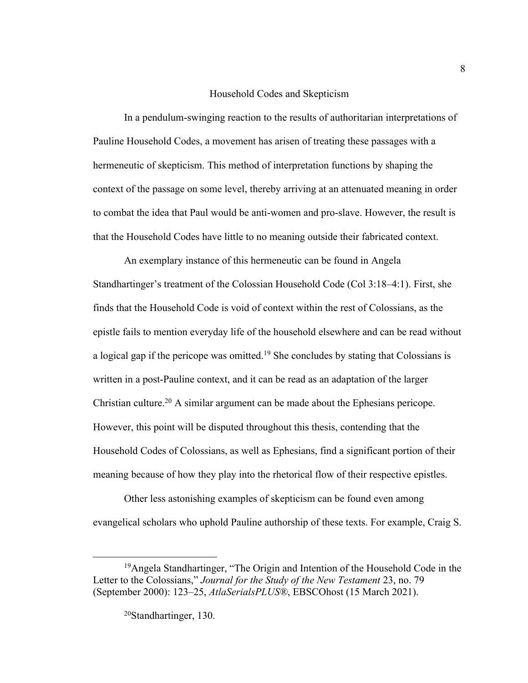#### Household Codes and Skepticism

In a pendulum-swinging reaction to the results of authoritarian interpretations of Pauline Household Codes, a movement has arisen of treating these passages with a hermeneutic of skepticism. This method of interpretation functions by shaping the context of the passage on some level, thereby arriving at an attenuated meaning in order to combat the idea that Paul would be anti-women and pro-slave. However, the result is that the Household Codes have little to no meaning outside their fabricated context.

An exemplary instance of this hermeneutic can be found in Angela Standhartinger's treatment of the Colossian Household Code (Col 3:18–4:1). First, she finds that the Household Code is void of context within the rest of Colossians, as the epistle fails to mention everyday life of the household elsewhere and can be read without a logical gap if the pericope was omitted.<sup>19</sup> She concludes by stating that Colossians is written in a post-Pauline context, and it can be read as an adaptation of the larger Christian culture.<sup>20</sup> A similar argument can be made about the Ephesians pericope. However, this point will be disputed throughout this thesis, contending that the Household Codes of Colossians, as well as Ephesians, find a significant portion of their meaning because of how they play into the rhetorical flow of their respective epistles.

Other less astonishing examples of skepticism can be found even among evangelical scholars who uphold Pauline authorship of these texts. For example, Craig S.

<sup>&</sup>lt;sup>19</sup>Angela Standhartinger, "The Origin and Intention of the Household Code in the Letter to the Colossians," *Journal for the Study of the New Testament* 23, no. 79 (September 2000): 123–25, *AtlaSerialsPLUS®*, EBSCOhost (15 March 2021).

<sup>20</sup>Standhartinger, 130.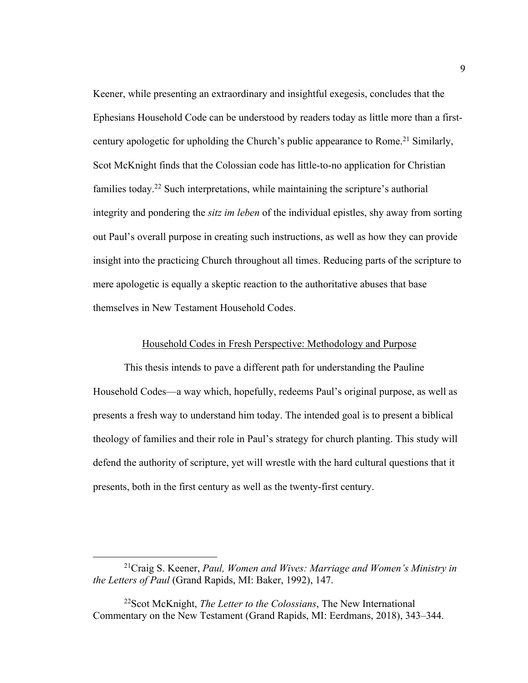Keener, while presenting an extraordinary and insightful exegesis, concludes that the Ephesians Household Code can be understood by readers today as little more than a firstcentury apologetic for upholding the Church's public appearance to Rome.<sup>21</sup> Similarly, Scot McKnight finds that the Colossian code has little-to-no application for Christian families today.<sup>22</sup> Such interpretations, while maintaining the scripture's authorial integrity and pondering the *sitz im leben* of the individual epistles, shy away from sorting out Paul's overall purpose in creating such instructions, as well as how they can provide insight into the practicing Church throughout all times. Reducing parts of the scripture to mere apologetic is equally a skeptic reaction to the authoritative abuses that base themselves in New Testament Household Codes.

#### Household Codes in Fresh Perspective: Methodology and Purpose

This thesis intends to pave a different path for understanding the Pauline Household Codes—a way which, hopefully, redeems Paul's original purpose, as well as presents a fresh way to understand him today. The intended goal is to present a biblical theology of families and their role in Paul's strategy for church planting. This study will defend the authority of scripture, yet will wrestle with the hard cultural questions that it presents, both in the first century as well as the twenty-first century.

<sup>21</sup>Craig S. Keener, *Paul, Women and Wives: Marriage and Women's Ministry in the Letters of Paul* (Grand Rapids, MI: Baker, 1992), 147.

<sup>22</sup>Scot McKnight, *The Letter to the Colossians*, The New International Commentary on the New Testament (Grand Rapids, MI: Eerdmans, 2018), 343–344.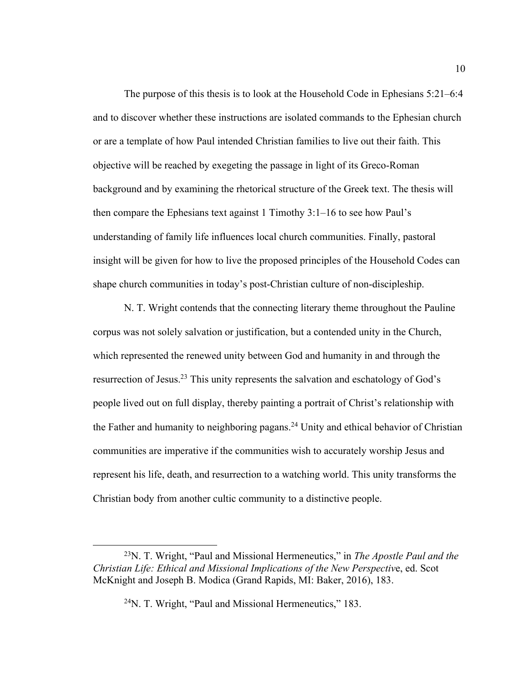The purpose of this thesis is to look at the Household Code in Ephesians 5:21–6:4 and to discover whether these instructions are isolated commands to the Ephesian church or are a template of how Paul intended Christian families to live out their faith. This objective will be reached by exegeting the passage in light of its Greco-Roman background and by examining the rhetorical structure of the Greek text. The thesis will then compare the Ephesians text against 1 Timothy 3:1–16 to see how Paul's understanding of family life influences local church communities. Finally, pastoral insight will be given for how to live the proposed principles of the Household Codes can shape church communities in today's post-Christian culture of non-discipleship.

N. T. Wright contends that the connecting literary theme throughout the Pauline corpus was not solely salvation or justification, but a contended unity in the Church, which represented the renewed unity between God and humanity in and through the resurrection of Jesus.<sup>23</sup> This unity represents the salvation and eschatology of God's people lived out on full display, thereby painting a portrait of Christ's relationship with the Father and humanity to neighboring pagans.<sup>24</sup> Unity and ethical behavior of Christian communities are imperative if the communities wish to accurately worship Jesus and represent his life, death, and resurrection to a watching world. This unity transforms the Christian body from another cultic community to a distinctive people.

<sup>23</sup>N. T. Wright, "Paul and Missional Hermeneutics," in *The Apostle Paul and the Christian Life: Ethical and Missional Implications of the New Perspectiv*e, ed. Scot McKnight and Joseph B. Modica (Grand Rapids, MI: Baker, 2016), 183.

<sup>24</sup>N. T. Wright, "Paul and Missional Hermeneutics," 183.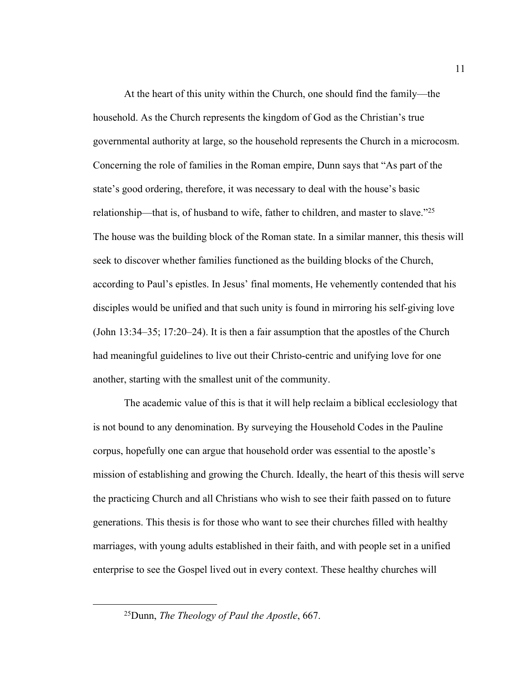At the heart of this unity within the Church, one should find the family—the household. As the Church represents the kingdom of God as the Christian's true governmental authority at large, so the household represents the Church in a microcosm. Concerning the role of families in the Roman empire, Dunn says that "As part of the state's good ordering, therefore, it was necessary to deal with the house's basic relationship—that is, of husband to wife, father to children, and master to slave."25 The house was the building block of the Roman state. In a similar manner, this thesis will seek to discover whether families functioned as the building blocks of the Church, according to Paul's epistles. In Jesus' final moments, He vehemently contended that his disciples would be unified and that such unity is found in mirroring his self-giving love (John 13:34–35; 17:20–24). It is then a fair assumption that the apostles of the Church had meaningful guidelines to live out their Christo-centric and unifying love for one another, starting with the smallest unit of the community.

The academic value of this is that it will help reclaim a biblical ecclesiology that is not bound to any denomination. By surveying the Household Codes in the Pauline corpus, hopefully one can argue that household order was essential to the apostle's mission of establishing and growing the Church. Ideally, the heart of this thesis will serve the practicing Church and all Christians who wish to see their faith passed on to future generations. This thesis is for those who want to see their churches filled with healthy marriages, with young adults established in their faith, and with people set in a unified enterprise to see the Gospel lived out in every context. These healthy churches will

<sup>25</sup>Dunn, *The Theology of Paul the Apostle*, 667.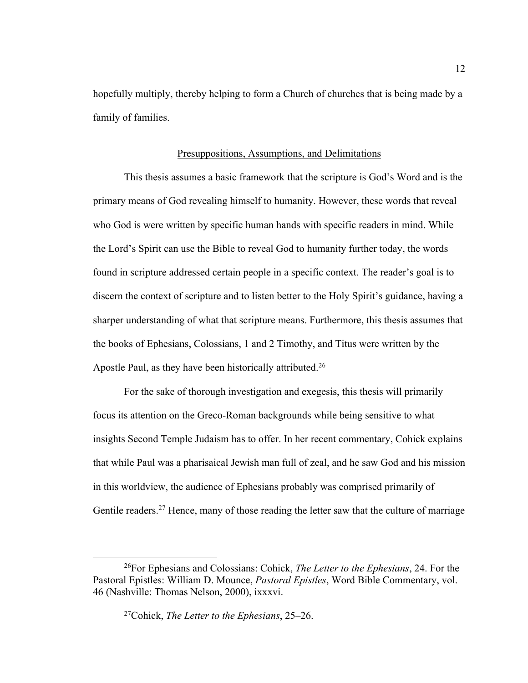hopefully multiply, thereby helping to form a Church of churches that is being made by a family of families.

#### Presuppositions, Assumptions, and Delimitations

This thesis assumes a basic framework that the scripture is God's Word and is the primary means of God revealing himself to humanity. However, these words that reveal who God is were written by specific human hands with specific readers in mind. While the Lord's Spirit can use the Bible to reveal God to humanity further today, the words found in scripture addressed certain people in a specific context. The reader's goal is to discern the context of scripture and to listen better to the Holy Spirit's guidance, having a sharper understanding of what that scripture means. Furthermore, this thesis assumes that the books of Ephesians, Colossians, 1 and 2 Timothy, and Titus were written by the Apostle Paul, as they have been historically attributed.<sup>26</sup>

For the sake of thorough investigation and exegesis, this thesis will primarily focus its attention on the Greco-Roman backgrounds while being sensitive to what insights Second Temple Judaism has to offer. In her recent commentary, Cohick explains that while Paul was a pharisaical Jewish man full of zeal, and he saw God and his mission in this worldview, the audience of Ephesians probably was comprised primarily of Gentile readers.<sup>27</sup> Hence, many of those reading the letter saw that the culture of marriage

<sup>26</sup>For Ephesians and Colossians: Cohick, *The Letter to the Ephesians*, 24. For the Pastoral Epistles: William D. Mounce, *Pastoral Epistles*, Word Bible Commentary, vol. 46 (Nashville: Thomas Nelson, 2000), ixxxvi.

<sup>27</sup>Cohick, *The Letter to the Ephesians*, 25–26.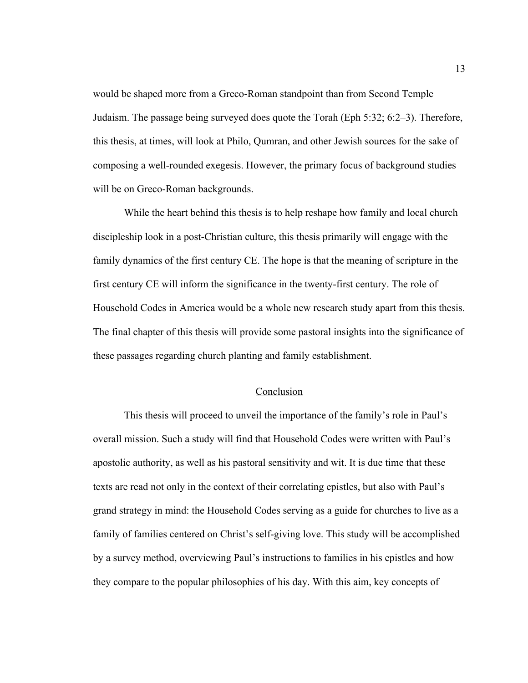would be shaped more from a Greco-Roman standpoint than from Second Temple Judaism. The passage being surveyed does quote the Torah (Eph 5:32; 6:2–3). Therefore, this thesis, at times, will look at Philo, Qumran, and other Jewish sources for the sake of composing a well-rounded exegesis. However, the primary focus of background studies will be on Greco-Roman backgrounds.

While the heart behind this thesis is to help reshape how family and local church discipleship look in a post-Christian culture, this thesis primarily will engage with the family dynamics of the first century CE. The hope is that the meaning of scripture in the first century CE will inform the significance in the twenty-first century. The role of Household Codes in America would be a whole new research study apart from this thesis. The final chapter of this thesis will provide some pastoral insights into the significance of these passages regarding church planting and family establishment.

#### Conclusion

This thesis will proceed to unveil the importance of the family's role in Paul's overall mission. Such a study will find that Household Codes were written with Paul's apostolic authority, as well as his pastoral sensitivity and wit. It is due time that these texts are read not only in the context of their correlating epistles, but also with Paul's grand strategy in mind: the Household Codes serving as a guide for churches to live as a family of families centered on Christ's self-giving love. This study will be accomplished by a survey method, overviewing Paul's instructions to families in his epistles and how they compare to the popular philosophies of his day. With this aim, key concepts of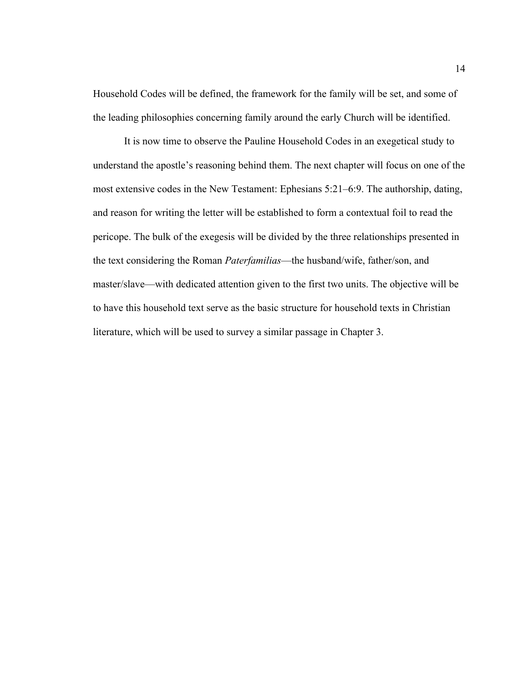Household Codes will be defined, the framework for the family will be set, and some of the leading philosophies concerning family around the early Church will be identified.

It is now time to observe the Pauline Household Codes in an exegetical study to understand the apostle's reasoning behind them. The next chapter will focus on one of the most extensive codes in the New Testament: Ephesians 5:21–6:9. The authorship, dating, and reason for writing the letter will be established to form a contextual foil to read the pericope. The bulk of the exegesis will be divided by the three relationships presented in the text considering the Roman *Paterfamilias*—the husband/wife, father/son, and master/slave—with dedicated attention given to the first two units. The objective will be to have this household text serve as the basic structure for household texts in Christian literature, which will be used to survey a similar passage in Chapter 3.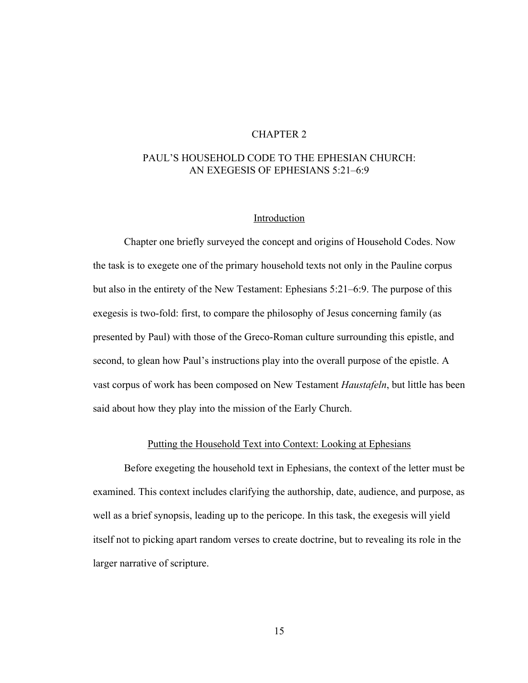## CHAPTER 2

## PAUL'S HOUSEHOLD CODE TO THE EPHESIAN CHURCH: AN EXEGESIS OF EPHESIANS 5:21–6:9

#### Introduction

Chapter one briefly surveyed the concept and origins of Household Codes. Now the task is to exegete one of the primary household texts not only in the Pauline corpus but also in the entirety of the New Testament: Ephesians 5:21–6:9. The purpose of this exegesis is two-fold: first, to compare the philosophy of Jesus concerning family (as presented by Paul) with those of the Greco-Roman culture surrounding this epistle, and second, to glean how Paul's instructions play into the overall purpose of the epistle. A vast corpus of work has been composed on New Testament *Haustafeln*, but little has been said about how they play into the mission of the Early Church.

#### Putting the Household Text into Context: Looking at Ephesians

Before exegeting the household text in Ephesians, the context of the letter must be examined. This context includes clarifying the authorship, date, audience, and purpose, as well as a brief synopsis, leading up to the pericope. In this task, the exegesis will yield itself not to picking apart random verses to create doctrine, but to revealing its role in the larger narrative of scripture.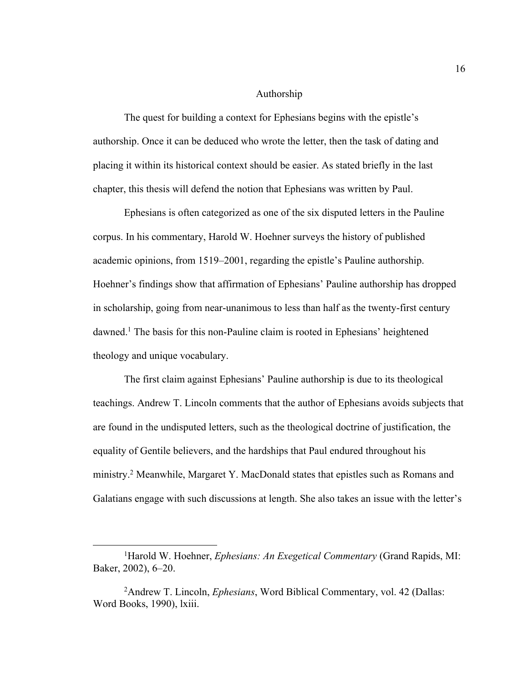#### Authorship

The quest for building a context for Ephesians begins with the epistle's authorship. Once it can be deduced who wrote the letter, then the task of dating and placing it within its historical context should be easier. As stated briefly in the last chapter, this thesis will defend the notion that Ephesians was written by Paul.

Ephesians is often categorized as one of the six disputed letters in the Pauline corpus. In his commentary, Harold W. Hoehner surveys the history of published academic opinions, from 1519–2001, regarding the epistle's Pauline authorship. Hoehner's findings show that affirmation of Ephesians' Pauline authorship has dropped in scholarship, going from near-unanimous to less than half as the twenty-first century dawned.1 The basis for this non-Pauline claim is rooted in Ephesians' heightened theology and unique vocabulary.

The first claim against Ephesians' Pauline authorship is due to its theological teachings. Andrew T. Lincoln comments that the author of Ephesians avoids subjects that are found in the undisputed letters, such as the theological doctrine of justification, the equality of Gentile believers, and the hardships that Paul endured throughout his ministry.2 Meanwhile, Margaret Y. MacDonald states that epistles such as Romans and Galatians engage with such discussions at length. She also takes an issue with the letter's

<sup>&</sup>lt;sup>1</sup>Harold W. Hoehner, *Ephesians: An Exegetical Commentary* (Grand Rapids, MI: Baker, 2002), 6–20.

<sup>2</sup> Andrew T. Lincoln, *Ephesians*, Word Biblical Commentary, vol. 42 (Dallas: Word Books, 1990), lxiii.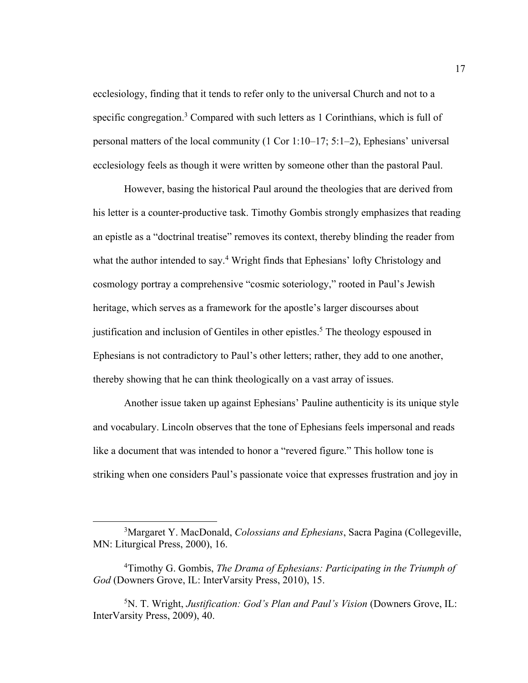ecclesiology, finding that it tends to refer only to the universal Church and not to a specific congregation.<sup>3</sup> Compared with such letters as 1 Corinthians, which is full of personal matters of the local community (1 Cor 1:10–17; 5:1–2), Ephesians' universal ecclesiology feels as though it were written by someone other than the pastoral Paul.

However, basing the historical Paul around the theologies that are derived from his letter is a counter-productive task. Timothy Gombis strongly emphasizes that reading an epistle as a "doctrinal treatise" removes its context, thereby blinding the reader from what the author intended to say.<sup>4</sup> Wright finds that Ephesians' lofty Christology and cosmology portray a comprehensive "cosmic soteriology," rooted in Paul's Jewish heritage, which serves as a framework for the apostle's larger discourses about justification and inclusion of Gentiles in other epistles.<sup>5</sup> The theology espoused in Ephesians is not contradictory to Paul's other letters; rather, they add to one another, thereby showing that he can think theologically on a vast array of issues.

Another issue taken up against Ephesians' Pauline authenticity is its unique style and vocabulary. Lincoln observes that the tone of Ephesians feels impersonal and reads like a document that was intended to honor a "revered figure." This hollow tone is striking when one considers Paul's passionate voice that expresses frustration and joy in

<sup>3</sup> Margaret Y. MacDonald, *Colossians and Ephesians*, Sacra Pagina (Collegeville, MN: Liturgical Press, 2000), 16.

<sup>4</sup> Timothy G. Gombis, *The Drama of Ephesians: Participating in the Triumph of God* (Downers Grove, IL: InterVarsity Press, 2010), 15.

<sup>5</sup> N. T. Wright, *Justification: God's Plan and Paul's Vision* (Downers Grove, IL: InterVarsity Press, 2009), 40.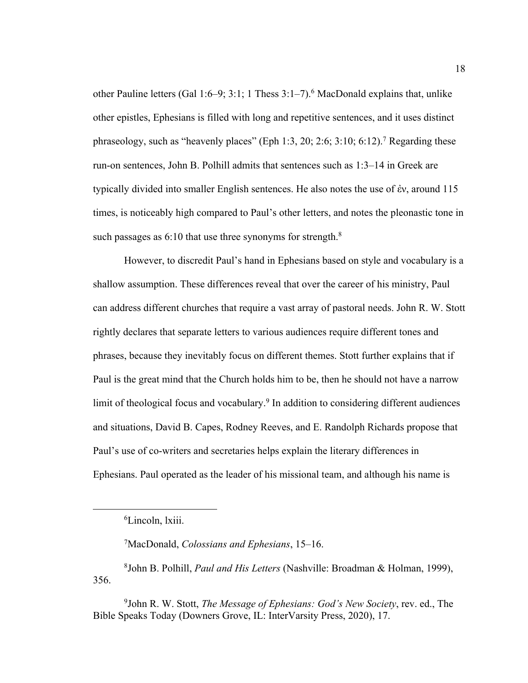other Pauline letters (Gal 1:6–9; 3:1; 1 Thess  $3:1-7$ ).<sup>6</sup> MacDonald explains that, unlike other epistles, Ephesians is filled with long and repetitive sentences, and it uses distinct phraseology, such as "heavenly places" (Eph 1:3, 20; 2:6; 3:10; 6:12).<sup>7</sup> Regarding these run-on sentences, John B. Polhill admits that sentences such as 1:3–14 in Greek are typically divided into smaller English sentences. He also notes the use of ἐν, around 115 times, is noticeably high compared to Paul's other letters, and notes the pleonastic tone in such passages as  $6:10$  that use three synonyms for strength.<sup>8</sup>

However, to discredit Paul's hand in Ephesians based on style and vocabulary is a shallow assumption. These differences reveal that over the career of his ministry, Paul can address different churches that require a vast array of pastoral needs. John R. W. Stott rightly declares that separate letters to various audiences require different tones and phrases, because they inevitably focus on different themes. Stott further explains that if Paul is the great mind that the Church holds him to be, then he should not have a narrow limit of theological focus and vocabulary.<sup>9</sup> In addition to considering different audiences and situations, David B. Capes, Rodney Reeves, and E. Randolph Richards propose that Paul's use of co-writers and secretaries helps explain the literary differences in Ephesians. Paul operated as the leader of his missional team, and although his name is

8 John B. Polhill, *Paul and His Letters* (Nashville: Broadman & Holman, 1999), 356.

9 John R. W. Stott, *The Message of Ephesians: God's New Society*, rev. ed., The Bible Speaks Today (Downers Grove, IL: InterVarsity Press, 2020), 17.

<sup>6</sup> Lincoln, lxiii.

<sup>7</sup> MacDonald, *Colossians and Ephesians*, 15–16.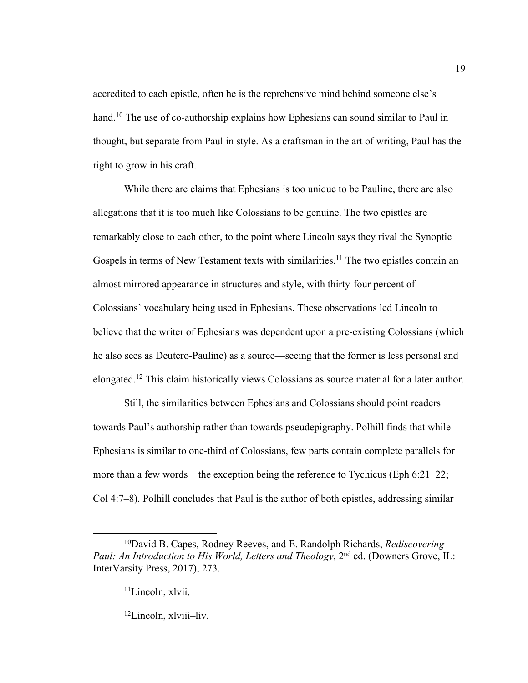accredited to each epistle, often he is the reprehensive mind behind someone else's hand.<sup>10</sup> The use of co-authorship explains how Ephesians can sound similar to Paul in thought, but separate from Paul in style. As a craftsman in the art of writing, Paul has the right to grow in his craft.

19

While there are claims that Ephesians is too unique to be Pauline, there are also allegations that it is too much like Colossians to be genuine. The two epistles are remarkably close to each other, to the point where Lincoln says they rival the Synoptic Gospels in terms of New Testament texts with similarities.<sup>11</sup> The two epistles contain an almost mirrored appearance in structures and style, with thirty-four percent of Colossians' vocabulary being used in Ephesians. These observations led Lincoln to believe that the writer of Ephesians was dependent upon a pre-existing Colossians (which he also sees as Deutero-Pauline) as a source—seeing that the former is less personal and elongated.12 This claim historically views Colossians as source material for a later author.

Still, the similarities between Ephesians and Colossians should point readers towards Paul's authorship rather than towards pseudepigraphy. Polhill finds that while Ephesians is similar to one-third of Colossians, few parts contain complete parallels for more than a few words—the exception being the reference to Tychicus (Eph 6:21–22; Col 4:7–8). Polhill concludes that Paul is the author of both epistles, addressing similar

<sup>10</sup>David B. Capes, Rodney Reeves, and E. Randolph Richards, *Rediscovering Paul: An Introduction to His World, Letters and Theology, 2<sup>nd</sup> ed. (Downers Grove, IL:* InterVarsity Press, 2017), 273.

<sup>&</sup>lt;sup>11</sup>Lincoln, xlvii.

<sup>12</sup>Lincoln, xlviii–liv.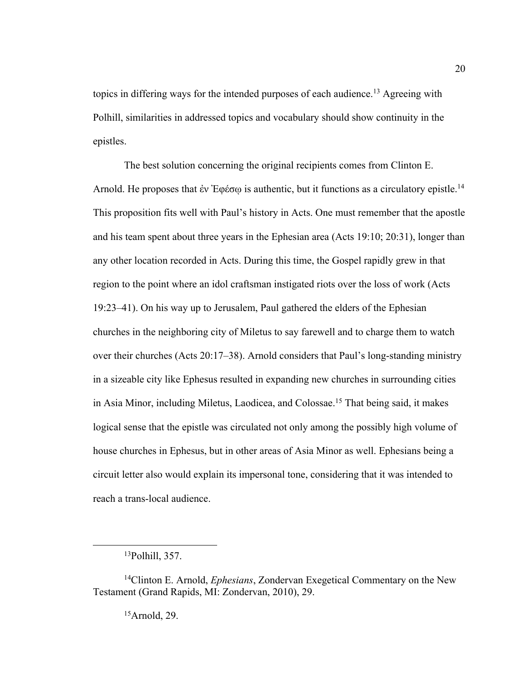topics in differing ways for the intended purposes of each audience.<sup>13</sup> Agreeing with Polhill, similarities in addressed topics and vocabulary should show continuity in the epistles.

The best solution concerning the original recipients comes from Clinton E. Arnold. He proposes that έν Έφέσω is authentic, but it functions as a circulatory epistle.<sup>14</sup> This proposition fits well with Paul's history in Acts. One must remember that the apostle and his team spent about three years in the Ephesian area (Acts 19:10; 20:31), longer than any other location recorded in Acts. During this time, the Gospel rapidly grew in that region to the point where an idol craftsman instigated riots over the loss of work (Acts 19:23–41). On his way up to Jerusalem, Paul gathered the elders of the Ephesian churches in the neighboring city of Miletus to say farewell and to charge them to watch over their churches (Acts 20:17–38). Arnold considers that Paul's long-standing ministry in a sizeable city like Ephesus resulted in expanding new churches in surrounding cities in Asia Minor, including Miletus, Laodicea, and Colossae.15 That being said, it makes logical sense that the epistle was circulated not only among the possibly high volume of house churches in Ephesus, but in other areas of Asia Minor as well. Ephesians being a circuit letter also would explain its impersonal tone, considering that it was intended to reach a trans-local audience.

15Arnold, 29.

<sup>13</sup>Polhill, 357.

<sup>14</sup>Clinton E. Arnold, *Ephesians*, Zondervan Exegetical Commentary on the New Testament (Grand Rapids, MI: Zondervan, 2010), 29.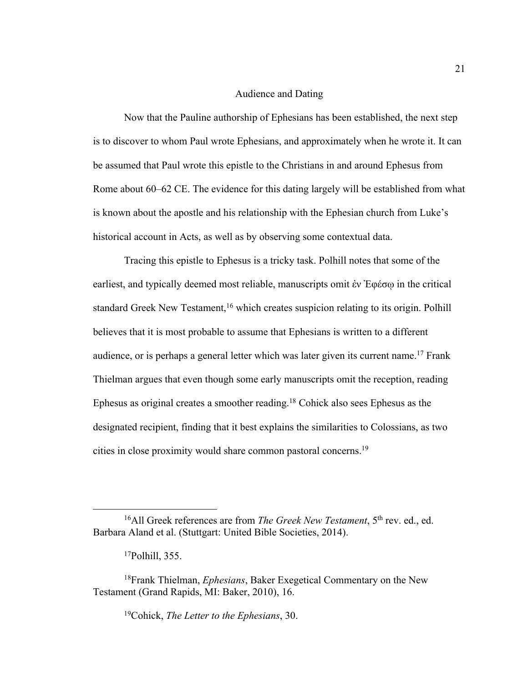#### Audience and Dating

Now that the Pauline authorship of Ephesians has been established, the next step is to discover to whom Paul wrote Ephesians, and approximately when he wrote it. It can be assumed that Paul wrote this epistle to the Christians in and around Ephesus from Rome about 60–62 CE. The evidence for this dating largely will be established from what is known about the apostle and his relationship with the Ephesian church from Luke's historical account in Acts, as well as by observing some contextual data.

Tracing this epistle to Ephesus is a tricky task. Polhill notes that some of the earliest, and typically deemed most reliable, manuscripts omit ἐν Ἐφέσῳ in the critical standard Greek New Testament,<sup>16</sup> which creates suspicion relating to its origin. Polhill believes that it is most probable to assume that Ephesians is written to a different audience, or is perhaps a general letter which was later given its current name.<sup>17</sup> Frank Thielman argues that even though some early manuscripts omit the reception, reading Ephesus as original creates a smoother reading.18 Cohick also sees Ephesus as the designated recipient, finding that it best explains the similarities to Colossians, as two cities in close proximity would share common pastoral concerns.19

19Cohick, *The Letter to the Ephesians*, 30.

<sup>&</sup>lt;sup>16</sup>All Greek references are from *The Greek New Testament*, 5<sup>th</sup> rev. ed., ed. Barbara Aland et al. (Stuttgart: United Bible Societies, 2014).

<sup>17</sup>Polhill, 355.

<sup>18</sup>Frank Thielman, *Ephesians*, Baker Exegetical Commentary on the New Testament (Grand Rapids, MI: Baker, 2010), 16.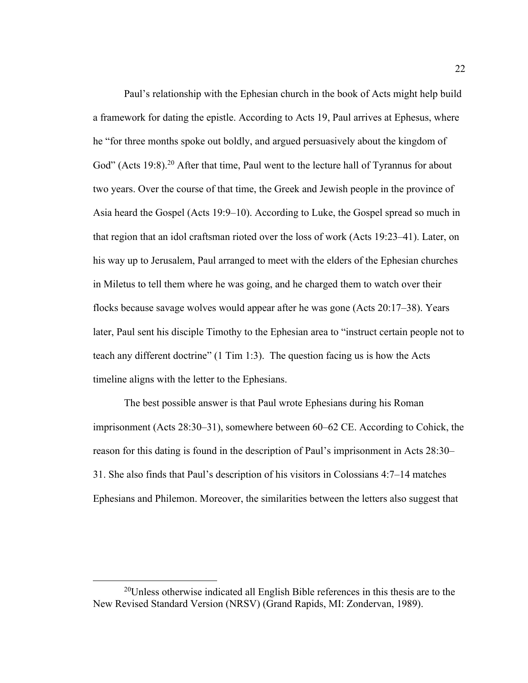Paul's relationship with the Ephesian church in the book of Acts might help build a framework for dating the epistle. According to Acts 19, Paul arrives at Ephesus, where he "for three months spoke out boldly, and argued persuasively about the kingdom of God" (Acts 19:8).<sup>20</sup> After that time, Paul went to the lecture hall of Tyrannus for about two years. Over the course of that time, the Greek and Jewish people in the province of Asia heard the Gospel (Acts 19:9–10). According to Luke, the Gospel spread so much in that region that an idol craftsman rioted over the loss of work (Acts 19:23–41). Later, on his way up to Jerusalem, Paul arranged to meet with the elders of the Ephesian churches in Miletus to tell them where he was going, and he charged them to watch over their flocks because savage wolves would appear after he was gone (Acts 20:17–38). Years later, Paul sent his disciple Timothy to the Ephesian area to "instruct certain people not to teach any different doctrine" (1 Tim 1:3). The question facing us is how the Acts timeline aligns with the letter to the Ephesians.

The best possible answer is that Paul wrote Ephesians during his Roman imprisonment (Acts 28:30–31), somewhere between 60–62 CE. According to Cohick, the reason for this dating is found in the description of Paul's imprisonment in Acts 28:30– 31. She also finds that Paul's description of his visitors in Colossians 4:7–14 matches Ephesians and Philemon. Moreover, the similarities between the letters also suggest that

<sup>20</sup>Unless otherwise indicated all English Bible references in this thesis are to the New Revised Standard Version (NRSV) (Grand Rapids, MI: Zondervan, 1989).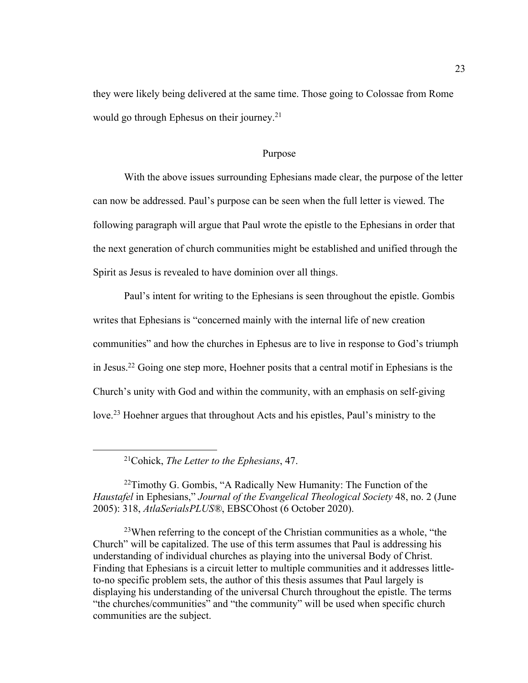they were likely being delivered at the same time. Those going to Colossae from Rome would go through Ephesus on their journey.<sup>21</sup>

#### Purpose

With the above issues surrounding Ephesians made clear, the purpose of the letter can now be addressed. Paul's purpose can be seen when the full letter is viewed. The following paragraph will argue that Paul wrote the epistle to the Ephesians in order that the next generation of church communities might be established and unified through the Spirit as Jesus is revealed to have dominion over all things.

Paul's intent for writing to the Ephesians is seen throughout the epistle. Gombis writes that Ephesians is "concerned mainly with the internal life of new creation communities" and how the churches in Ephesus are to live in response to God's triumph in Jesus.22 Going one step more, Hoehner posits that a central motif in Ephesians is the Church's unity with God and within the community, with an emphasis on self-giving love.<sup>23</sup> Hoehner argues that throughout Acts and his epistles, Paul's ministry to the

21Cohick, *The Letter to the Ephesians*, 47.

 $22$ Timothy G. Gombis, "A Radically New Humanity: The Function of the *Haustafel* in Ephesians," *Journal of the Evangelical Theological Society* 48, no. 2 (June 2005): 318, *AtlaSerialsPLUS®*, EBSCOhost (6 October 2020).

<sup>23</sup>When referring to the concept of the Christian communities as a whole, "the Church" will be capitalized. The use of this term assumes that Paul is addressing his understanding of individual churches as playing into the universal Body of Christ. Finding that Ephesians is a circuit letter to multiple communities and it addresses littleto-no specific problem sets, the author of this thesis assumes that Paul largely is displaying his understanding of the universal Church throughout the epistle. The terms "the churches/communities" and "the community" will be used when specific church communities are the subject.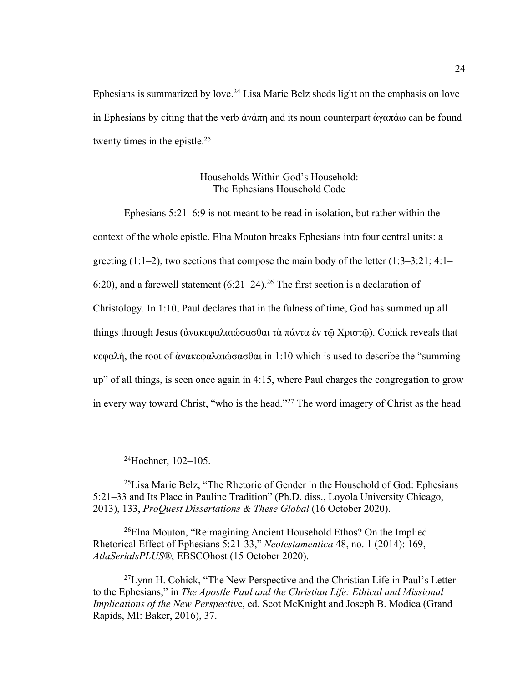Ephesians is summarized by love.<sup>24</sup> Lisa Marie Belz sheds light on the emphasis on love in Ephesians by citing that the verb ἀγάπη and its noun counterpart ἀγαπάω can be found twenty times in the epistle.<sup>25</sup>

### Households Within God's Household: The Ephesians Household Code

Ephesians 5:21–6:9 is not meant to be read in isolation, but rather within the context of the whole epistle. Elna Mouton breaks Ephesians into four central units: a greeting  $(1:1-2)$ , two sections that compose the main body of the letter  $(1:3-3:21; 4:1-$ 6:20), and a farewell statement  $(6:21-24)$ .<sup>26</sup> The first section is a declaration of Christology. In 1:10, Paul declares that in the fulness of time, God has summed up all things through Jesus (ἀνακεφαλαιώσασθαι τὰ πάντα ἐν τῷ Χριστῷ). Cohick reveals that κεφαλή, the root of ἀνακεφαλαιώσασθαι in 1:10 which is used to describe the "summing up" of all things, is seen once again in 4:15, where Paul charges the congregation to grow in every way toward Christ, "who is the head."27 The word imagery of Christ as the head

24Hoehner, 102–105.

25Lisa Marie Belz, "The Rhetoric of Gender in the Household of God: Ephesians 5:21–33 and Its Place in Pauline Tradition" (Ph.D. diss., Loyola University Chicago, 2013), 133, *ProQuest Dissertations & These Global* (16 October 2020).

<sup>26</sup>Elna Mouton, "Reimagining Ancient Household Ethos? On the Implied Rhetorical Effect of Ephesians 5:21-33," *Neotestamentica* 48, no. 1 (2014): 169, *AtlaSerialsPLUS®*, EBSCOhost (15 October 2020).

27Lynn H. Cohick, "The New Perspective and the Christian Life in Paul's Letter to the Ephesians," in *The Apostle Paul and the Christian Life: Ethical and Missional Implications of the New Perspectiv*e, ed. Scot McKnight and Joseph B. Modica (Grand Rapids, MI: Baker, 2016), 37.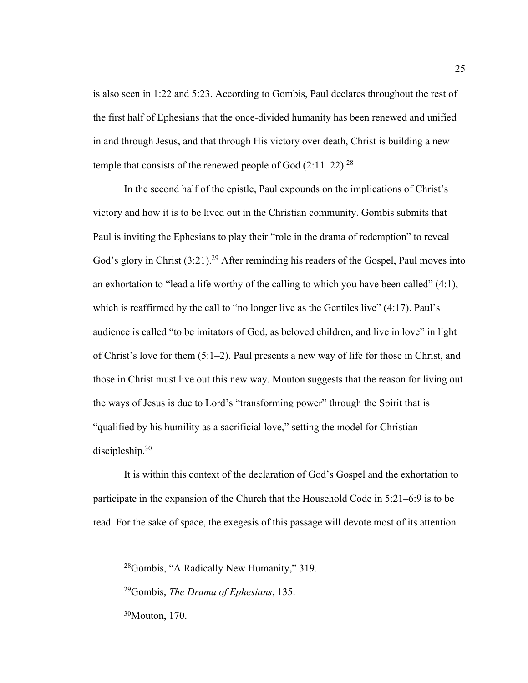is also seen in 1:22 and 5:23. According to Gombis, Paul declares throughout the rest of the first half of Ephesians that the once-divided humanity has been renewed and unified in and through Jesus, and that through His victory over death, Christ is building a new temple that consists of the renewed people of God  $(2:11–22).^{28}$ 

In the second half of the epistle, Paul expounds on the implications of Christ's victory and how it is to be lived out in the Christian community. Gombis submits that Paul is inviting the Ephesians to play their "role in the drama of redemption" to reveal God's glory in Christ (3:21).<sup>29</sup> After reminding his readers of the Gospel, Paul moves into an exhortation to "lead a life worthy of the calling to which you have been called" (4:1), which is reaffirmed by the call to "no longer live as the Gentiles live" (4:17). Paul's audience is called "to be imitators of God, as beloved children, and live in love" in light of Christ's love for them (5:1–2). Paul presents a new way of life for those in Christ, and those in Christ must live out this new way. Mouton suggests that the reason for living out the ways of Jesus is due to Lord's "transforming power" through the Spirit that is "qualified by his humility as a sacrificial love," setting the model for Christian discipleship.30

It is within this context of the declaration of God's Gospel and the exhortation to participate in the expansion of the Church that the Household Code in 5:21–6:9 is to be read. For the sake of space, the exegesis of this passage will devote most of its attention

<sup>28</sup>Gombis, "A Radically New Humanity," 319.

<sup>29</sup>Gombis, *The Drama of Ephesians*, 135.

<sup>30</sup>Mouton, 170.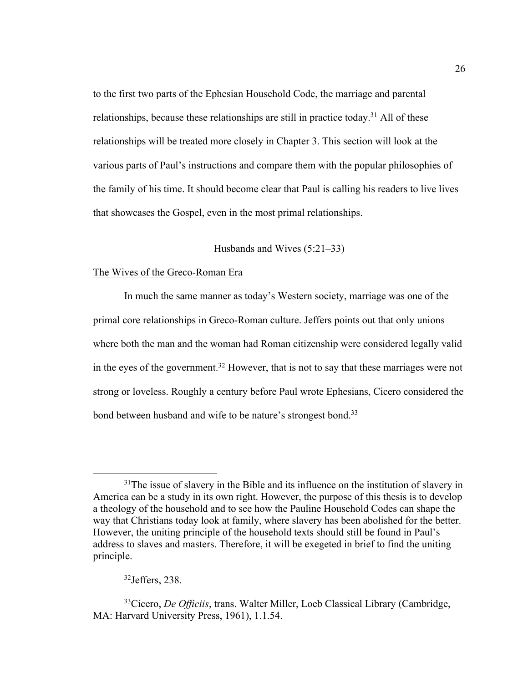to the first two parts of the Ephesian Household Code, the marriage and parental relationships, because these relationships are still in practice today.<sup>31</sup> All of these relationships will be treated more closely in Chapter 3. This section will look at the various parts of Paul's instructions and compare them with the popular philosophies of the family of his time. It should become clear that Paul is calling his readers to live lives that showcases the Gospel, even in the most primal relationships.

## Husbands and Wives (5:21–33)

## The Wives of the Greco-Roman Era

In much the same manner as today's Western society, marriage was one of the primal core relationships in Greco-Roman culture. Jeffers points out that only unions where both the man and the woman had Roman citizenship were considered legally valid in the eyes of the government.<sup>32</sup> However, that is not to say that these marriages were not strong or loveless. Roughly a century before Paul wrote Ephesians, Cicero considered the bond between husband and wife to be nature's strongest bond.<sup>33</sup>

 $31$ The issue of slavery in the Bible and its influence on the institution of slavery in America can be a study in its own right. However, the purpose of this thesis is to develop a theology of the household and to see how the Pauline Household Codes can shape the way that Christians today look at family, where slavery has been abolished for the better. However, the uniting principle of the household texts should still be found in Paul's address to slaves and masters. Therefore, it will be exegeted in brief to find the uniting principle.

<sup>32</sup>Jeffers, 238.

<sup>33</sup>Cicero, *De Officiis*, trans. Walter Miller, Loeb Classical Library (Cambridge, MA: Harvard University Press, 1961), 1.1.54.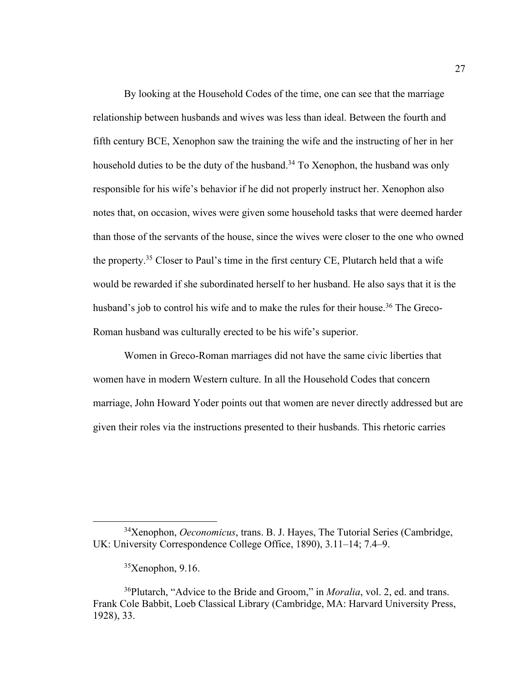By looking at the Household Codes of the time, one can see that the marriage relationship between husbands and wives was less than ideal. Between the fourth and fifth century BCE, Xenophon saw the training the wife and the instructing of her in her household duties to be the duty of the husband.<sup>34</sup> To Xenophon, the husband was only responsible for his wife's behavior if he did not properly instruct her. Xenophon also notes that, on occasion, wives were given some household tasks that were deemed harder than those of the servants of the house, since the wives were closer to the one who owned the property.<sup>35</sup> Closer to Paul's time in the first century CE, Plutarch held that a wife would be rewarded if she subordinated herself to her husband. He also says that it is the husband's job to control his wife and to make the rules for their house.<sup>36</sup> The Greco-Roman husband was culturally erected to be his wife's superior.

Women in Greco-Roman marriages did not have the same civic liberties that women have in modern Western culture. In all the Household Codes that concern marriage, John Howard Yoder points out that women are never directly addressed but are given their roles via the instructions presented to their husbands. This rhetoric carries

<sup>34</sup>Xenophon, *Oeconomicus*, trans. B. J. Hayes, The Tutorial Series (Cambridge, UK: University Correspondence College Office, 1890), 3.11–14; 7.4–9.

 $35$ Xenophon, 9.16.

<sup>36</sup>Plutarch, "Advice to the Bride and Groom," in *Moralia*, vol. 2, ed. and trans. Frank Cole Babbit, Loeb Classical Library (Cambridge, MA: Harvard University Press, 1928), 33.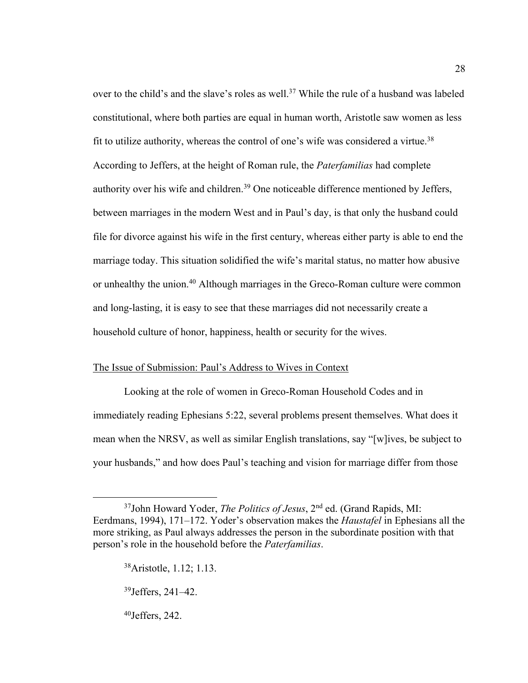over to the child's and the slave's roles as well.<sup>37</sup> While the rule of a husband was labeled constitutional, where both parties are equal in human worth, Aristotle saw women as less fit to utilize authority, whereas the control of one's wife was considered a virtue.<sup>38</sup> According to Jeffers, at the height of Roman rule, the *Paterfamilias* had complete authority over his wife and children.<sup>39</sup> One noticeable difference mentioned by Jeffers, between marriages in the modern West and in Paul's day, is that only the husband could file for divorce against his wife in the first century, whereas either party is able to end the marriage today. This situation solidified the wife's marital status, no matter how abusive or unhealthy the union.<sup>40</sup> Although marriages in the Greco-Roman culture were common and long-lasting, it is easy to see that these marriages did not necessarily create a household culture of honor, happiness, health or security for the wives.

28

## The Issue of Submission: Paul's Address to Wives in Context

Looking at the role of women in Greco-Roman Household Codes and in immediately reading Ephesians 5:22, several problems present themselves. What does it mean when the NRSV, as well as similar English translations, say "[w]ives, be subject to your husbands," and how does Paul's teaching and vision for marriage differ from those

<sup>37</sup>John Howard Yoder, *The Politics of Jesus*, 2nd ed. (Grand Rapids, MI: Eerdmans, 1994), 171–172. Yoder's observation makes the *Haustafel* in Ephesians all the more striking, as Paul always addresses the person in the subordinate position with that person's role in the household before the *Paterfamilias*.

<sup>38</sup>Aristotle, 1.12; 1.13.

<sup>39</sup>Jeffers, 241–42.

 $40$  Jeffers, 242.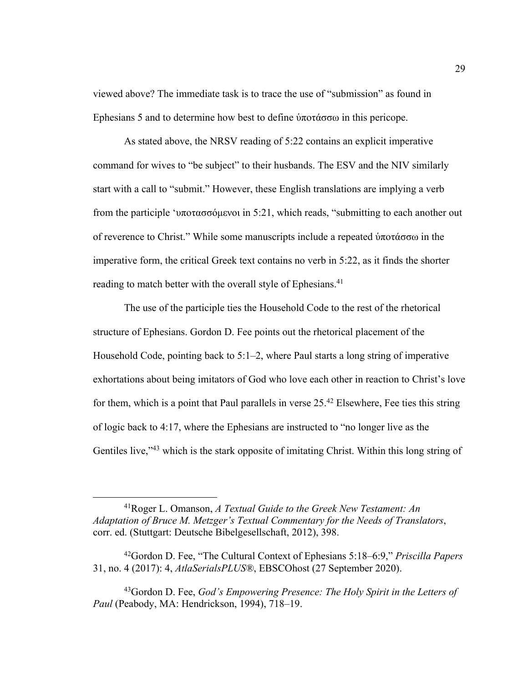viewed above? The immediate task is to trace the use of "submission" as found in Ephesians 5 and to determine how best to define ὑποτάσσω in this pericope.

As stated above, the NRSV reading of 5:22 contains an explicit imperative command for wives to "be subject" to their husbands. The ESV and the NIV similarly start with a call to "submit." However, these English translations are implying a verb from the participle 'υποτασσόμενοι in 5:21, which reads, "submitting to each another out of reverence to Christ." While some manuscripts include a repeated ὑποτάσσω in the imperative form, the critical Greek text contains no verb in 5:22, as it finds the shorter reading to match better with the overall style of Ephesians.<sup>41</sup>

The use of the participle ties the Household Code to the rest of the rhetorical structure of Ephesians. Gordon D. Fee points out the rhetorical placement of the Household Code, pointing back to 5:1–2, where Paul starts a long string of imperative exhortations about being imitators of God who love each other in reaction to Christ's love for them, which is a point that Paul parallels in verse  $25<sup>42</sup>$  Elsewhere, Fee ties this string of logic back to 4:17, where the Ephesians are instructed to "no longer live as the Gentiles live,"<sup>43</sup> which is the stark opposite of imitating Christ. Within this long string of

<sup>41</sup>Roger L. Omanson, *A Textual Guide to the Greek New Testament: An Adaptation of Bruce M. Metzger's Textual Commentary for the Needs of Translators*, corr. ed. (Stuttgart: Deutsche Bibelgesellschaft, 2012), 398.

<sup>42</sup>Gordon D. Fee, "The Cultural Context of Ephesians 5:18–6:9," *Priscilla Papers*  31, no. 4 (2017): 4, *AtlaSerialsPLUS®*, EBSCOhost (27 September 2020).

<sup>43</sup>Gordon D. Fee, *God's Empowering Presence: The Holy Spirit in the Letters of Paul* (Peabody, MA: Hendrickson, 1994), 718–19.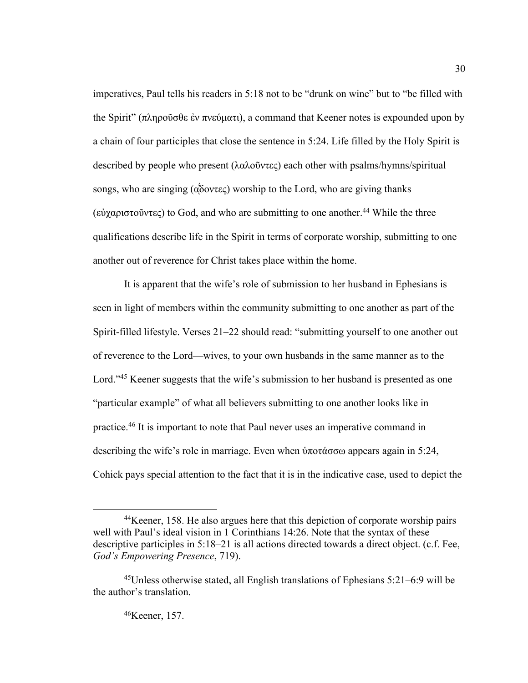imperatives, Paul tells his readers in 5:18 not to be "drunk on wine" but to "be filled with the Spirit" (πληροῦσθε ἐν πνεύματι), a command that Keener notes is expounded upon by a chain of four participles that close the sentence in 5:24. Life filled by the Holy Spirit is described by people who present (λαλοῦντες) each other with psalms/hymns/spiritual songs, who are singing ( $\alpha\delta$  over  $\alpha$ ) worship to the Lord, who are giving thanks (εὐχαριστοῦντες) to God, and who are submitting to one another.<sup>44</sup> While the three qualifications describe life in the Spirit in terms of corporate worship, submitting to one another out of reverence for Christ takes place within the home.

It is apparent that the wife's role of submission to her husband in Ephesians is seen in light of members within the community submitting to one another as part of the Spirit-filled lifestyle. Verses 21–22 should read: "submitting yourself to one another out of reverence to the Lord—wives, to your own husbands in the same manner as to the Lord."<sup>45</sup> Keener suggests that the wife's submission to her husband is presented as one "particular example" of what all believers submitting to one another looks like in practice.46 It is important to note that Paul never uses an imperative command in describing the wife's role in marriage. Even when ὑποτάσσω appears again in 5:24, Cohick pays special attention to the fact that it is in the indicative case, used to depict the

<sup>44</sup>Keener, 158. He also argues here that this depiction of corporate worship pairs well with Paul's ideal vision in 1 Corinthians 14:26. Note that the syntax of these descriptive participles in 5:18–21 is all actions directed towards a direct object. (c.f. Fee, *God's Empowering Presence*, 719).

<sup>45</sup>Unless otherwise stated, all English translations of Ephesians 5:21–6:9 will be the author's translation.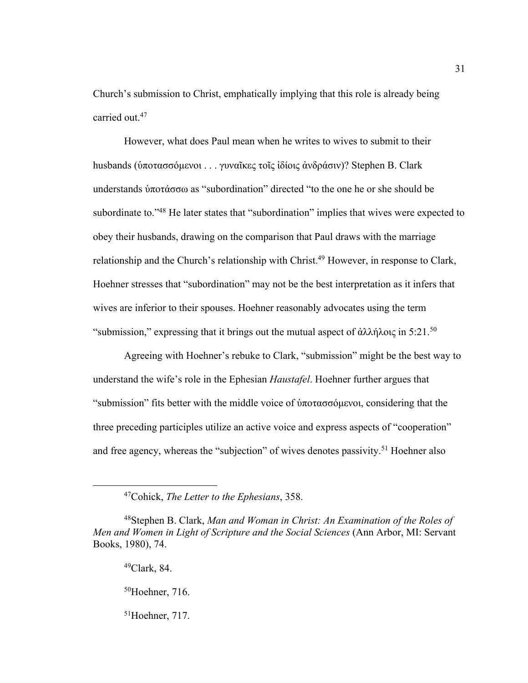Church's submission to Christ, emphatically implying that this role is already being carried out.47

However, what does Paul mean when he writes to wives to submit to their husbands (ὑποτασσόμενοι . . . γυναῖκες τοῖς ἰδίοις ἀνδράσιν)? Stephen B. Clark understands ὑποτάσσω as "subordination" directed "to the one he or she should be subordinate to."<sup>48</sup> He later states that "subordination" implies that wives were expected to obey their husbands, drawing on the comparison that Paul draws with the marriage relationship and the Church's relationship with Christ.<sup>49</sup> However, in response to Clark, Hoehner stresses that "subordination" may not be the best interpretation as it infers that wives are inferior to their spouses. Hoehner reasonably advocates using the term "submission," expressing that it brings out the mutual aspect of ἀλλήλοις in 5:21.<sup>50</sup>

Agreeing with Hoehner's rebuke to Clark, "submission" might be the best way to understand the wife's role in the Ephesian *Haustafel*. Hoehner further argues that "submission" fits better with the middle voice of ὑποτασσόμενοι, considering that the three preceding participles utilize an active voice and express aspects of "cooperation" and free agency, whereas the "subjection" of wives denotes passivity.<sup>51</sup> Hoehner also

<sup>47</sup>Cohick, *The Letter to the Ephesians*, 358.

<sup>48</sup>Stephen B. Clark, *Man and Woman in Christ: An Examination of the Roles of Men and Women in Light of Scripture and the Social Sciences* (Ann Arbor, MI: Servant Books, 1980), 74.

 $49$ Clark, 84.

<sup>50</sup>Hoehner, 716.

<sup>51</sup>Hoehner, 717.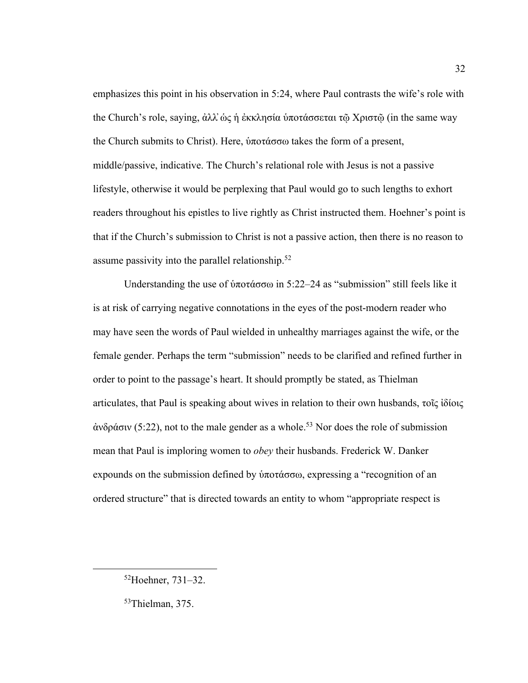emphasizes this point in his observation in 5:24, where Paul contrasts the wife's role with the Church's role, saying, ἀλλ̓ὡς ἡ ἐκκλησία ὑποτάσσεται τῷ Χριστῷ (in the same way the Church submits to Christ). Here, ὑποτάσσω takes the form of a present, middle/passive, indicative. The Church's relational role with Jesus is not a passive lifestyle, otherwise it would be perplexing that Paul would go to such lengths to exhort readers throughout his epistles to live rightly as Christ instructed them. Hoehner's point is that if the Church's submission to Christ is not a passive action, then there is no reason to assume passivity into the parallel relationship.52

Understanding the use of ὑποτάσσω in 5:22–24 as "submission" still feels like it is at risk of carrying negative connotations in the eyes of the post-modern reader who may have seen the words of Paul wielded in unhealthy marriages against the wife, or the female gender. Perhaps the term "submission" needs to be clarified and refined further in order to point to the passage's heart. It should promptly be stated, as Thielman articulates, that Paul is speaking about wives in relation to their own husbands, τοῖς ἰδίοις  $\alpha$ νδράσιν (5:22), not to the male gender as a whole.<sup>53</sup> Nor does the role of submission mean that Paul is imploring women to *obey* their husbands. Frederick W. Danker expounds on the submission defined by ὑποτάσσω, expressing a "recognition of an ordered structure" that is directed towards an entity to whom "appropriate respect is

<sup>52</sup>Hoehner, 731–32.

<sup>53</sup>Thielman, 375.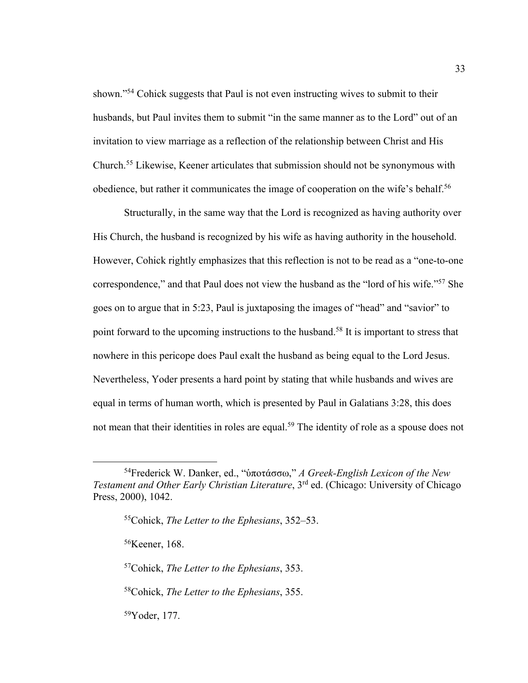shown."54 Cohick suggests that Paul is not even instructing wives to submit to their husbands, but Paul invites them to submit "in the same manner as to the Lord" out of an invitation to view marriage as a reflection of the relationship between Christ and His Church.55 Likewise, Keener articulates that submission should not be synonymous with obedience, but rather it communicates the image of cooperation on the wife's behalf.<sup>56</sup>

Structurally, in the same way that the Lord is recognized as having authority over His Church, the husband is recognized by his wife as having authority in the household. However, Cohick rightly emphasizes that this reflection is not to be read as a "one-to-one correspondence," and that Paul does not view the husband as the "lord of his wife."57 She goes on to argue that in 5:23, Paul is juxtaposing the images of "head" and "savior" to point forward to the upcoming instructions to the husband.<sup>58</sup> It is important to stress that nowhere in this pericope does Paul exalt the husband as being equal to the Lord Jesus. Nevertheless, Yoder presents a hard point by stating that while husbands and wives are equal in terms of human worth, which is presented by Paul in Galatians 3:28, this does not mean that their identities in roles are equal.<sup>59</sup> The identity of role as a spouse does not

56Keener, 168.

57Cohick, *The Letter to the Ephesians*, 353.

58Cohick, *The Letter to the Ephesians*, 355.

59Yoder, 177.

<sup>54</sup>Frederick W. Danker, ed., "ὑποτάσσω," *A Greek-English Lexicon of the New Testament and Other Early Christian Literature*, 3<sup>rd</sup> ed. (Chicago: University of Chicago Press, 2000), 1042.

<sup>55</sup>Cohick, *The Letter to the Ephesians*, 352–53.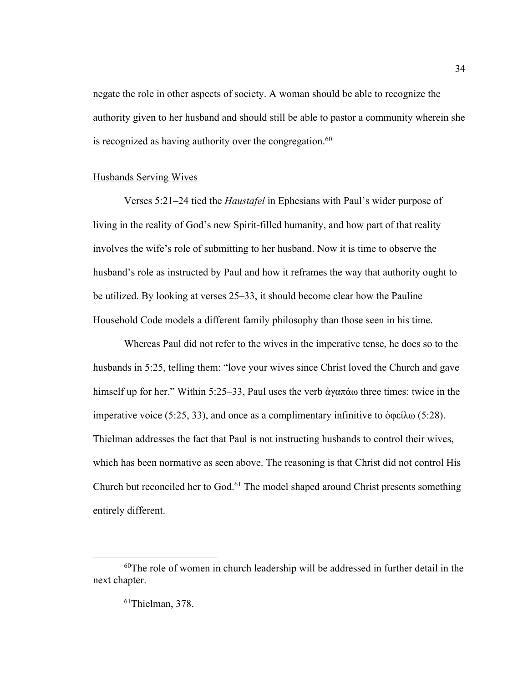negate the role in other aspects of society. A woman should be able to recognize the authority given to her husband and should still be able to pastor a community wherein she is recognized as having authority over the congregation. $60$ 

### Husbands Serving Wives

Verses 5:21–24 tied the *Haustafel* in Ephesians with Paul's wider purpose of living in the reality of God's new Spirit-filled humanity, and how part of that reality involves the wife's role of submitting to her husband. Now it is time to observe the husband's role as instructed by Paul and how it reframes the way that authority ought to be utilized. By looking at verses 25–33, it should become clear how the Pauline Household Code models a different family philosophy than those seen in his time.

Whereas Paul did not refer to the wives in the imperative tense, he does so to the husbands in 5:25, telling them: "love your wives since Christ loved the Church and gave himself up for her." Within 5:25–33, Paul uses the verb ἀγαπάω three times: twice in the imperative voice (5:25, 33), and once as a complimentary infinitive to  $\delta \varphi \in \mathfrak{so} (5:28)$ . Thielman addresses the fact that Paul is not instructing husbands to control their wives, which has been normative as seen above. The reasoning is that Christ did not control His Church but reconciled her to God.<sup>61</sup> The model shaped around Christ presents something entirely different.

 $60$ The role of women in church leadership will be addressed in further detail in the next chapter.

<sup>61</sup>Thielman, 378.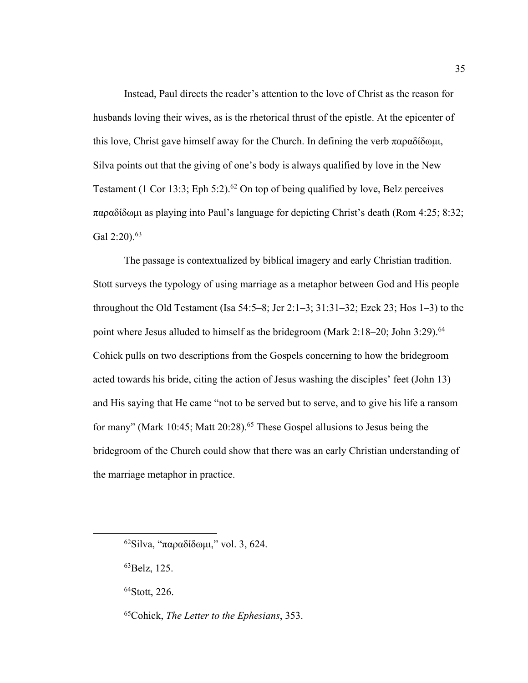Instead, Paul directs the reader's attention to the love of Christ as the reason for husbands loving their wives, as is the rhetorical thrust of the epistle. At the epicenter of this love, Christ gave himself away for the Church. In defining the verb παραδίδωμι, Silva points out that the giving of one's body is always qualified by love in the New Testament (1 Cor 13:3; Eph 5:2).<sup>62</sup> On top of being qualified by love, Belz perceives παραδίδωμι as playing into Paul's language for depicting Christ's death (Rom 4:25; 8:32; Gal  $2:20$ ).  $63$ 

The passage is contextualized by biblical imagery and early Christian tradition. Stott surveys the typology of using marriage as a metaphor between God and His people throughout the Old Testament (Isa  $54:5-8$ ; Jer  $2:1-3$ ;  $31:31-32$ ; Ezek  $23$ ; Hos  $1-3$ ) to the point where Jesus alluded to himself as the bridegroom (Mark 2:18–20; John 3:29).<sup>64</sup> Cohick pulls on two descriptions from the Gospels concerning to how the bridegroom acted towards his bride, citing the action of Jesus washing the disciples' feet (John 13) and His saying that He came "not to be served but to serve, and to give his life a ransom for many" (Mark 10:45; Matt 20:28).65 These Gospel allusions to Jesus being the bridegroom of the Church could show that there was an early Christian understanding of the marriage metaphor in practice.

 $62$ Silva, "παραδίδωμι," vol. 3, 624.

<sup>63</sup>Belz, 125.

<sup>64</sup>Stott, 226.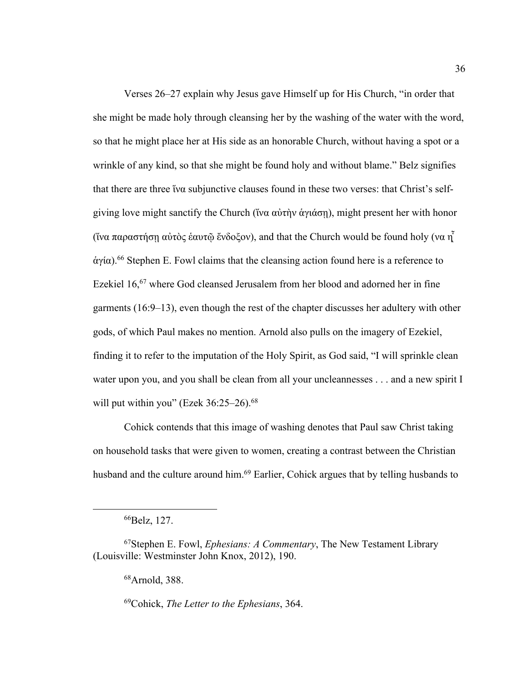Verses 26–27 explain why Jesus gave Himself up for His Church, "in order that she might be made holy through cleansing her by the washing of the water with the word, so that he might place her at His side as an honorable Church, without having a spot or a wrinkle of any kind, so that she might be found holy and without blame." Belz signifies that there are three "*iva* subjunctive clauses found in these two verses: that Christ's selfgiving love might sanctify the Church (ἵνα αὐτὴν ἁγιάσῃ), might present her with honor ("vα παραστήση αὐτὸς ἑαυτῶ ἔνδοξον), and that the Church would be found holy (να  $\overline{\mathbf{u}}$ ͂ άγία).<sup>66</sup> Stephen E. Fowl claims that the cleansing action found here is a reference to Ezekiel 16,<sup>67</sup> where God cleansed Jerusalem from her blood and adorned her in fine garments (16:9–13), even though the rest of the chapter discusses her adultery with other gods, of which Paul makes no mention. Arnold also pulls on the imagery of Ezekiel, finding it to refer to the imputation of the Holy Spirit, as God said, "I will sprinkle clean water upon you, and you shall be clean from all your uncleannesses . . . and a new spirit I will put within you" (Ezek  $36:25-26$ ).<sup>68</sup>

Cohick contends that this image of washing denotes that Paul saw Christ taking on household tasks that were given to women, creating a contrast between the Christian husband and the culture around him.<sup>69</sup> Earlier, Cohick argues that by telling husbands to

68Arnold, 388.

69Cohick, *The Letter to the Ephesians*, 364.

<sup>66</sup>Belz, 127.

<sup>67</sup>Stephen E. Fowl, *Ephesians: A Commentary*, The New Testament Library (Louisville: Westminster John Knox, 2012), 190.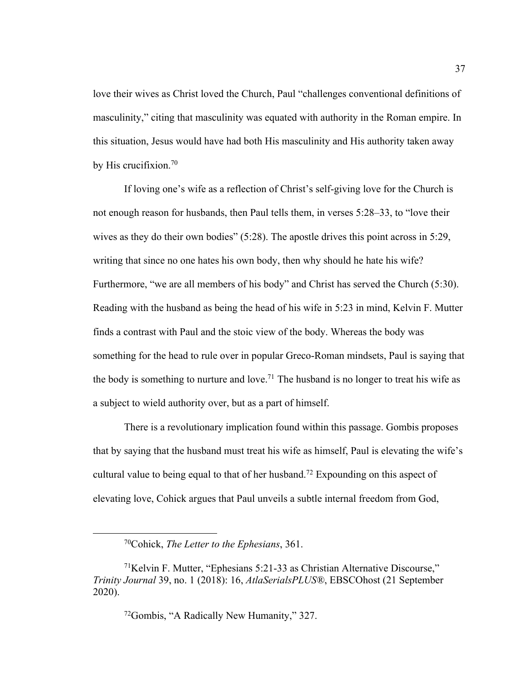love their wives as Christ loved the Church, Paul "challenges conventional definitions of masculinity," citing that masculinity was equated with authority in the Roman empire. In this situation, Jesus would have had both His masculinity and His authority taken away by His crucifixion. $70$ 

If loving one's wife as a reflection of Christ's self-giving love for the Church is not enough reason for husbands, then Paul tells them, in verses 5:28–33, to "love their wives as they do their own bodies" (5:28). The apostle drives this point across in 5:29, writing that since no one hates his own body, then why should he hate his wife? Furthermore, "we are all members of his body" and Christ has served the Church (5:30). Reading with the husband as being the head of his wife in 5:23 in mind, Kelvin F. Mutter finds a contrast with Paul and the stoic view of the body. Whereas the body was something for the head to rule over in popular Greco-Roman mindsets, Paul is saying that the body is something to nurture and love.<sup>71</sup> The husband is no longer to treat his wife as a subject to wield authority over, but as a part of himself.

There is a revolutionary implication found within this passage. Gombis proposes that by saying that the husband must treat his wife as himself, Paul is elevating the wife's cultural value to being equal to that of her husband.<sup>72</sup> Expounding on this aspect of elevating love, Cohick argues that Paul unveils a subtle internal freedom from God,

<sup>70</sup>Cohick, *The Letter to the Ephesians*, 361.

<sup>71</sup>Kelvin F. Mutter, "Ephesians 5:21-33 as Christian Alternative Discourse," *Trinity Journal* 39, no. 1 (2018): 16, *AtlaSerialsPLUS®*, EBSCOhost (21 September 2020).

<sup>72</sup>Gombis, "A Radically New Humanity," 327.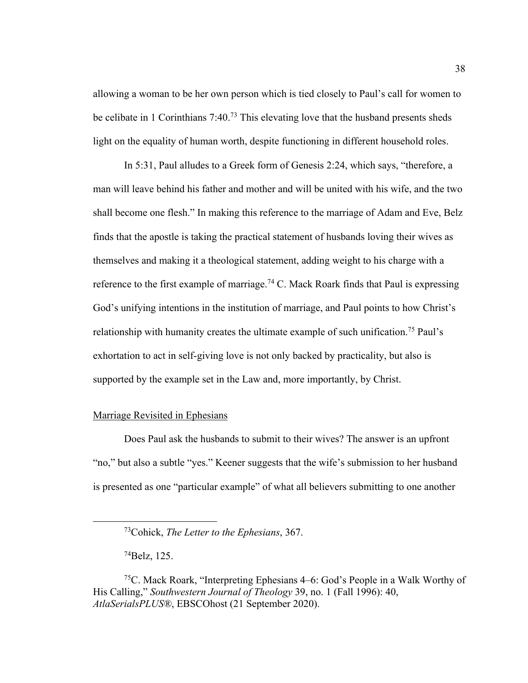allowing a woman to be her own person which is tied closely to Paul's call for women to be celibate in 1 Corinthians 7:40.<sup>73</sup> This elevating love that the husband presents sheds light on the equality of human worth, despite functioning in different household roles.

In 5:31, Paul alludes to a Greek form of Genesis 2:24, which says, "therefore, a man will leave behind his father and mother and will be united with his wife, and the two shall become one flesh." In making this reference to the marriage of Adam and Eve, Belz finds that the apostle is taking the practical statement of husbands loving their wives as themselves and making it a theological statement, adding weight to his charge with a reference to the first example of marriage.<sup>74</sup> C. Mack Roark finds that Paul is expressing God's unifying intentions in the institution of marriage, and Paul points to how Christ's relationship with humanity creates the ultimate example of such unification.<sup>75</sup> Paul's exhortation to act in self-giving love is not only backed by practicality, but also is supported by the example set in the Law and, more importantly, by Christ.

# Marriage Revisited in Ephesians

Does Paul ask the husbands to submit to their wives? The answer is an upfront "no," but also a subtle "yes." Keener suggests that the wife's submission to her husband is presented as one "particular example" of what all believers submitting to one another

74Belz, 125.

<sup>73</sup>Cohick, *The Letter to the Ephesians*, 367.

<sup>75</sup>C. Mack Roark, "Interpreting Ephesians 4–6: God's People in a Walk Worthy of His Calling," *Southwestern Journal of Theology* 39, no. 1 (Fall 1996): 40, *AtlaSerialsPLUS®*, EBSCOhost (21 September 2020).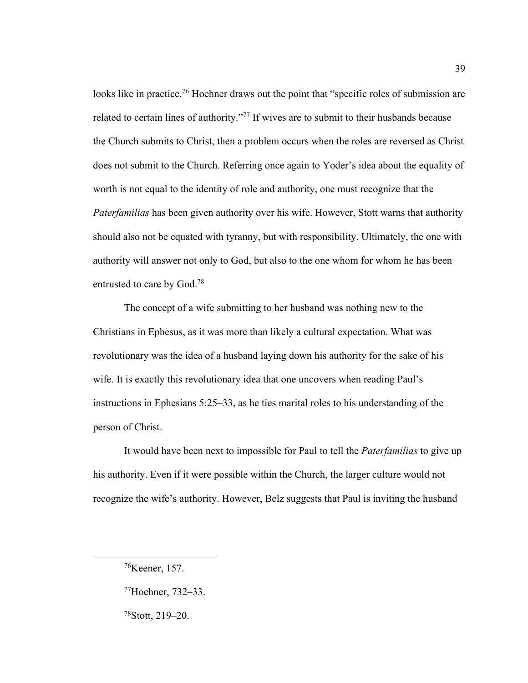looks like in practice.<sup>76</sup> Hoehner draws out the point that "specific roles of submission are related to certain lines of authority."<sup>77</sup> If wives are to submit to their husbands because the Church submits to Christ, then a problem occurs when the roles are reversed as Christ does not submit to the Church. Referring once again to Yoder's idea about the equality of worth is not equal to the identity of role and authority, one must recognize that the *Paterfamilias* has been given authority over his wife. However, Stott warns that authority should also not be equated with tyranny, but with responsibility. Ultimately, the one with authority will answer not only to God, but also to the one whom for whom he has been entrusted to care by God.78

The concept of a wife submitting to her husband was nothing new to the Christians in Ephesus, as it was more than likely a cultural expectation. What was revolutionary was the idea of a husband laying down his authority for the sake of his wife. It is exactly this revolutionary idea that one uncovers when reading Paul's instructions in Ephesians 5:25–33, as he ties marital roles to his understanding of the person of Christ.

It would have been next to impossible for Paul to tell the *Paterfamilias* to give up his authority. Even if it were possible within the Church, the larger culture would not recognize the wife's authority. However, Belz suggests that Paul is inviting the husband

<sup>76</sup>Keener, 157.

<sup>77</sup>Hoehner, 732–33.

<sup>78</sup>Stott, 219–20.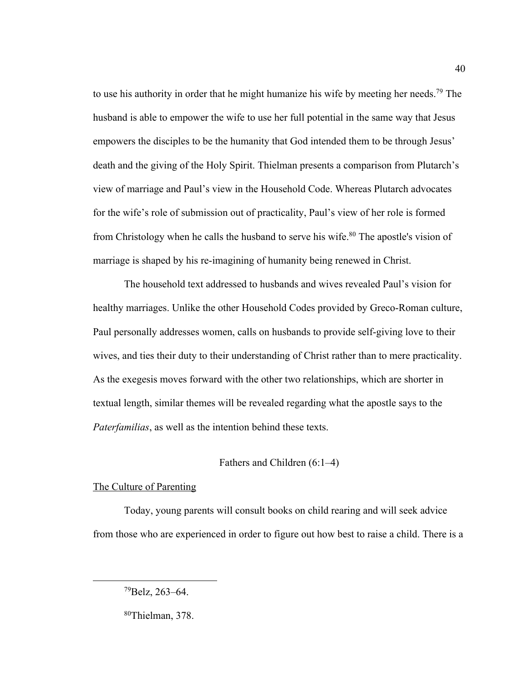to use his authority in order that he might humanize his wife by meeting her needs.79 The husband is able to empower the wife to use her full potential in the same way that Jesus empowers the disciples to be the humanity that God intended them to be through Jesus' death and the giving of the Holy Spirit. Thielman presents a comparison from Plutarch's view of marriage and Paul's view in the Household Code. Whereas Plutarch advocates for the wife's role of submission out of practicality, Paul's view of her role is formed from Christology when he calls the husband to serve his wife.<sup>80</sup> The apostle's vision of marriage is shaped by his re-imagining of humanity being renewed in Christ.

The household text addressed to husbands and wives revealed Paul's vision for healthy marriages. Unlike the other Household Codes provided by Greco-Roman culture, Paul personally addresses women, calls on husbands to provide self-giving love to their wives, and ties their duty to their understanding of Christ rather than to mere practicality. As the exegesis moves forward with the other two relationships, which are shorter in textual length, similar themes will be revealed regarding what the apostle says to the *Paterfamilias*, as well as the intention behind these texts.

# Fathers and Children (6:1–4)

#### The Culture of Parenting

Today, young parents will consult books on child rearing and will seek advice from those who are experienced in order to figure out how best to raise a child. There is a

<sup>79</sup>Belz, 263–64.

<sup>80</sup>Thielman, 378.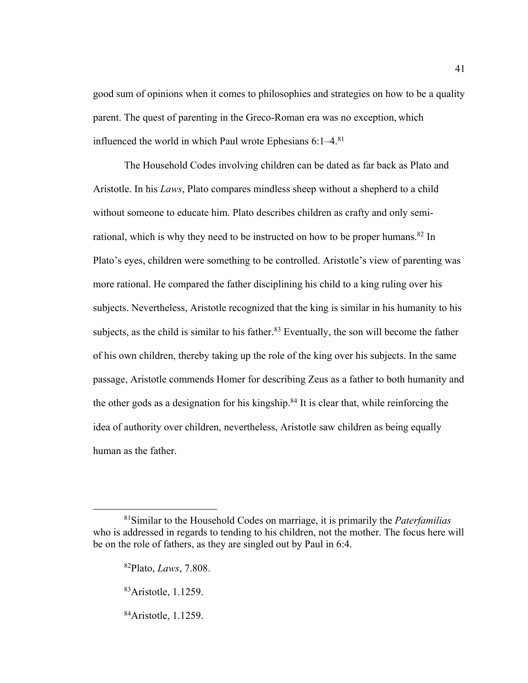good sum of opinions when it comes to philosophies and strategies on how to be a quality parent. The quest of parenting in the Greco-Roman era was no exception, which influenced the world in which Paul wrote Ephesians  $6:1-4$ <sup>81</sup>

The Household Codes involving children can be dated as far back as Plato and Aristotle. In his *Laws*, Plato compares mindless sheep without a shepherd to a child without someone to educate him. Plato describes children as crafty and only semirational, which is why they need to be instructed on how to be proper humans.<sup>82</sup> In Plato's eyes, children were something to be controlled. Aristotle's view of parenting was more rational. He compared the father disciplining his child to a king ruling over his subjects. Nevertheless, Aristotle recognized that the king is similar in his humanity to his subjects, as the child is similar to his father.<sup>83</sup> Eventually, the son will become the father of his own children, thereby taking up the role of the king over his subjects. In the same passage, Aristotle commends Homer for describing Zeus as a father to both humanity and the other gods as a designation for his kingship. $84$  It is clear that, while reinforcing the idea of authority over children, nevertheless, Aristotle saw children as being equally human as the father.

<sup>81</sup>Similar to the Household Codes on marriage, it is primarily the *Paterfamilias* who is addressed in regards to tending to his children, not the mother. The focus here will be on the role of fathers, as they are singled out by Paul in 6:4.

<sup>82</sup>Plato, *Laws*, 7.808.

<sup>83</sup>Aristotle, 1.1259.

<sup>84</sup>Aristotle, 1.1259.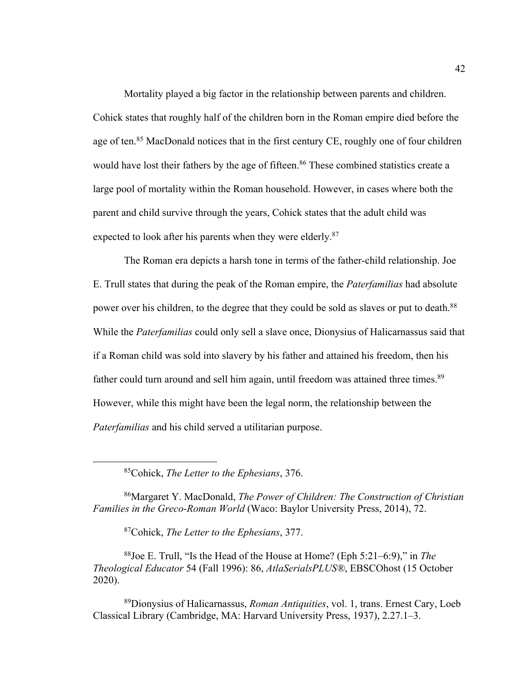Mortality played a big factor in the relationship between parents and children. Cohick states that roughly half of the children born in the Roman empire died before the age of ten.<sup>85</sup> MacDonald notices that in the first century CE, roughly one of four children would have lost their fathers by the age of fifteen.<sup>86</sup> These combined statistics create a large pool of mortality within the Roman household. However, in cases where both the parent and child survive through the years, Cohick states that the adult child was expected to look after his parents when they were elderly.<sup>87</sup>

The Roman era depicts a harsh tone in terms of the father-child relationship. Joe E. Trull states that during the peak of the Roman empire, the *Paterfamilias* had absolute power over his children, to the degree that they could be sold as slaves or put to death.<sup>88</sup> While the *Paterfamilias* could only sell a slave once, Dionysius of Halicarnassus said that if a Roman child was sold into slavery by his father and attained his freedom, then his father could turn around and sell him again, until freedom was attained three times.<sup>89</sup> However, while this might have been the legal norm, the relationship between the *Paterfamilias* and his child served a utilitarian purpose.

85Cohick, *The Letter to the Ephesians*, 376.

86Margaret Y. MacDonald, *The Power of Children: The Construction of Christian Families in the Greco-Roman World* (Waco: Baylor University Press, 2014), 72.

87Cohick, *The Letter to the Ephesians*, 377.

88Joe E. Trull, "Is the Head of the House at Home? (Eph 5:21–6:9)," in *The Theological Educator* 54 (Fall 1996): 86, *AtlaSerialsPLUS®*, EBSCOhost (15 October 2020).

89Dionysius of Halicarnassus, *Roman Antiquities*, vol. 1, trans. Ernest Cary, Loeb Classical Library (Cambridge, MA: Harvard University Press, 1937), 2.27.1–3.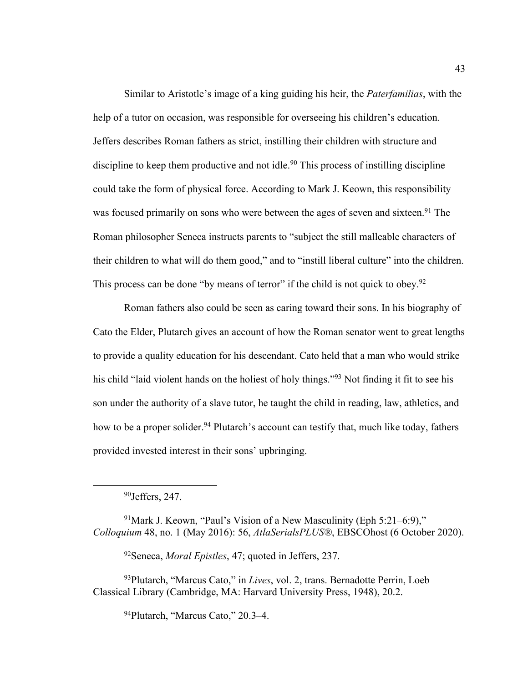Similar to Aristotle's image of a king guiding his heir, the *Paterfamilias*, with the help of a tutor on occasion, was responsible for overseeing his children's education. Jeffers describes Roman fathers as strict, instilling their children with structure and discipline to keep them productive and not idle.<sup>90</sup> This process of instilling discipline could take the form of physical force. According to Mark J. Keown, this responsibility was focused primarily on sons who were between the ages of seven and sixteen.<sup>91</sup> The Roman philosopher Seneca instructs parents to "subject the still malleable characters of their children to what will do them good," and to "instill liberal culture" into the children. This process can be done "by means of terror" if the child is not quick to obey.<sup>92</sup>

Roman fathers also could be seen as caring toward their sons. In his biography of Cato the Elder, Plutarch gives an account of how the Roman senator went to great lengths to provide a quality education for his descendant. Cato held that a man who would strike his child "laid violent hands on the holiest of holy things."<sup>93</sup> Not finding it fit to see his son under the authority of a slave tutor, he taught the child in reading, law, athletics, and how to be a proper solider.<sup>94</sup> Plutarch's account can testify that, much like today, fathers provided invested interest in their sons' upbringing.

<sup>91</sup>Mark J. Keown, "Paul's Vision of a New Masculinity (Eph 5:21–6:9)," *Colloquium* 48, no. 1 (May 2016): 56, *AtlaSerialsPLUS®*, EBSCOhost (6 October 2020).

92Seneca, *Moral Epistles*, 47; quoted in Jeffers, 237.

93Plutarch, "Marcus Cato," in *Lives*, vol. 2, trans. Bernadotte Perrin, Loeb Classical Library (Cambridge, MA: Harvard University Press, 1948), 20.2.

94Plutarch, "Marcus Cato," 20.3–4.

<sup>90</sup>Jeffers, 247.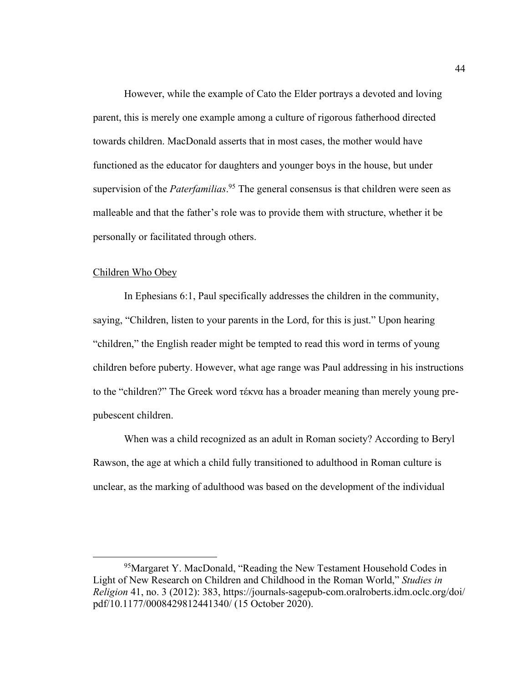However, while the example of Cato the Elder portrays a devoted and loving parent, this is merely one example among a culture of rigorous fatherhood directed towards children. MacDonald asserts that in most cases, the mother would have functioned as the educator for daughters and younger boys in the house, but under supervision of the *Paterfamilias*. <sup>95</sup> The general consensus is that children were seen as malleable and that the father's role was to provide them with structure, whether it be personally or facilitated through others.

## Children Who Obey

In Ephesians 6:1, Paul specifically addresses the children in the community, saying, "Children, listen to your parents in the Lord, for this is just." Upon hearing "children," the English reader might be tempted to read this word in terms of young children before puberty. However, what age range was Paul addressing in his instructions to the "children?" The Greek word τέκνα has a broader meaning than merely young prepubescent children.

When was a child recognized as an adult in Roman society? According to Beryl Rawson, the age at which a child fully transitioned to adulthood in Roman culture is unclear, as the marking of adulthood was based on the development of the individual

<sup>&</sup>lt;sup>95</sup>Margaret Y. MacDonald, "Reading the New Testament Household Codes in Light of New Research on Children and Childhood in the Roman World," *Studies in Religion* 41, no. 3 (2012): 383, https://journals-sagepub-com.oralroberts.idm.oclc.org/doi/ pdf/10.1177/0008429812441340/ (15 October 2020).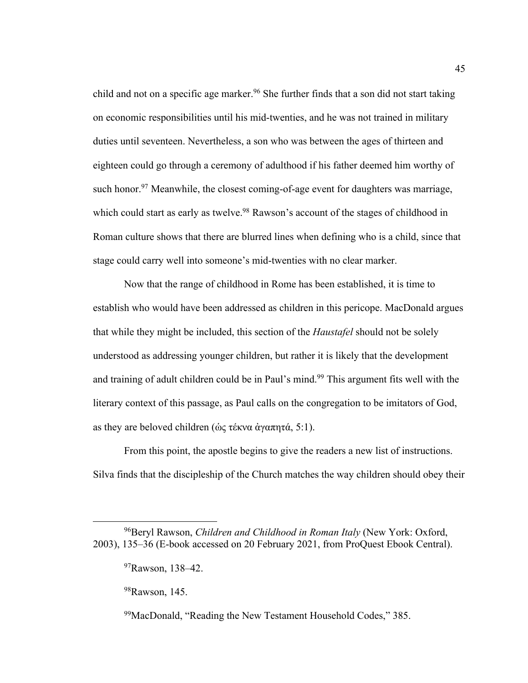child and not on a specific age marker.<sup>96</sup> She further finds that a son did not start taking on economic responsibilities until his mid-twenties, and he was not trained in military duties until seventeen. Nevertheless, a son who was between the ages of thirteen and eighteen could go through a ceremony of adulthood if his father deemed him worthy of such honor.<sup>97</sup> Meanwhile, the closest coming-of-age event for daughters was marriage, which could start as early as twelve.<sup>98</sup> Rawson's account of the stages of childhood in Roman culture shows that there are blurred lines when defining who is a child, since that stage could carry well into someone's mid-twenties with no clear marker.

Now that the range of childhood in Rome has been established, it is time to establish who would have been addressed as children in this pericope. MacDonald argues that while they might be included, this section of the *Haustafel* should not be solely understood as addressing younger children, but rather it is likely that the development and training of adult children could be in Paul's mind.<sup>99</sup> This argument fits well with the literary context of this passage, as Paul calls on the congregation to be imitators of God, as they are beloved children ( $\&$ ς τέκνα άγαπητά, 5:1).

From this point, the apostle begins to give the readers a new list of instructions. Silva finds that the discipleship of the Church matches the way children should obey their

<sup>96</sup>Beryl Rawson, *Children and Childhood in Roman Italy* (New York: Oxford, 2003), 135–36 (E-book accessed on 20 February 2021, from ProQuest Ebook Central).

<sup>97</sup>Rawson, 138–42.

<sup>98</sup>Rawson, 145.

 $99$ MacDonald, "Reading the New Testament Household Codes," 385.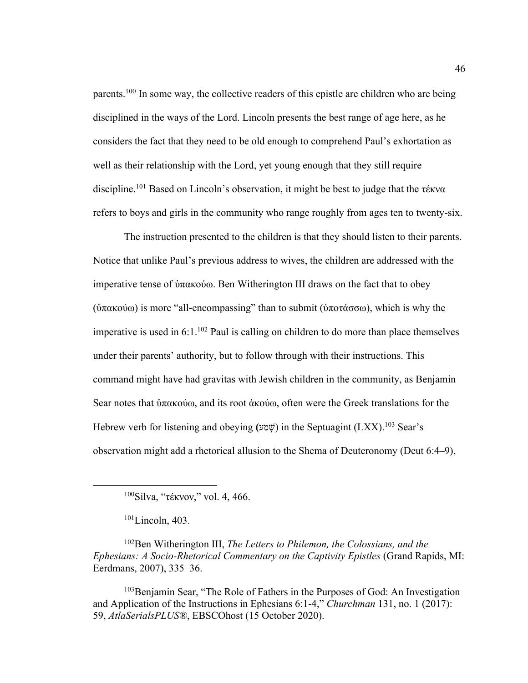parents.100 In some way, the collective readers of this epistle are children who are being disciplined in the ways of the Lord. Lincoln presents the best range of age here, as he considers the fact that they need to be old enough to comprehend Paul's exhortation as well as their relationship with the Lord, yet young enough that they still require discipline.<sup>101</sup> Based on Lincoln's observation, it might be best to judge that the τέκνα refers to boys and girls in the community who range roughly from ages ten to twenty-six.

The instruction presented to the children is that they should listen to their parents. Notice that unlike Paul's previous address to wives, the children are addressed with the imperative tense of ὑπακούω. Ben Witherington III draws on the fact that to obey (ὑπακούω) is more "all-encompassing" than to submit (ὑποτάσσω), which is why the imperative is used in  $6:1.^{102}$  Paul is calling on children to do more than place themselves under their parents' authority, but to follow through with their instructions. This command might have had gravitas with Jewish children in the community, as Benjamin Sear notes that ὑπακούω, and its root ἀκούω, often were the Greek translations for the Hebrew verb for listening and obeying **(** שָׁמַע ( in the Septuagint (LXX).103 Sear's observation might add a rhetorical allusion to the Shema of Deuteronomy (Deut 6:4–9),

102Ben Witherington III, *The Letters to Philemon, the Colossians, and the Ephesians: A Socio-Rhetorical Commentary on the Captivity Epistles* (Grand Rapids, MI: Eerdmans, 2007), 335–36.

<sup>103</sup>Benjamin Sear, "The Role of Fathers in the Purposes of God: An Investigation and Application of the Instructions in Ephesians 6:1-4," *Churchman* 131, no. 1 (2017): 59, *AtlaSerialsPLUS®*, EBSCOhost (15 October 2020).

<sup>100</sup>Silva, "τέκνον," vol. 4, 466.

 $101$ Lincoln, 403.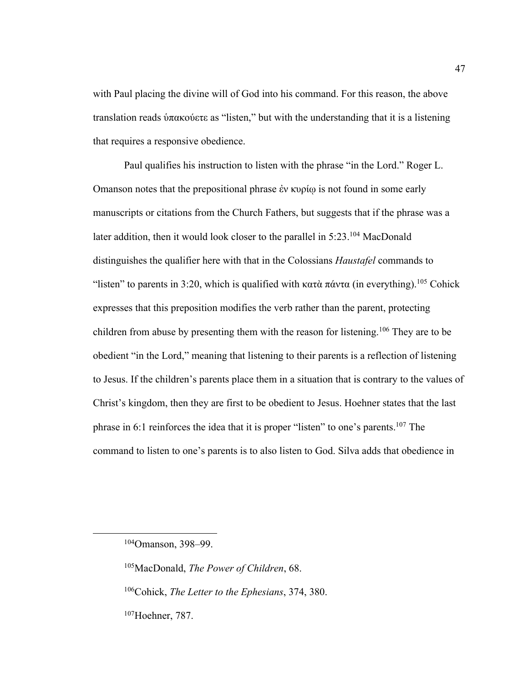with Paul placing the divine will of God into his command. For this reason, the above translation reads ὑπακούετε as "listen," but with the understanding that it is a listening that requires a responsive obedience.

Paul qualifies his instruction to listen with the phrase "in the Lord." Roger L. Omanson notes that the prepositional phrase ἐν κυρίῳ is not found in some early manuscripts or citations from the Church Fathers, but suggests that if the phrase was a later addition, then it would look closer to the parallel in 5:23.<sup>104</sup> MacDonald distinguishes the qualifier here with that in the Colossians *Haustafel* commands to "listen" to parents in 3:20, which is qualified with κατὰ πάντα (in everything).<sup>105</sup> Cohick expresses that this preposition modifies the verb rather than the parent, protecting children from abuse by presenting them with the reason for listening.<sup>106</sup> They are to be obedient "in the Lord," meaning that listening to their parents is a reflection of listening to Jesus. If the children's parents place them in a situation that is contrary to the values of Christ's kingdom, then they are first to be obedient to Jesus. Hoehner states that the last phrase in 6:1 reinforces the idea that it is proper "listen" to one's parents.107 The command to listen to one's parents is to also listen to God. Silva adds that obedience in

<sup>104</sup>Omanson, 398–99.

<sup>105</sup>MacDonald, *The Power of Children*, 68.

<sup>106</sup>Cohick, *The Letter to the Ephesians*, 374, 380.

<sup>107</sup>Hoehner, 787.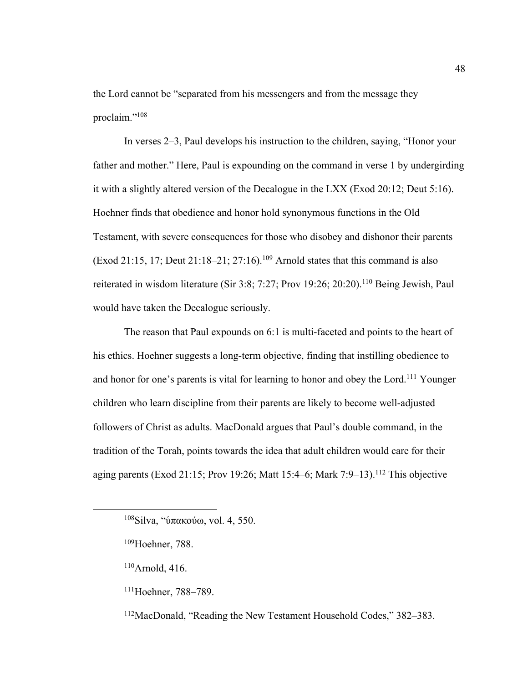the Lord cannot be "separated from his messengers and from the message they proclaim."<sup>108</sup>

In verses 2–3, Paul develops his instruction to the children, saying, "Honor your father and mother." Here, Paul is expounding on the command in verse 1 by undergirding it with a slightly altered version of the Decalogue in the LXX (Exod 20:12; Deut 5:16). Hoehner finds that obedience and honor hold synonymous functions in the Old Testament, with severe consequences for those who disobey and dishonor their parents (Exod 21:15, 17; Deut 21:18–21; 27:16).<sup>109</sup> Arnold states that this command is also reiterated in wisdom literature (Sir 3:8; 7:27; Prov 19:26; 20:20).110 Being Jewish, Paul would have taken the Decalogue seriously.

The reason that Paul expounds on 6:1 is multi-faceted and points to the heart of his ethics. Hoehner suggests a long-term objective, finding that instilling obedience to and honor for one's parents is vital for learning to honor and obey the Lord.<sup>111</sup> Younger children who learn discipline from their parents are likely to become well-adjusted followers of Christ as adults. MacDonald argues that Paul's double command, in the tradition of the Torah, points towards the idea that adult children would care for their aging parents (Exod 21:15; Prov 19:26; Matt 15:4–6; Mark 7:9–13).<sup>112</sup> This objective

- 110Arnold, 416.
- 111Hoehner, 788–789.

112MacDonald, "Reading the New Testament Household Codes," 382–383.

<sup>108</sup>Silva, "ὑπακούω, vol. 4, 550.

<sup>109</sup>Hoehner, 788.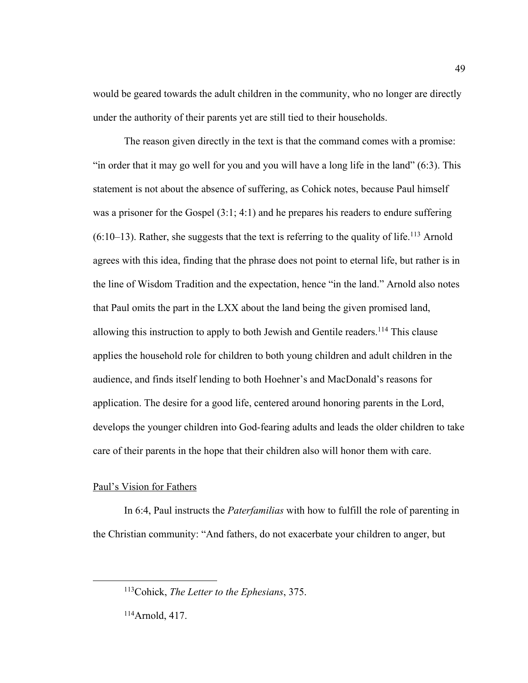would be geared towards the adult children in the community, who no longer are directly under the authority of their parents yet are still tied to their households.

The reason given directly in the text is that the command comes with a promise: "in order that it may go well for you and you will have a long life in the land" (6:3). This statement is not about the absence of suffering, as Cohick notes, because Paul himself was a prisoner for the Gospel (3:1; 4:1) and he prepares his readers to endure suffering  $(6:10-13)$ . Rather, she suggests that the text is referring to the quality of life.<sup>113</sup> Arnold agrees with this idea, finding that the phrase does not point to eternal life, but rather is in the line of Wisdom Tradition and the expectation, hence "in the land." Arnold also notes that Paul omits the part in the LXX about the land being the given promised land, allowing this instruction to apply to both Jewish and Gentile readers.<sup>114</sup> This clause applies the household role for children to both young children and adult children in the audience, and finds itself lending to both Hoehner's and MacDonald's reasons for application. The desire for a good life, centered around honoring parents in the Lord, develops the younger children into God-fearing adults and leads the older children to take care of their parents in the hope that their children also will honor them with care.

### Paul's Vision for Fathers

In 6:4, Paul instructs the *Paterfamilias* with how to fulfill the role of parenting in the Christian community: "And fathers, do not exacerbate your children to anger, but

114Arnold, 417.

<sup>113</sup>Cohick, *The Letter to the Ephesians*, 375.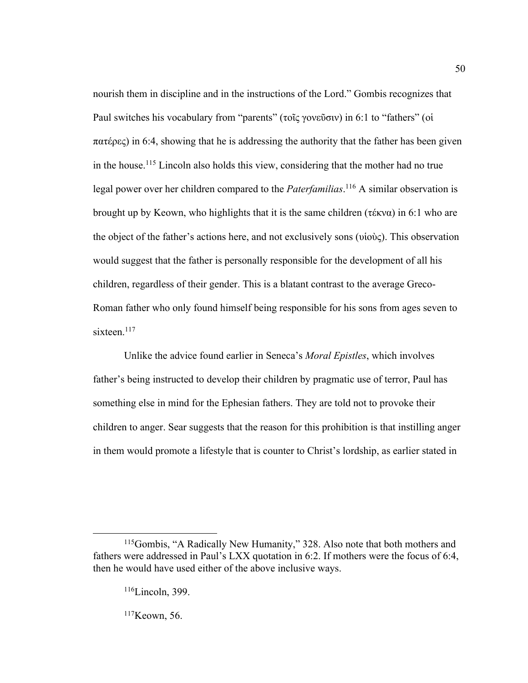nourish them in discipline and in the instructions of the Lord." Gombis recognizes that Paul switches his vocabulary from "parents" (τοῖς γονεῦσιν) in 6:1 to "fathers" (οἱ πατέρες) in 6:4, showing that he is addressing the authority that the father has been given in the house.115 Lincoln also holds this view, considering that the mother had no true legal power over her children compared to the *Paterfamilias*. <sup>116</sup> A similar observation is brought up by Keown, who highlights that it is the same children (τέκνα) in 6:1 who are the object of the father's actions here, and not exclusively sons (υἱοὺς). This observation would suggest that the father is personally responsible for the development of all his children, regardless of their gender. This is a blatant contrast to the average Greco-Roman father who only found himself being responsible for his sons from ages seven to sixteen.<sup>117</sup>

50

Unlike the advice found earlier in Seneca's *Moral Epistles*, which involves father's being instructed to develop their children by pragmatic use of terror, Paul has something else in mind for the Ephesian fathers. They are told not to provoke their children to anger. Sear suggests that the reason for this prohibition is that instilling anger in them would promote a lifestyle that is counter to Christ's lordship, as earlier stated in

 $117$ Keown, 56.

<sup>115</sup>Gombis, "A Radically New Humanity," 328. Also note that both mothers and fathers were addressed in Paul's LXX quotation in 6:2. If mothers were the focus of 6:4, then he would have used either of the above inclusive ways.

 $116$ Lincoln, 399.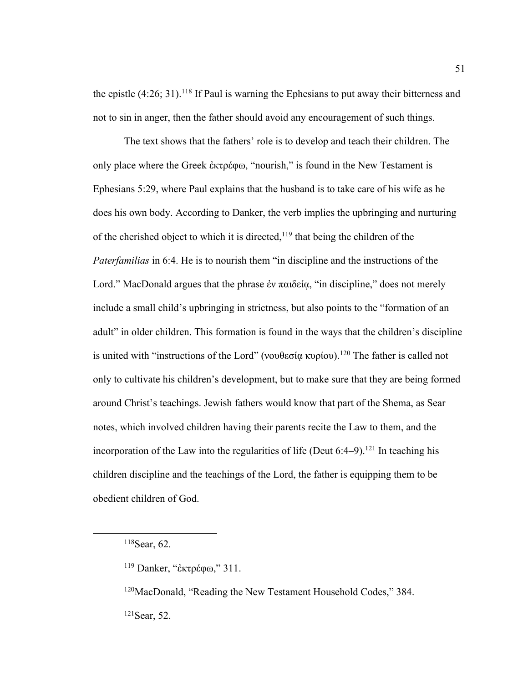the epistle  $(4:26; 31)$ .<sup>118</sup> If Paul is warning the Ephesians to put away their bitterness and not to sin in anger, then the father should avoid any encouragement of such things.

The text shows that the fathers' role is to develop and teach their children. The only place where the Greek ἐκτρέφω, "nourish," is found in the New Testament is Ephesians 5:29, where Paul explains that the husband is to take care of his wife as he does his own body. According to Danker, the verb implies the upbringing and nurturing of the cherished object to which it is directed, $119$  that being the children of the *Paterfamilias* in 6:4. He is to nourish them "in discipline and the instructions of the Lord." MacDonald argues that the phrase ἐν παιδείᾳ, "in discipline," does not merely include a small child's upbringing in strictness, but also points to the "formation of an adult" in older children. This formation is found in the ways that the children's discipline is united with "instructions of the Lord" (νουθεσία κυρίου).<sup>120</sup> The father is called not only to cultivate his children's development, but to make sure that they are being formed around Christ's teachings. Jewish fathers would know that part of the Shema, as Sear notes, which involved children having their parents recite the Law to them, and the incorporation of the Law into the regularities of life (Deut  $6:4-9$ ).<sup>121</sup> In teaching his children discipline and the teachings of the Lord, the father is equipping them to be obedient children of God.

<sup>118</sup>Sear, 62.

<sup>119</sup> Danker, "ἐκτρέφω," 311.

<sup>120</sup>MacDonald, "Reading the New Testament Household Codes," 384. 121Sear, 52.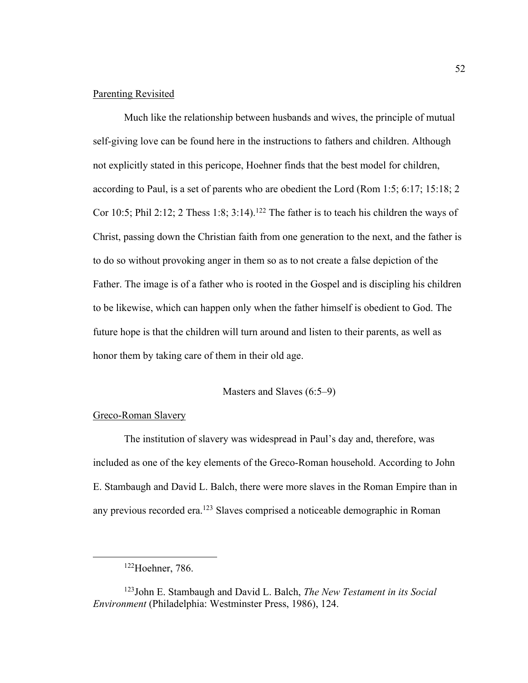#### Parenting Revisited

Much like the relationship between husbands and wives, the principle of mutual self-giving love can be found here in the instructions to fathers and children. Although not explicitly stated in this pericope, Hoehner finds that the best model for children, according to Paul, is a set of parents who are obedient the Lord (Rom 1:5; 6:17; 15:18; 2 Cor 10:5; Phil 2:12; 2 Thess 1:8; 3:14).<sup>122</sup> The father is to teach his children the ways of Christ, passing down the Christian faith from one generation to the next, and the father is to do so without provoking anger in them so as to not create a false depiction of the Father. The image is of a father who is rooted in the Gospel and is discipling his children to be likewise, which can happen only when the father himself is obedient to God. The future hope is that the children will turn around and listen to their parents, as well as honor them by taking care of them in their old age.

### Masters and Slaves (6:5–9)

### Greco-Roman Slavery

The institution of slavery was widespread in Paul's day and, therefore, was included as one of the key elements of the Greco-Roman household. According to John E. Stambaugh and David L. Balch, there were more slaves in the Roman Empire than in any previous recorded era.<sup>123</sup> Slaves comprised a noticeable demographic in Roman

<sup>122</sup>Hoehner, 786.

<sup>123</sup>John E. Stambaugh and David L. Balch, *The New Testament in its Social Environment* (Philadelphia: Westminster Press, 1986), 124.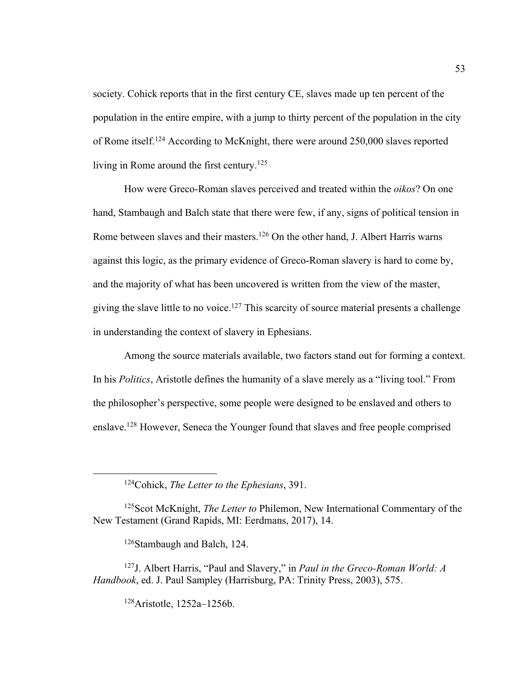society. Cohick reports that in the first century CE, slaves made up ten percent of the population in the entire empire, with a jump to thirty percent of the population in the city of Rome itself.124 According to McKnight, there were around 250,000 slaves reported living in Rome around the first century.125

How were Greco-Roman slaves perceived and treated within the *oikos*? On one hand, Stambaugh and Balch state that there were few, if any, signs of political tension in Rome between slaves and their masters.<sup>126</sup> On the other hand, J. Albert Harris warns against this logic, as the primary evidence of Greco-Roman slavery is hard to come by, and the majority of what has been uncovered is written from the view of the master, giving the slave little to no voice.<sup>127</sup> This scarcity of source material presents a challenge in understanding the context of slavery in Ephesians.

Among the source materials available, two factors stand out for forming a context. In his *Politics*, Aristotle defines the humanity of a slave merely as a "living tool." From the philosopher's perspective, some people were designed to be enslaved and others to enslave.128 However, Seneca the Younger found that slaves and free people comprised

126Stambaugh and Balch, 124.

128Aristotle, 1252a–1256b.

<sup>124</sup>Cohick, *The Letter to the Ephesians*, 391.

<sup>125</sup>Scot McKnight, *The Letter to* Philemon, New International Commentary of the New Testament (Grand Rapids, MI: Eerdmans, 2017), 14.

<sup>127</sup>J. Albert Harris, "Paul and Slavery," in *Paul in the Greco-Roman World: A Handbook*, ed. J. Paul Sampley (Harrisburg, PA: Trinity Press, 2003), 575.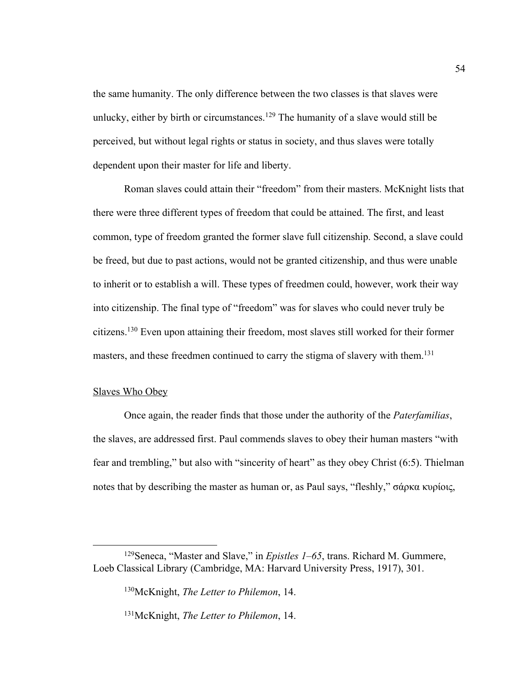the same humanity. The only difference between the two classes is that slaves were unlucky, either by birth or circumstances.<sup>129</sup> The humanity of a slave would still be perceived, but without legal rights or status in society, and thus slaves were totally dependent upon their master for life and liberty.

Roman slaves could attain their "freedom" from their masters. McKnight lists that there were three different types of freedom that could be attained. The first, and least common, type of freedom granted the former slave full citizenship. Second, a slave could be freed, but due to past actions, would not be granted citizenship, and thus were unable to inherit or to establish a will. These types of freedmen could, however, work their way into citizenship. The final type of "freedom" was for slaves who could never truly be citizens.130 Even upon attaining their freedom, most slaves still worked for their former masters, and these freedmen continued to carry the stigma of slavery with them.<sup>131</sup>

# Slaves Who Obey

Once again, the reader finds that those under the authority of the *Paterfamilias*, the slaves, are addressed first. Paul commends slaves to obey their human masters "with fear and trembling," but also with "sincerity of heart" as they obey Christ (6:5). Thielman notes that by describing the master as human or, as Paul says, "fleshly," σάρκα κυρίοις,

<sup>129</sup>Seneca, "Master and Slave," in *Epistles 1–65*, trans. Richard M. Gummere, Loeb Classical Library (Cambridge, MA: Harvard University Press, 1917), 301.

<sup>130</sup>McKnight, *The Letter to Philemon*, 14.

<sup>131</sup>McKnight, *The Letter to Philemon*, 14.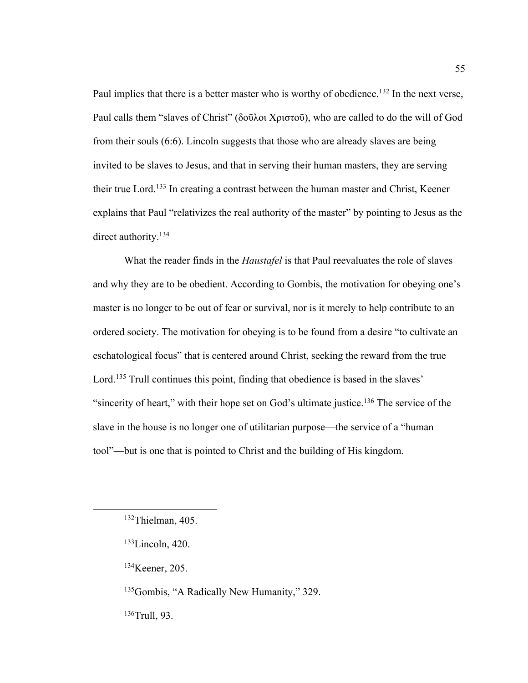Paul implies that there is a better master who is worthy of obedience.<sup>132</sup> In the next verse, Paul calls them "slaves of Christ" (δοῦλοι Χριστοῦ), who are called to do the will of God from their souls (6:6). Lincoln suggests that those who are already slaves are being invited to be slaves to Jesus, and that in serving their human masters, they are serving their true Lord.<sup>133</sup> In creating a contrast between the human master and Christ, Keener explains that Paul "relativizes the real authority of the master" by pointing to Jesus as the direct authority.<sup>134</sup>

What the reader finds in the *Haustafel* is that Paul reevaluates the role of slaves and why they are to be obedient. According to Gombis, the motivation for obeying one's master is no longer to be out of fear or survival, nor is it merely to help contribute to an ordered society. The motivation for obeying is to be found from a desire "to cultivate an eschatological focus" that is centered around Christ, seeking the reward from the true Lord.<sup>135</sup> Trull continues this point, finding that obedience is based in the slaves' "sincerity of heart," with their hope set on God's ultimate justice.<sup>136</sup> The service of the slave in the house is no longer one of utilitarian purpose—the service of a "human tool"—but is one that is pointed to Christ and the building of His kingdom.

134Keener, 205.

<sup>135</sup>Gombis, "A Radically New Humanity," 329.

136Trull, 93.

<sup>132</sup>Thielman, 405.

<sup>133</sup>Lincoln, 420.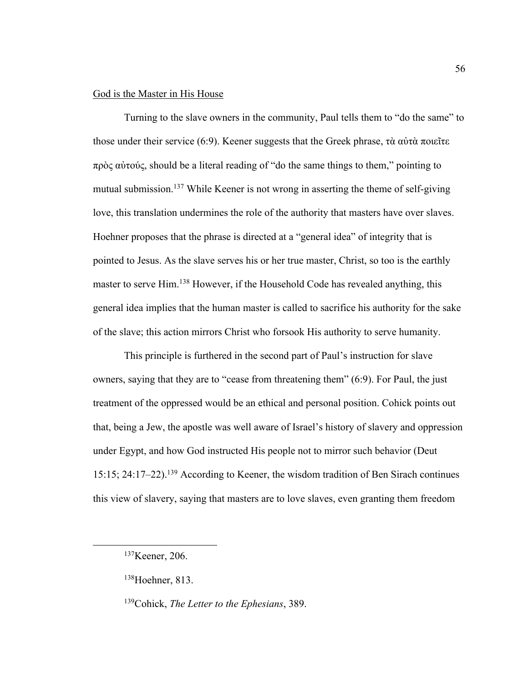## God is the Master in His House

Turning to the slave owners in the community, Paul tells them to "do the same" to those under their service (6:9). Keener suggests that the Greek phrase, τὰ αὐτὰ ποιεῖτε πρὸς αὐτούς, should be a literal reading of "do the same things to them," pointing to mutual submission.<sup>137</sup> While Keener is not wrong in asserting the theme of self-giving love, this translation undermines the role of the authority that masters have over slaves. Hoehner proposes that the phrase is directed at a "general idea" of integrity that is pointed to Jesus. As the slave serves his or her true master, Christ, so too is the earthly master to serve Him.<sup>138</sup> However, if the Household Code has revealed anything, this general idea implies that the human master is called to sacrifice his authority for the sake of the slave; this action mirrors Christ who forsook His authority to serve humanity.

This principle is furthered in the second part of Paul's instruction for slave owners, saying that they are to "cease from threatening them" (6:9). For Paul, the just treatment of the oppressed would be an ethical and personal position. Cohick points out that, being a Jew, the apostle was well aware of Israel's history of slavery and oppression under Egypt, and how God instructed His people not to mirror such behavior (Deut 15:15; 24:17–22).139 According to Keener, the wisdom tradition of Ben Sirach continues this view of slavery, saying that masters are to love slaves, even granting them freedom

<sup>137</sup>Keener, 206.

<sup>138</sup>Hoehner, 813.

<sup>139</sup>Cohick, *The Letter to the Ephesians*, 389.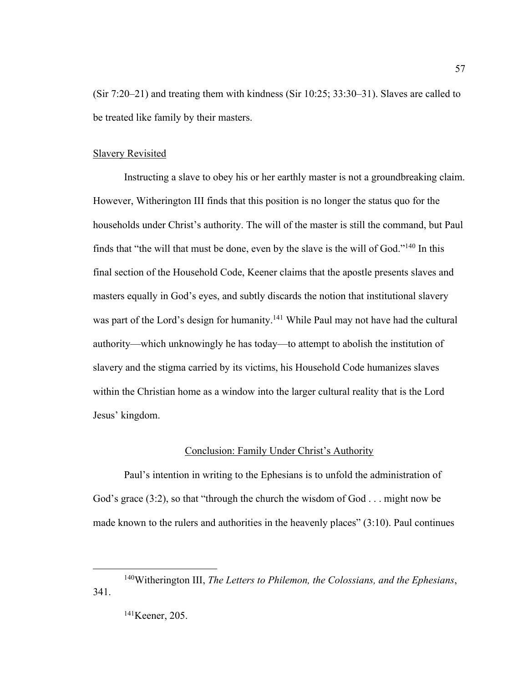(Sir 7:20–21) and treating them with kindness (Sir 10:25; 33:30–31). Slaves are called to be treated like family by their masters.

## Slavery Revisited

Instructing a slave to obey his or her earthly master is not a groundbreaking claim. However, Witherington III finds that this position is no longer the status quo for the households under Christ's authority. The will of the master is still the command, but Paul finds that "the will that must be done, even by the slave is the will of God."140 In this final section of the Household Code, Keener claims that the apostle presents slaves and masters equally in God's eyes, and subtly discards the notion that institutional slavery was part of the Lord's design for humanity.<sup>141</sup> While Paul may not have had the cultural authority—which unknowingly he has today—to attempt to abolish the institution of slavery and the stigma carried by its victims, his Household Code humanizes slaves within the Christian home as a window into the larger cultural reality that is the Lord Jesus' kingdom.

# Conclusion: Family Under Christ's Authority

Paul's intention in writing to the Ephesians is to unfold the administration of God's grace (3:2), so that "through the church the wisdom of God . . . might now be made known to the rulers and authorities in the heavenly places" (3:10). Paul continues

<sup>140</sup>Witherington III, *The Letters to Philemon, the Colossians, and the Ephesians*, 341.

<sup>141</sup>Keener, 205.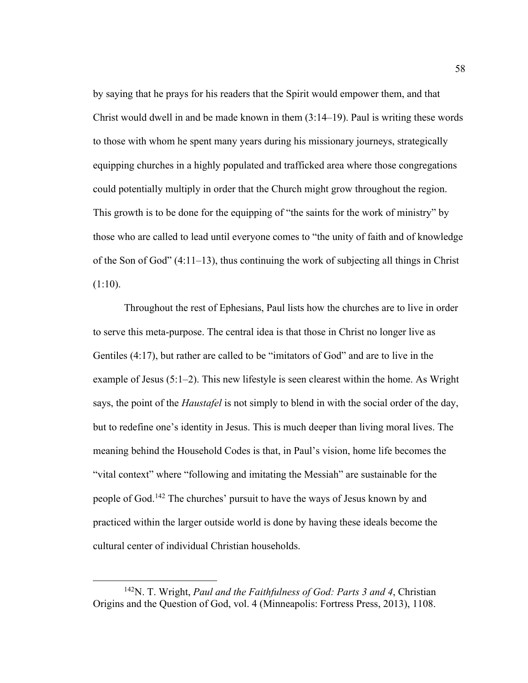by saying that he prays for his readers that the Spirit would empower them, and that Christ would dwell in and be made known in them (3:14–19). Paul is writing these words to those with whom he spent many years during his missionary journeys, strategically equipping churches in a highly populated and trafficked area where those congregations could potentially multiply in order that the Church might grow throughout the region. This growth is to be done for the equipping of "the saints for the work of ministry" by those who are called to lead until everyone comes to "the unity of faith and of knowledge of the Son of God" (4:11–13), thus continuing the work of subjecting all things in Christ  $(1:10)$ .

Throughout the rest of Ephesians, Paul lists how the churches are to live in order to serve this meta-purpose. The central idea is that those in Christ no longer live as Gentiles (4:17), but rather are called to be "imitators of God" and are to live in the example of Jesus (5:1–2). This new lifestyle is seen clearest within the home. As Wright says, the point of the *Haustafel* is not simply to blend in with the social order of the day, but to redefine one's identity in Jesus. This is much deeper than living moral lives. The meaning behind the Household Codes is that, in Paul's vision, home life becomes the "vital context" where "following and imitating the Messiah" are sustainable for the people of God.142 The churches' pursuit to have the ways of Jesus known by and practiced within the larger outside world is done by having these ideals become the cultural center of individual Christian households.

<sup>142</sup>N. T. Wright, *Paul and the Faithfulness of God: Parts 3 and 4*, Christian Origins and the Question of God, vol. 4 (Minneapolis: Fortress Press, 2013), 1108.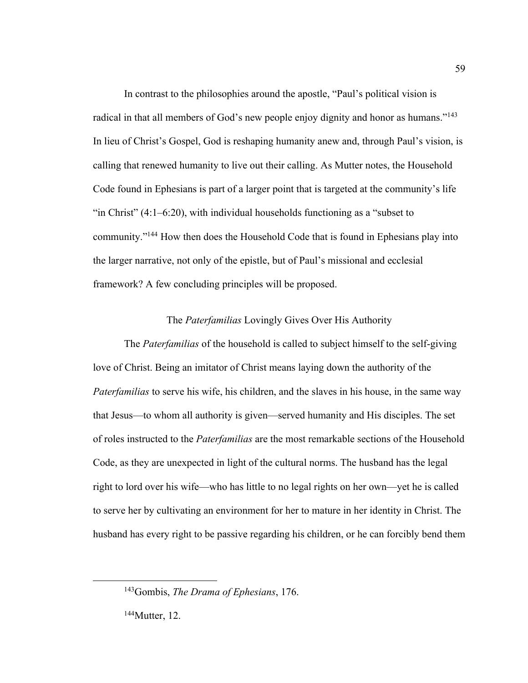In contrast to the philosophies around the apostle, "Paul's political vision is radical in that all members of God's new people enjoy dignity and honor as humans."143 In lieu of Christ's Gospel, God is reshaping humanity anew and, through Paul's vision, is calling that renewed humanity to live out their calling. As Mutter notes, the Household Code found in Ephesians is part of a larger point that is targeted at the community's life "in Christ" (4:1–6:20), with individual households functioning as a "subset to community."144 How then does the Household Code that is found in Ephesians play into the larger narrative, not only of the epistle, but of Paul's missional and ecclesial framework? A few concluding principles will be proposed.

# The *Paterfamilias* Lovingly Gives Over His Authority

The *Paterfamilias* of the household is called to subject himself to the self-giving love of Christ. Being an imitator of Christ means laying down the authority of the *Paterfamilias* to serve his wife, his children, and the slaves in his house, in the same way that Jesus—to whom all authority is given—served humanity and His disciples. The set of roles instructed to the *Paterfamilias* are the most remarkable sections of the Household Code, as they are unexpected in light of the cultural norms. The husband has the legal right to lord over his wife—who has little to no legal rights on her own—yet he is called to serve her by cultivating an environment for her to mature in her identity in Christ. The husband has every right to be passive regarding his children, or he can forcibly bend them

144Mutter, 12.

<sup>143</sup>Gombis, *The Drama of Ephesians*, 176.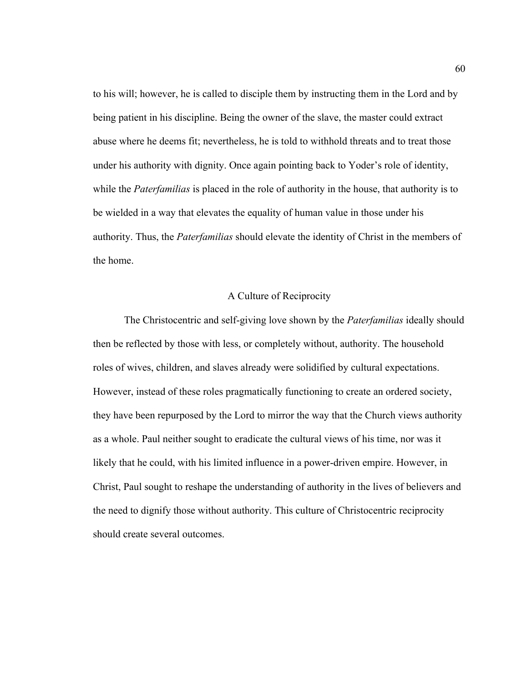to his will; however, he is called to disciple them by instructing them in the Lord and by being patient in his discipline. Being the owner of the slave, the master could extract abuse where he deems fit; nevertheless, he is told to withhold threats and to treat those under his authority with dignity. Once again pointing back to Yoder's role of identity, while the *Paterfamilias* is placed in the role of authority in the house, that authority is to be wielded in a way that elevates the equality of human value in those under his authority. Thus, the *Paterfamilias* should elevate the identity of Christ in the members of the home.

# A Culture of Reciprocity

The Christocentric and self-giving love shown by the *Paterfamilias* ideally should then be reflected by those with less, or completely without, authority. The household roles of wives, children, and slaves already were solidified by cultural expectations. However, instead of these roles pragmatically functioning to create an ordered society, they have been repurposed by the Lord to mirror the way that the Church views authority as a whole. Paul neither sought to eradicate the cultural views of his time, nor was it likely that he could, with his limited influence in a power-driven empire. However, in Christ, Paul sought to reshape the understanding of authority in the lives of believers and the need to dignify those without authority. This culture of Christocentric reciprocity should create several outcomes.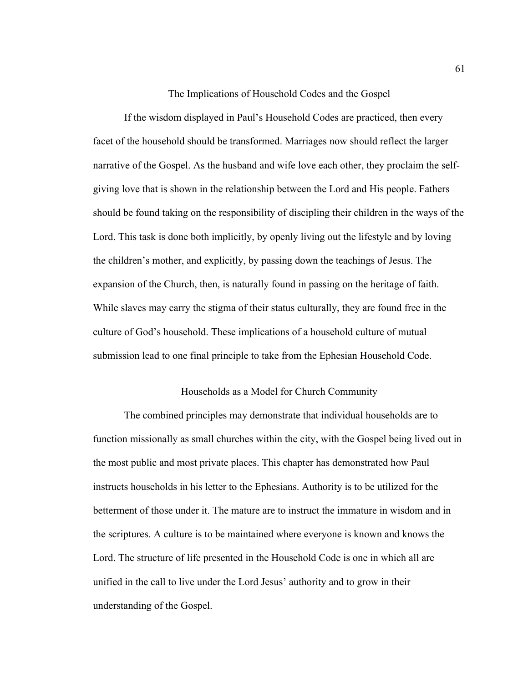The Implications of Household Codes and the Gospel

If the wisdom displayed in Paul's Household Codes are practiced, then every facet of the household should be transformed. Marriages now should reflect the larger narrative of the Gospel. As the husband and wife love each other, they proclaim the selfgiving love that is shown in the relationship between the Lord and His people. Fathers should be found taking on the responsibility of discipling their children in the ways of the Lord. This task is done both implicitly, by openly living out the lifestyle and by loving the children's mother, and explicitly, by passing down the teachings of Jesus. The expansion of the Church, then, is naturally found in passing on the heritage of faith. While slaves may carry the stigma of their status culturally, they are found free in the culture of God's household. These implications of a household culture of mutual submission lead to one final principle to take from the Ephesian Household Code.

#### Households as a Model for Church Community

The combined principles may demonstrate that individual households are to function missionally as small churches within the city, with the Gospel being lived out in the most public and most private places. This chapter has demonstrated how Paul instructs households in his letter to the Ephesians. Authority is to be utilized for the betterment of those under it. The mature are to instruct the immature in wisdom and in the scriptures. A culture is to be maintained where everyone is known and knows the Lord. The structure of life presented in the Household Code is one in which all are unified in the call to live under the Lord Jesus' authority and to grow in their understanding of the Gospel.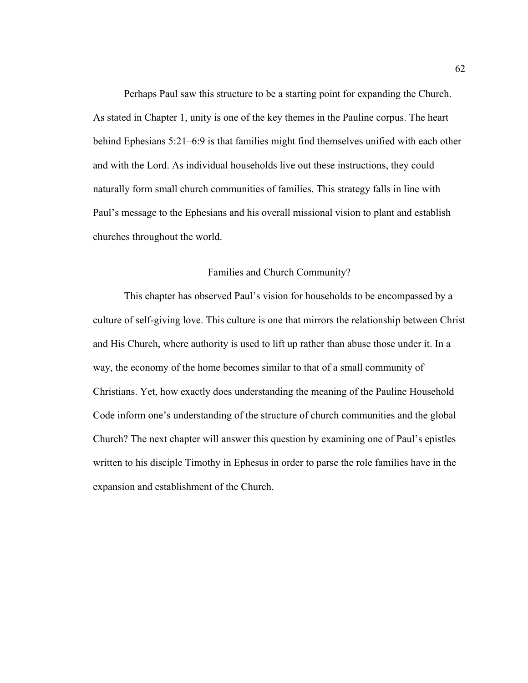Perhaps Paul saw this structure to be a starting point for expanding the Church. As stated in Chapter 1, unity is one of the key themes in the Pauline corpus. The heart behind Ephesians 5:21–6:9 is that families might find themselves unified with each other and with the Lord. As individual households live out these instructions, they could naturally form small church communities of families. This strategy falls in line with Paul's message to the Ephesians and his overall missional vision to plant and establish churches throughout the world.

## Families and Church Community?

This chapter has observed Paul's vision for households to be encompassed by a culture of self-giving love. This culture is one that mirrors the relationship between Christ and His Church, where authority is used to lift up rather than abuse those under it. In a way, the economy of the home becomes similar to that of a small community of Christians. Yet, how exactly does understanding the meaning of the Pauline Household Code inform one's understanding of the structure of church communities and the global Church? The next chapter will answer this question by examining one of Paul's epistles written to his disciple Timothy in Ephesus in order to parse the role families have in the expansion and establishment of the Church.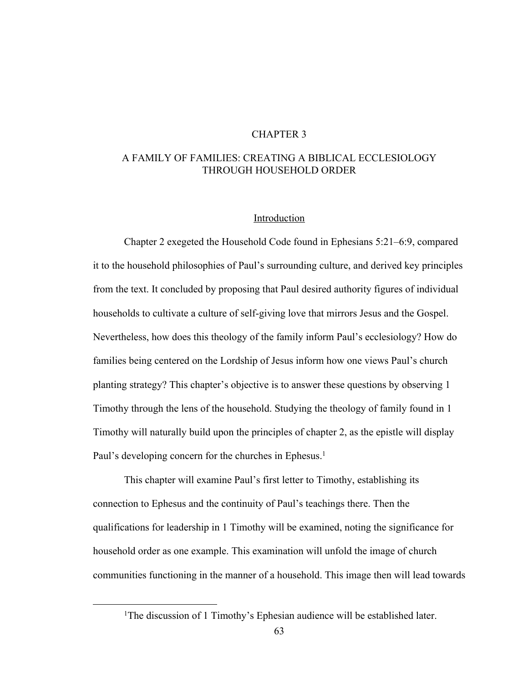# CHAPTER 3

# A FAMILY OF FAMILIES: CREATING A BIBLICAL ECCLESIOLOGY THROUGH HOUSEHOLD ORDER

## Introduction

Chapter 2 exegeted the Household Code found in Ephesians 5:21–6:9, compared it to the household philosophies of Paul's surrounding culture, and derived key principles from the text. It concluded by proposing that Paul desired authority figures of individual households to cultivate a culture of self-giving love that mirrors Jesus and the Gospel. Nevertheless, how does this theology of the family inform Paul's ecclesiology? How do families being centered on the Lordship of Jesus inform how one views Paul's church planting strategy? This chapter's objective is to answer these questions by observing 1 Timothy through the lens of the household. Studying the theology of family found in 1 Timothy will naturally build upon the principles of chapter 2, as the epistle will display Paul's developing concern for the churches in Ephesus.<sup>1</sup>

This chapter will examine Paul's first letter to Timothy, establishing its connection to Ephesus and the continuity of Paul's teachings there. Then the qualifications for leadership in 1 Timothy will be examined, noting the significance for household order as one example. This examination will unfold the image of church communities functioning in the manner of a household. This image then will lead towards

<sup>&</sup>lt;sup>1</sup>The discussion of 1 Timothy's Ephesian audience will be established later.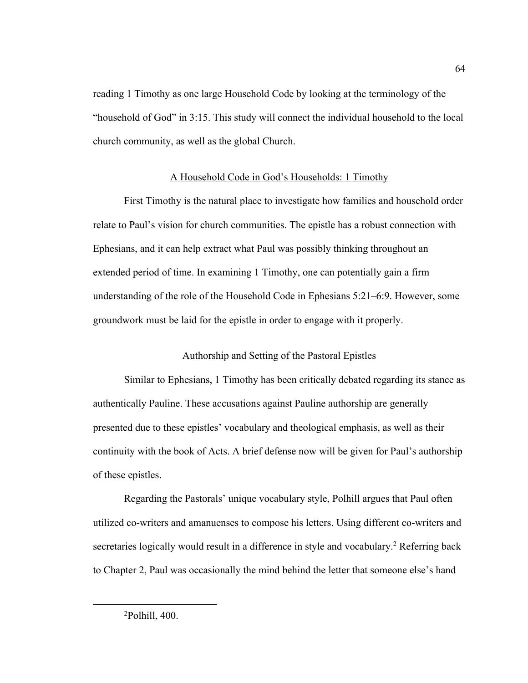reading 1 Timothy as one large Household Code by looking at the terminology of the "household of God" in 3:15. This study will connect the individual household to the local church community, as well as the global Church.

### A Household Code in God's Households: 1 Timothy

First Timothy is the natural place to investigate how families and household order relate to Paul's vision for church communities. The epistle has a robust connection with Ephesians, and it can help extract what Paul was possibly thinking throughout an extended period of time. In examining 1 Timothy, one can potentially gain a firm understanding of the role of the Household Code in Ephesians 5:21–6:9. However, some groundwork must be laid for the epistle in order to engage with it properly.

Authorship and Setting of the Pastoral Epistles

Similar to Ephesians, 1 Timothy has been critically debated regarding its stance as authentically Pauline. These accusations against Pauline authorship are generally presented due to these epistles' vocabulary and theological emphasis, as well as their continuity with the book of Acts. A brief defense now will be given for Paul's authorship of these epistles.

Regarding the Pastorals' unique vocabulary style, Polhill argues that Paul often utilized co-writers and amanuenses to compose his letters. Using different co-writers and secretaries logically would result in a difference in style and vocabulary.<sup>2</sup> Referring back to Chapter 2, Paul was occasionally the mind behind the letter that someone else's hand

<sup>2</sup> Polhill, 400.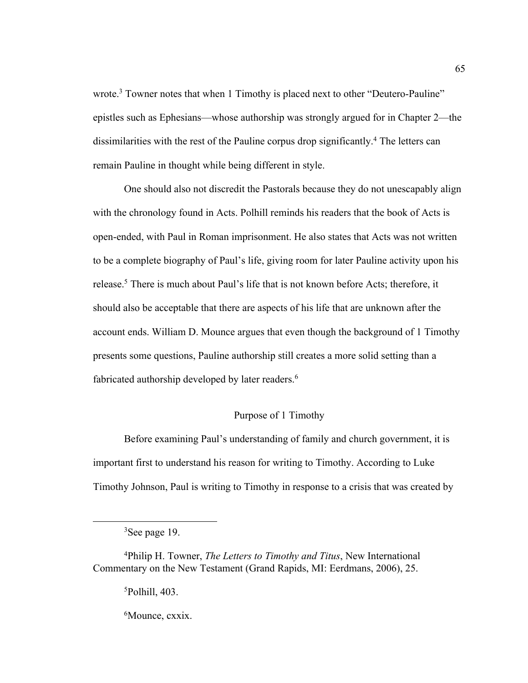wrote.<sup>3</sup> Towner notes that when 1 Timothy is placed next to other "Deutero-Pauline" epistles such as Ephesians—whose authorship was strongly argued for in Chapter 2—the dissimilarities with the rest of the Pauline corpus drop significantly.4 The letters can remain Pauline in thought while being different in style.

One should also not discredit the Pastorals because they do not unescapably align with the chronology found in Acts. Polhill reminds his readers that the book of Acts is open-ended, with Paul in Roman imprisonment. He also states that Acts was not written to be a complete biography of Paul's life, giving room for later Pauline activity upon his release.<sup>5</sup> There is much about Paul's life that is not known before Acts; therefore, it should also be acceptable that there are aspects of his life that are unknown after the account ends. William D. Mounce argues that even though the background of 1 Timothy presents some questions, Pauline authorship still creates a more solid setting than a fabricated authorship developed by later readers.<sup>6</sup>

# Purpose of 1 Timothy

Before examining Paul's understanding of family and church government, it is important first to understand his reason for writing to Timothy. According to Luke Timothy Johnson, Paul is writing to Timothy in response to a crisis that was created by

5 Polhill, 403.

6 Mounce, cxxix.

<sup>&</sup>lt;sup>3</sup>See page 19.

<sup>4</sup> Philip H. Towner, *The Letters to Timothy and Titus*, New International Commentary on the New Testament (Grand Rapids, MI: Eerdmans, 2006), 25.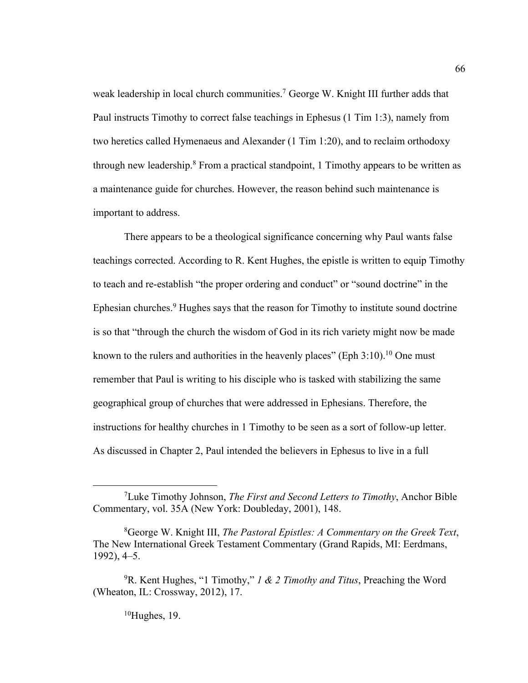weak leadership in local church communities.<sup>7</sup> George W. Knight III further adds that Paul instructs Timothy to correct false teachings in Ephesus (1 Tim 1:3), namely from two heretics called Hymenaeus and Alexander (1 Tim 1:20), and to reclaim orthodoxy through new leadership.<sup>8</sup> From a practical standpoint, 1 Timothy appears to be written as a maintenance guide for churches. However, the reason behind such maintenance is important to address.

There appears to be a theological significance concerning why Paul wants false teachings corrected. According to R. Kent Hughes, the epistle is written to equip Timothy to teach and re-establish "the proper ordering and conduct" or "sound doctrine" in the Ephesian churches.<sup>9</sup> Hughes says that the reason for Timothy to institute sound doctrine is so that "through the church the wisdom of God in its rich variety might now be made known to the rulers and authorities in the heavenly places" (Eph  $3:10$ ).<sup>10</sup> One must remember that Paul is writing to his disciple who is tasked with stabilizing the same geographical group of churches that were addressed in Ephesians. Therefore, the instructions for healthy churches in 1 Timothy to be seen as a sort of follow-up letter. As discussed in Chapter 2, Paul intended the believers in Ephesus to live in a full

 $10$ Hughes, 19.

<sup>7</sup> Luke Timothy Johnson, *The First and Second Letters to Timothy*, Anchor Bible Commentary, vol. 35A (New York: Doubleday, 2001), 148.

<sup>8</sup> George W. Knight III, *The Pastoral Epistles: A Commentary on the Greek Text*, The New International Greek Testament Commentary (Grand Rapids, MI: Eerdmans, 1992), 4–5.

<sup>9</sup> R. Kent Hughes, "1 Timothy," *1 & 2 Timothy and Titus*, Preaching the Word (Wheaton, IL: Crossway, 2012), 17.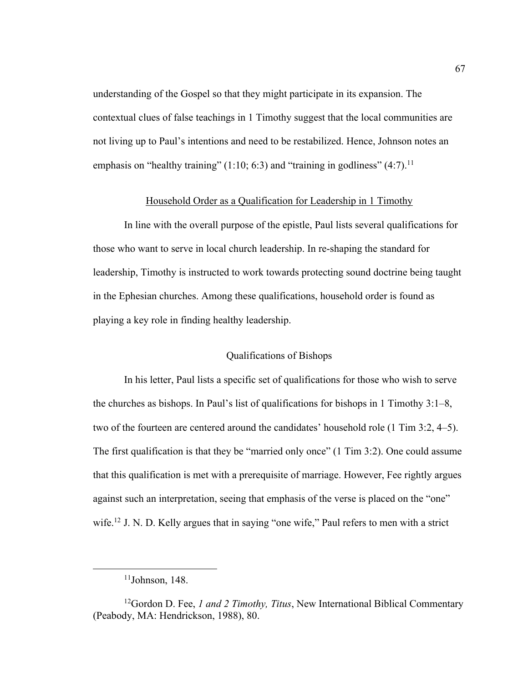understanding of the Gospel so that they might participate in its expansion. The contextual clues of false teachings in 1 Timothy suggest that the local communities are not living up to Paul's intentions and need to be restabilized. Hence, Johnson notes an emphasis on "healthy training"  $(1:10; 6:3)$  and "training in godliness"  $(4:7)$ .<sup>11</sup>

## Household Order as a Qualification for Leadership in 1 Timothy

In line with the overall purpose of the epistle, Paul lists several qualifications for those who want to serve in local church leadership. In re-shaping the standard for leadership, Timothy is instructed to work towards protecting sound doctrine being taught in the Ephesian churches. Among these qualifications, household order is found as playing a key role in finding healthy leadership.

# Qualifications of Bishops

In his letter, Paul lists a specific set of qualifications for those who wish to serve the churches as bishops. In Paul's list of qualifications for bishops in 1 Timothy 3:1–8, two of the fourteen are centered around the candidates' household role (1 Tim 3:2, 4–5). The first qualification is that they be "married only once" (1 Tim 3:2). One could assume that this qualification is met with a prerequisite of marriage. However, Fee rightly argues against such an interpretation, seeing that emphasis of the verse is placed on the "one" wife.<sup>12</sup> J. N. D. Kelly argues that in saying "one wife," Paul refers to men with a strict

 $11$ Johnson, 148.

<sup>12</sup>Gordon D. Fee, *1 and 2 Timothy, Titus*, New International Biblical Commentary (Peabody, MA: Hendrickson, 1988), 80.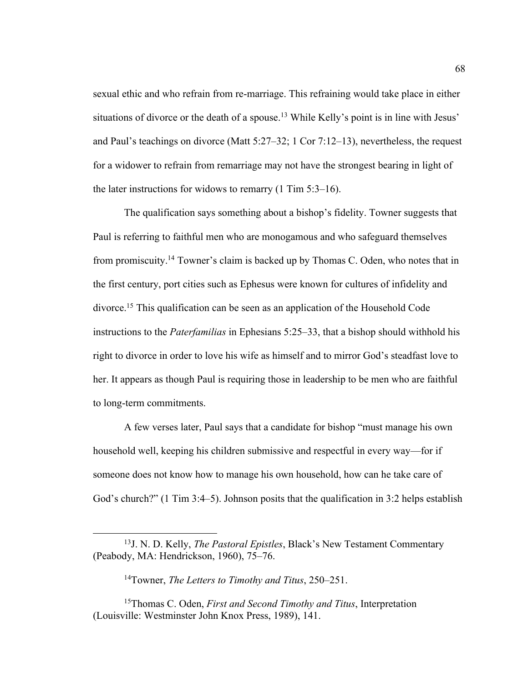sexual ethic and who refrain from re-marriage. This refraining would take place in either situations of divorce or the death of a spouse.<sup>13</sup> While Kelly's point is in line with Jesus' and Paul's teachings on divorce (Matt 5:27–32; 1 Cor 7:12–13), nevertheless, the request for a widower to refrain from remarriage may not have the strongest bearing in light of the later instructions for widows to remarry  $(1 \text{ Tim } 5:3-16)$ .

The qualification says something about a bishop's fidelity. Towner suggests that Paul is referring to faithful men who are monogamous and who safeguard themselves from promiscuity.14 Towner's claim is backed up by Thomas C. Oden, who notes that in the first century, port cities such as Ephesus were known for cultures of infidelity and divorce.15 This qualification can be seen as an application of the Household Code instructions to the *Paterfamilias* in Ephesians 5:25–33, that a bishop should withhold his right to divorce in order to love his wife as himself and to mirror God's steadfast love to her. It appears as though Paul is requiring those in leadership to be men who are faithful to long-term commitments.

A few verses later, Paul says that a candidate for bishop "must manage his own household well, keeping his children submissive and respectful in every way—for if someone does not know how to manage his own household, how can he take care of God's church?" (1 Tim 3:4–5). Johnson posits that the qualification in 3:2 helps establish

<sup>13</sup>J. N. D. Kelly, *The Pastoral Epistles*, Black's New Testament Commentary (Peabody, MA: Hendrickson, 1960), 75–76.

<sup>14</sup>Towner, *The Letters to Timothy and Titus*, 250–251.

<sup>15</sup>Thomas C. Oden, *First and Second Timothy and Titus*, Interpretation (Louisville: Westminster John Knox Press, 1989), 141.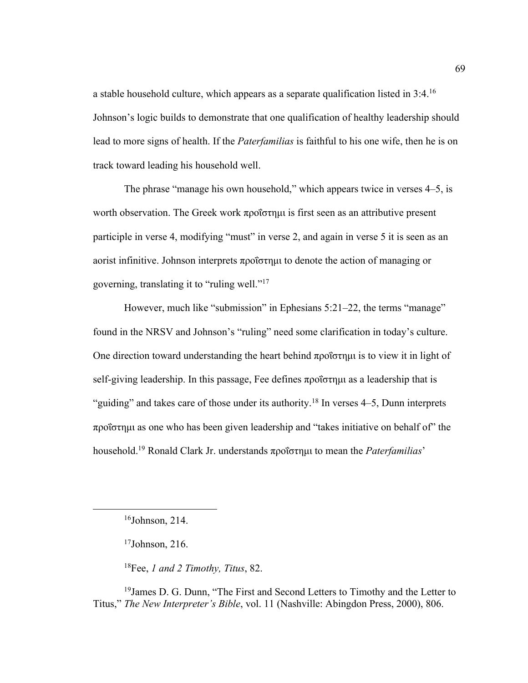a stable household culture, which appears as a separate qualification listed in 3:4.16 Johnson's logic builds to demonstrate that one qualification of healthy leadership should lead to more signs of health. If the *Paterfamilias* is faithful to his one wife, then he is on track toward leading his household well.

The phrase "manage his own household," which appears twice in verses 4–5, is worth observation. The Greek work προΐστημι is first seen as an attributive present participle in verse 4, modifying "must" in verse 2, and again in verse 5 it is seen as an aorist infinitive. Johnson interprets προΐστημι to denote the action of managing or governing, translating it to "ruling well."17

However, much like "submission" in Ephesians 5:21–22, the terms "manage" found in the NRSV and Johnson's "ruling" need some clarification in today's culture. One direction toward understanding the heart behind προΐστημι is to view it in light of self-giving leadership. In this passage, Fee defines προΐστημι as a leadership that is "guiding" and takes care of those under its authority.<sup>18</sup> In verses  $4-5$ , Dunn interprets προΐστημι as one who has been given leadership and "takes initiative on behalf of" the household.19 Ronald Clark Jr. understands προΐστημι to mean the *Paterfamilias*'

18Fee, *1 and 2 Timothy, Titus*, 82.

<sup>19</sup> James D. G. Dunn, "The First and Second Letters to Timothy and the Letter to Titus," *The New Interpreter's Bible*, vol. 11 (Nashville: Abingdon Press, 2000), 806.

<sup>16</sup>Johnson, 214.

 $17$ Johnson, 216.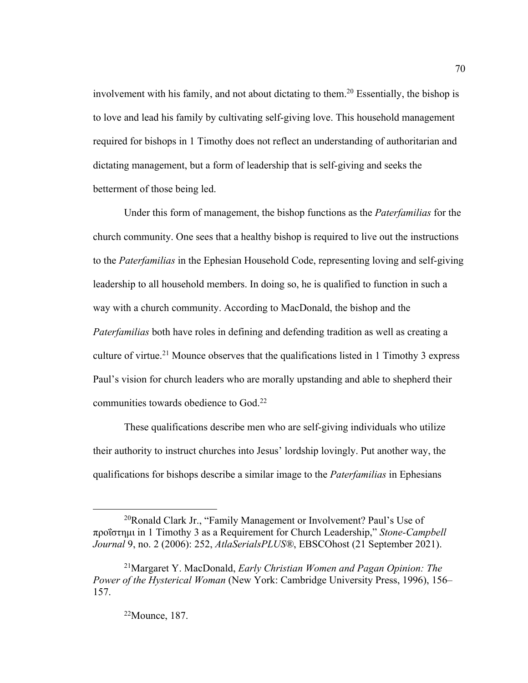involvement with his family, and not about dictating to them.<sup>20</sup> Essentially, the bishop is to love and lead his family by cultivating self-giving love. This household management required for bishops in 1 Timothy does not reflect an understanding of authoritarian and dictating management, but a form of leadership that is self-giving and seeks the betterment of those being led.

Under this form of management, the bishop functions as the *Paterfamilias* for the church community. One sees that a healthy bishop is required to live out the instructions to the *Paterfamilias* in the Ephesian Household Code, representing loving and self-giving leadership to all household members. In doing so, he is qualified to function in such a way with a church community. According to MacDonald, the bishop and the *Paterfamilias* both have roles in defining and defending tradition as well as creating a culture of virtue.21 Mounce observes that the qualifications listed in 1 Timothy 3 express Paul's vision for church leaders who are morally upstanding and able to shepherd their communities towards obedience to God.22

These qualifications describe men who are self-giving individuals who utilize their authority to instruct churches into Jesus' lordship lovingly. Put another way, the qualifications for bishops describe a similar image to the *Paterfamilias* in Ephesians

 $^{20}$ Ronald Clark Jr., "Family Management or Involvement? Paul's Use of προΐστημι in 1 Timothy 3 as a Requirement for Church Leadership," *Stone-Campbell Journal* 9, no. 2 (2006): 252, *AtlaSerialsPLUS®*, EBSCOhost (21 September 2021).

<sup>21</sup>Margaret Y. MacDonald, *Early Christian Women and Pagan Opinion: The Power of the Hysterical Woman* (New York: Cambridge University Press, 1996), 156– 157.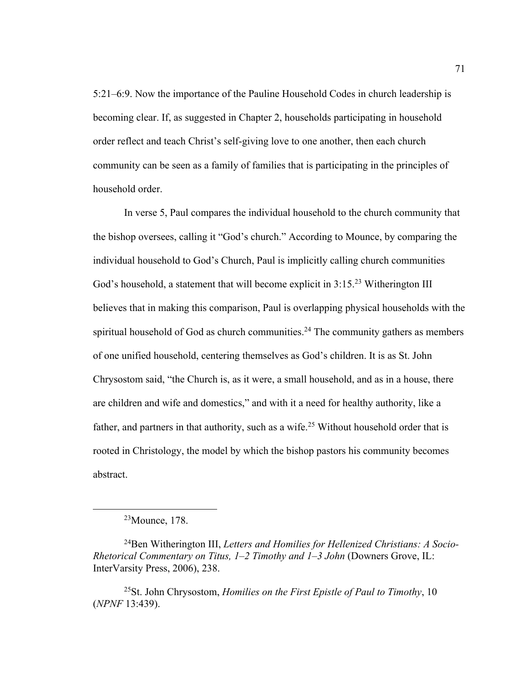5:21–6:9. Now the importance of the Pauline Household Codes in church leadership is becoming clear. If, as suggested in Chapter 2, households participating in household order reflect and teach Christ's self-giving love to one another, then each church community can be seen as a family of families that is participating in the principles of household order.

In verse 5, Paul compares the individual household to the church community that the bishop oversees, calling it "God's church." According to Mounce, by comparing the individual household to God's Church, Paul is implicitly calling church communities God's household, a statement that will become explicit in 3:15<sup>23</sup> Witherington III believes that in making this comparison, Paul is overlapping physical households with the spiritual household of God as church communities.<sup>24</sup> The community gathers as members of one unified household, centering themselves as God's children. It is as St. John Chrysostom said, "the Church is, as it were, a small household, and as in a house, there are children and wife and domestics," and with it a need for healthy authority, like a father, and partners in that authority, such as a wife.<sup>25</sup> Without household order that is rooted in Christology, the model by which the bishop pastors his community becomes abstract.

25St. John Chrysostom, *Homilies on the First Epistle of Paul to Timothy*, 10 (*NPNF* 13:439).

<sup>23</sup>Mounce, 178.

<sup>24</sup>Ben Witherington III, *Letters and Homilies for Hellenized Christians: A Socio-Rhetorical Commentary on Titus, 1–2 Timothy and 1–3 John* (Downers Grove, IL: InterVarsity Press, 2006), 238.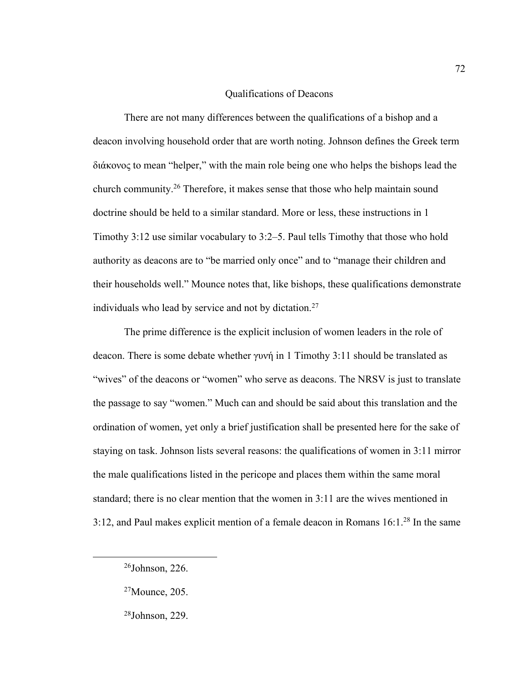## Qualifications of Deacons

There are not many differences between the qualifications of a bishop and a deacon involving household order that are worth noting. Johnson defines the Greek term διάκονος to mean "helper," with the main role being one who helps the bishops lead the church community.26 Therefore, it makes sense that those who help maintain sound doctrine should be held to a similar standard. More or less, these instructions in 1 Timothy 3:12 use similar vocabulary to 3:2–5. Paul tells Timothy that those who hold authority as deacons are to "be married only once" and to "manage their children and their households well." Mounce notes that, like bishops, these qualifications demonstrate individuals who lead by service and not by dictation.<sup>27</sup>

The prime difference is the explicit inclusion of women leaders in the role of deacon. There is some debate whether γυνή in 1 Timothy 3:11 should be translated as "wives" of the deacons or "women" who serve as deacons. The NRSV is just to translate the passage to say "women." Much can and should be said about this translation and the ordination of women, yet only a brief justification shall be presented here for the sake of staying on task. Johnson lists several reasons: the qualifications of women in 3:11 mirror the male qualifications listed in the pericope and places them within the same moral standard; there is no clear mention that the women in 3:11 are the wives mentioned in 3:12, and Paul makes explicit mention of a female deacon in Romans 16:1.28 In the same

<sup>&</sup>lt;sup>26</sup>Johnson, 226.

<sup>27</sup>Mounce, 205.

<sup>28</sup>Johnson, 229.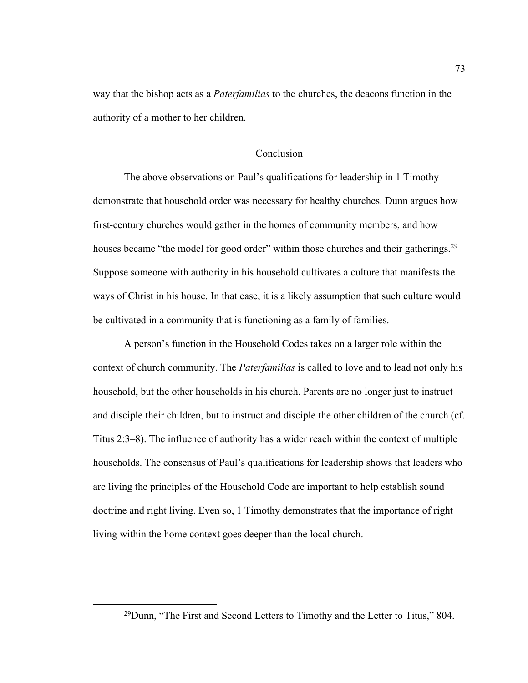way that the bishop acts as a *Paterfamilias* to the churches, the deacons function in the authority of a mother to her children.

### Conclusion

The above observations on Paul's qualifications for leadership in 1 Timothy demonstrate that household order was necessary for healthy churches. Dunn argues how first-century churches would gather in the homes of community members, and how houses became "the model for good order" within those churches and their gatherings.<sup>29</sup> Suppose someone with authority in his household cultivates a culture that manifests the ways of Christ in his house. In that case, it is a likely assumption that such culture would be cultivated in a community that is functioning as a family of families.

A person's function in the Household Codes takes on a larger role within the context of church community. The *Paterfamilias* is called to love and to lead not only his household, but the other households in his church. Parents are no longer just to instruct and disciple their children, but to instruct and disciple the other children of the church (cf. Titus 2:3–8). The influence of authority has a wider reach within the context of multiple households. The consensus of Paul's qualifications for leadership shows that leaders who are living the principles of the Household Code are important to help establish sound doctrine and right living. Even so, 1 Timothy demonstrates that the importance of right living within the home context goes deeper than the local church.

 $^{29}$ Dunn, "The First and Second Letters to Timothy and the Letter to Titus," 804.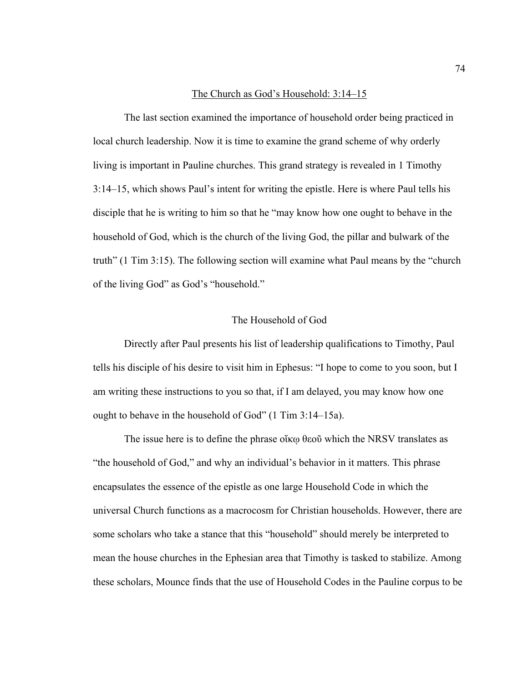#### The Church as God's Household: 3:14–15

The last section examined the importance of household order being practiced in local church leadership. Now it is time to examine the grand scheme of why orderly living is important in Pauline churches. This grand strategy is revealed in 1 Timothy 3:14–15, which shows Paul's intent for writing the epistle. Here is where Paul tells his disciple that he is writing to him so that he "may know how one ought to behave in the household of God, which is the church of the living God, the pillar and bulwark of the truth" (1 Tim 3:15). The following section will examine what Paul means by the "church of the living God" as God's "household."

# The Household of God

Directly after Paul presents his list of leadership qualifications to Timothy, Paul tells his disciple of his desire to visit him in Ephesus: "I hope to come to you soon, but I am writing these instructions to you so that, if I am delayed, you may know how one ought to behave in the household of God" (1 Tim 3:14–15a).

The issue here is to define the phrase οἴκφ θεοῦ which the NRSV translates as "the household of God," and why an individual's behavior in it matters. This phrase encapsulates the essence of the epistle as one large Household Code in which the universal Church functions as a macrocosm for Christian households. However, there are some scholars who take a stance that this "household" should merely be interpreted to mean the house churches in the Ephesian area that Timothy is tasked to stabilize. Among these scholars, Mounce finds that the use of Household Codes in the Pauline corpus to be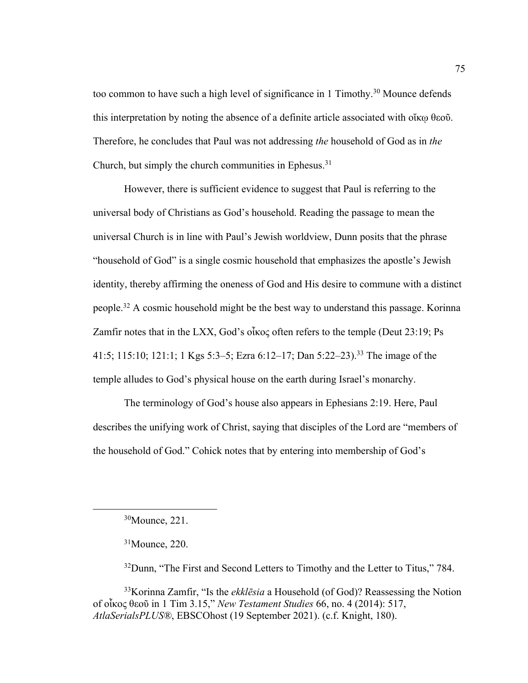too common to have such a high level of significance in 1 Timothy.<sup>30</sup> Mounce defends this interpretation by noting the absence of a definite article associated with οἴκῳ θεοῦ. Therefore, he concludes that Paul was not addressing *the* household of God as in *the*  Church, but simply the church communities in Ephesus.31

However, there is sufficient evidence to suggest that Paul is referring to the universal body of Christians as God's household. Reading the passage to mean the universal Church is in line with Paul's Jewish worldview, Dunn posits that the phrase "household of God" is a single cosmic household that emphasizes the apostle's Jewish identity, thereby affirming the oneness of God and His desire to commune with a distinct people.32 A cosmic household might be the best way to understand this passage. Korinna Zamfir notes that in the LXX, God's οἶκος often refers to the temple (Deut 23:19; Ps 41:5; 115:10; 121:1; 1 Kgs 5:3–5; Ezra 6:12–17; Dan 5:22–23).33 The image of the temple alludes to God's physical house on the earth during Israel's monarchy.

The terminology of God's house also appears in Ephesians 2:19. Here, Paul describes the unifying work of Christ, saying that disciples of the Lord are "members of the household of God." Cohick notes that by entering into membership of God's

<sup>32</sup>Dunn, "The First and Second Letters to Timothy and the Letter to Titus," 784.

33Korinna Zamfir, "Is the *ekklēsia* a Household (of God)? Reassessing the Notion of οἶκος θεοῦ in 1 Tim 3.15," *New Testament Studies* 66, no. 4 (2014): 517, *AtlaSerialsPLUS®*, EBSCOhost (19 September 2021). (c.f. Knight, 180).

<sup>30</sup>Mounce, 221.

<sup>31</sup>Mounce, 220.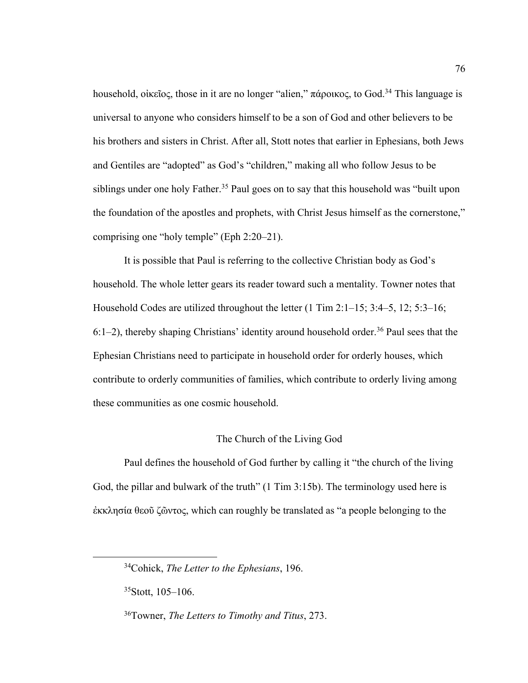household, οἰκεῖος, those in it are no longer "alien," πάροικος, to God.34 This language is universal to anyone who considers himself to be a son of God and other believers to be his brothers and sisters in Christ. After all, Stott notes that earlier in Ephesians, both Jews and Gentiles are "adopted" as God's "children," making all who follow Jesus to be siblings under one holy Father.<sup>35</sup> Paul goes on to say that this household was "built upon the foundation of the apostles and prophets, with Christ Jesus himself as the cornerstone," comprising one "holy temple" (Eph 2:20–21).

It is possible that Paul is referring to the collective Christian body as God's household. The whole letter gears its reader toward such a mentality. Towner notes that Household Codes are utilized throughout the letter (1 Tim 2:1–15; 3:4–5, 12; 5:3–16;  $6:1-2$ ), thereby shaping Christians' identity around household order.<sup>36</sup> Paul sees that the Ephesian Christians need to participate in household order for orderly houses, which contribute to orderly communities of families, which contribute to orderly living among these communities as one cosmic household.

#### The Church of the Living God

Paul defines the household of God further by calling it "the church of the living God, the pillar and bulwark of the truth" (1 Tim 3:15b). The terminology used here is ἐκκλησία θεοῦ ζῶντος, which can roughly be translated as "a people belonging to the

<sup>34</sup>Cohick, *The Letter to the Ephesians*, 196.

 $35$ Stott, 105–106.

<sup>36</sup>Towner, *The Letters to Timothy and Titus*, 273.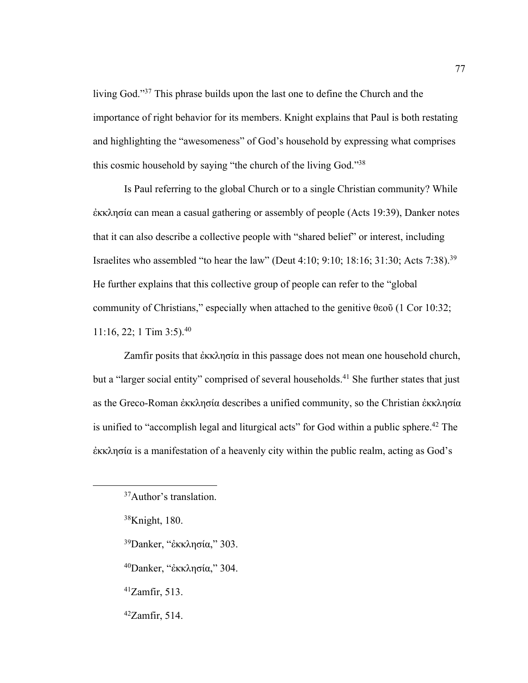living God."37 This phrase builds upon the last one to define the Church and the importance of right behavior for its members. Knight explains that Paul is both restating and highlighting the "awesomeness" of God's household by expressing what comprises this cosmic household by saying "the church of the living God."38

Is Paul referring to the global Church or to a single Christian community? While ἐκκλησία can mean a casual gathering or assembly of people (Acts 19:39), Danker notes that it can also describe a collective people with "shared belief" or interest, including Israelites who assembled "to hear the law" (Deut 4:10; 9:10; 18:16; 31:30; Acts 7:38).39 He further explains that this collective group of people can refer to the "global community of Christians," especially when attached to the genitive θεοῦ (1 Cor 10:32; 11:16, 22; 1 Tim 3:5).40

Zamfir posits that ἐκκλησία in this passage does not mean one household church, but a "larger social entity" comprised of several households.<sup>41</sup> She further states that just as the Greco-Roman ἐκκλησία describes a unified community, so the Christian ἐκκλησία is unified to "accomplish legal and liturgical acts" for God within a public sphere.<sup>42</sup> The ἐκκλησία is a manifestation of a heavenly city within the public realm, acting as God's

- 39Danker, "ἐκκλησία," 303.
- 40Danker, "ἐκκλησία," 304.
- 41Zamfir, 513.
- $42Zamfir, 514.$

<sup>37</sup>Author's translation.

<sup>38</sup>Knight, 180.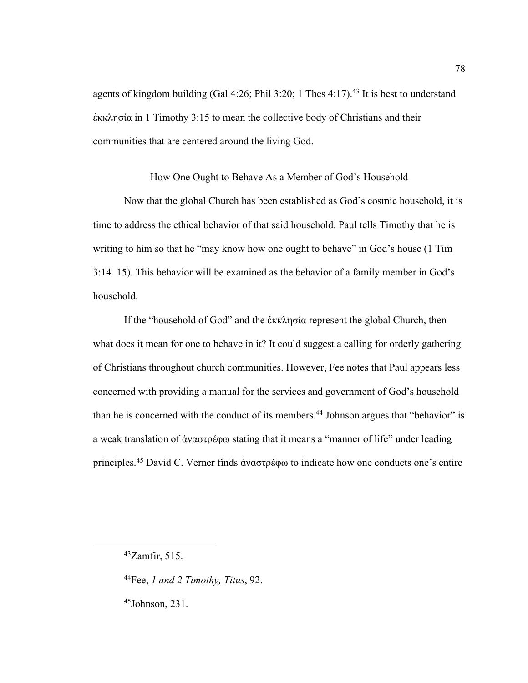agents of kingdom building (Gal 4:26; Phil 3:20; 1 Thes 4:17).<sup>43</sup> It is best to understand ἐκκλησία in 1 Timothy 3:15 to mean the collective body of Christians and their communities that are centered around the living God.

How One Ought to Behave As a Member of God's Household

Now that the global Church has been established as God's cosmic household, it is time to address the ethical behavior of that said household. Paul tells Timothy that he is writing to him so that he "may know how one ought to behave" in God's house (1 Tim 3:14–15). This behavior will be examined as the behavior of a family member in God's household.

If the "household of God" and the ἐκκλησία represent the global Church, then what does it mean for one to behave in it? It could suggest a calling for orderly gathering of Christians throughout church communities. However, Fee notes that Paul appears less concerned with providing a manual for the services and government of God's household than he is concerned with the conduct of its members.<sup>44</sup> Johnson argues that "behavior" is a weak translation of ἀναστρέφω stating that it means a "manner of life" under leading principles.45 David C. Verner finds ἀναστρέφω to indicate how one conducts one's entire

<sup>43</sup>Zamfir, 515.

<sup>44</sup>Fee, *1 and 2 Timothy, Titus*, 92.

<sup>45</sup>Johnson, 231.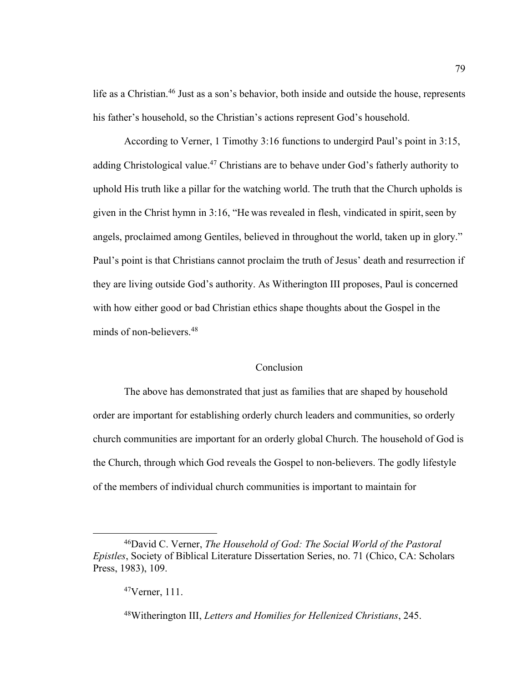life as a Christian.<sup>46</sup> Just as a son's behavior, both inside and outside the house, represents his father's household, so the Christian's actions represent God's household.

According to Verner, 1 Timothy 3:16 functions to undergird Paul's point in 3:15, adding Christological value.<sup>47</sup> Christians are to behave under God's fatherly authority to uphold His truth like a pillar for the watching world. The truth that the Church upholds is given in the Christ hymn in  $3:16$ , "He was revealed in flesh, vindicated in spirit, seen by angels, proclaimed among Gentiles, believed in throughout the world, taken up in glory." Paul's point is that Christians cannot proclaim the truth of Jesus' death and resurrection if they are living outside God's authority. As Witherington III proposes, Paul is concerned with how either good or bad Christian ethics shape thoughts about the Gospel in the minds of non-believers.48

# Conclusion

The above has demonstrated that just as families that are shaped by household order are important for establishing orderly church leaders and communities, so orderly church communities are important for an orderly global Church. The household of God is the Church, through which God reveals the Gospel to non-believers. The godly lifestyle of the members of individual church communities is important to maintain for

<sup>46</sup>David C. Verner, *The Household of God: The Social World of the Pastoral Epistles*, Society of Biblical Literature Dissertation Series, no. 71 (Chico, CA: Scholars Press, 1983), 109.

<sup>47</sup>Verner, 111.

<sup>48</sup>Witherington III, *Letters and Homilies for Hellenized Christians*, 245.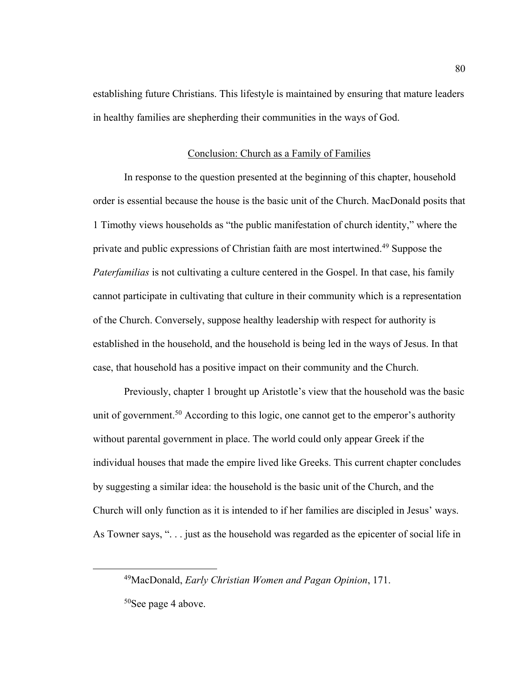establishing future Christians. This lifestyle is maintained by ensuring that mature leaders in healthy families are shepherding their communities in the ways of God.

# Conclusion: Church as a Family of Families

In response to the question presented at the beginning of this chapter, household order is essential because the house is the basic unit of the Church. MacDonald posits that 1 Timothy views households as "the public manifestation of church identity," where the private and public expressions of Christian faith are most intertwined.<sup>49</sup> Suppose the *Paterfamilias* is not cultivating a culture centered in the Gospel. In that case, his family cannot participate in cultivating that culture in their community which is a representation of the Church. Conversely, suppose healthy leadership with respect for authority is established in the household, and the household is being led in the ways of Jesus. In that case, that household has a positive impact on their community and the Church.

Previously, chapter 1 brought up Aristotle's view that the household was the basic unit of government.<sup>50</sup> According to this logic, one cannot get to the emperor's authority without parental government in place. The world could only appear Greek if the individual houses that made the empire lived like Greeks. This current chapter concludes by suggesting a similar idea: the household is the basic unit of the Church, and the Church will only function as it is intended to if her families are discipled in Jesus' ways. As Towner says, ". . . just as the household was regarded as the epicenter of social life in

<sup>49</sup>MacDonald, *Early Christian Women and Pagan Opinion*, 171.

<sup>50</sup>See page 4 above.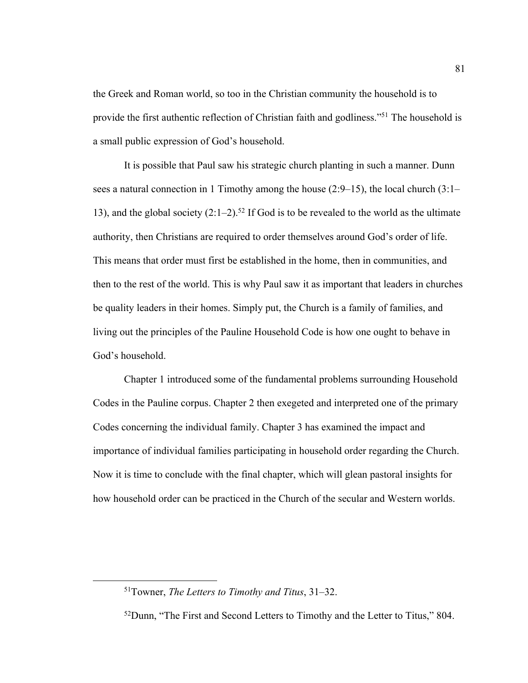the Greek and Roman world, so too in the Christian community the household is to provide the first authentic reflection of Christian faith and godliness."51 The household is a small public expression of God's household.

It is possible that Paul saw his strategic church planting in such a manner. Dunn sees a natural connection in 1 Timothy among the house (2:9–15), the local church (3:1– 13), and the global society  $(2:1-2)$ .<sup>52</sup> If God is to be revealed to the world as the ultimate authority, then Christians are required to order themselves around God's order of life. This means that order must first be established in the home, then in communities, and then to the rest of the world. This is why Paul saw it as important that leaders in churches be quality leaders in their homes. Simply put, the Church is a family of families, and living out the principles of the Pauline Household Code is how one ought to behave in God's household.

Chapter 1 introduced some of the fundamental problems surrounding Household Codes in the Pauline corpus. Chapter 2 then exegeted and interpreted one of the primary Codes concerning the individual family. Chapter 3 has examined the impact and importance of individual families participating in household order regarding the Church. Now it is time to conclude with the final chapter, which will glean pastoral insights for how household order can be practiced in the Church of the secular and Western worlds.

<sup>51</sup>Towner, *The Letters to Timothy and Titus*, 31–32.

<sup>&</sup>lt;sup>52</sup>Dunn, "The First and Second Letters to Timothy and the Letter to Titus," 804.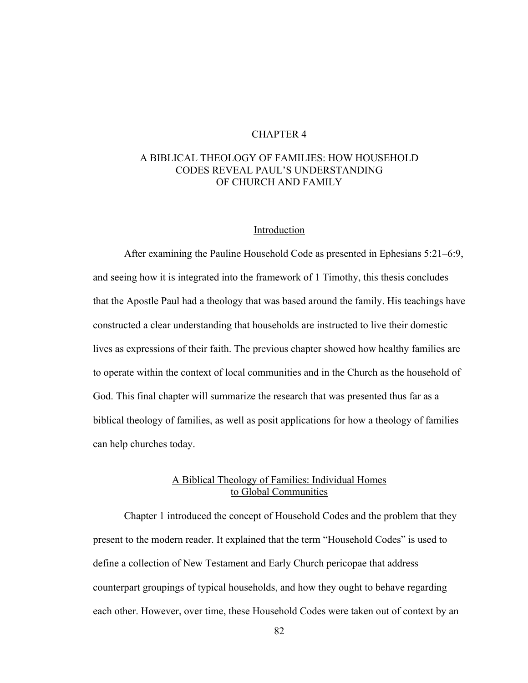# CHAPTER 4

# A BIBLICAL THEOLOGY OF FAMILIES: HOW HOUSEHOLD CODES REVEAL PAUL'S UNDERSTANDING OF CHURCH AND FAMILY

#### Introduction

After examining the Pauline Household Code as presented in Ephesians 5:21–6:9, and seeing how it is integrated into the framework of 1 Timothy, this thesis concludes that the Apostle Paul had a theology that was based around the family. His teachings have constructed a clear understanding that households are instructed to live their domestic lives as expressions of their faith. The previous chapter showed how healthy families are to operate within the context of local communities and in the Church as the household of God. This final chapter will summarize the research that was presented thus far as a biblical theology of families, as well as posit applications for how a theology of families can help churches today.

# A Biblical Theology of Families: Individual Homes to Global Communities

Chapter 1 introduced the concept of Household Codes and the problem that they present to the modern reader. It explained that the term "Household Codes" is used to define a collection of New Testament and Early Church pericopae that address counterpart groupings of typical households, and how they ought to behave regarding each other. However, over time, these Household Codes were taken out of context by an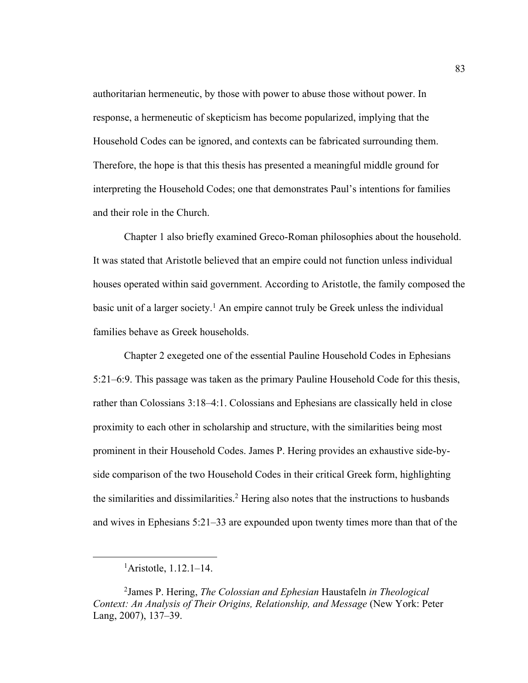authoritarian hermeneutic, by those with power to abuse those without power. In response, a hermeneutic of skepticism has become popularized, implying that the Household Codes can be ignored, and contexts can be fabricated surrounding them. Therefore, the hope is that this thesis has presented a meaningful middle ground for interpreting the Household Codes; one that demonstrates Paul's intentions for families and their role in the Church.

Chapter 1 also briefly examined Greco-Roman philosophies about the household. It was stated that Aristotle believed that an empire could not function unless individual houses operated within said government. According to Aristotle, the family composed the basic unit of a larger society.<sup>1</sup> An empire cannot truly be Greek unless the individual families behave as Greek households.

Chapter 2 exegeted one of the essential Pauline Household Codes in Ephesians 5:21–6:9. This passage was taken as the primary Pauline Household Code for this thesis, rather than Colossians 3:18–4:1. Colossians and Ephesians are classically held in close proximity to each other in scholarship and structure, with the similarities being most prominent in their Household Codes. James P. Hering provides an exhaustive side-byside comparison of the two Household Codes in their critical Greek form, highlighting the similarities and dissimilarities.<sup>2</sup> Hering also notes that the instructions to husbands and wives in Ephesians 5:21–33 are expounded upon twenty times more than that of the

<sup>1</sup> Aristotle, 1.12.1–14.

<sup>2</sup> James P. Hering, *The Colossian and Ephesian* Haustafeln *in Theological Context: An Analysis of Their Origins, Relationship, and Message* (New York: Peter Lang, 2007), 137–39.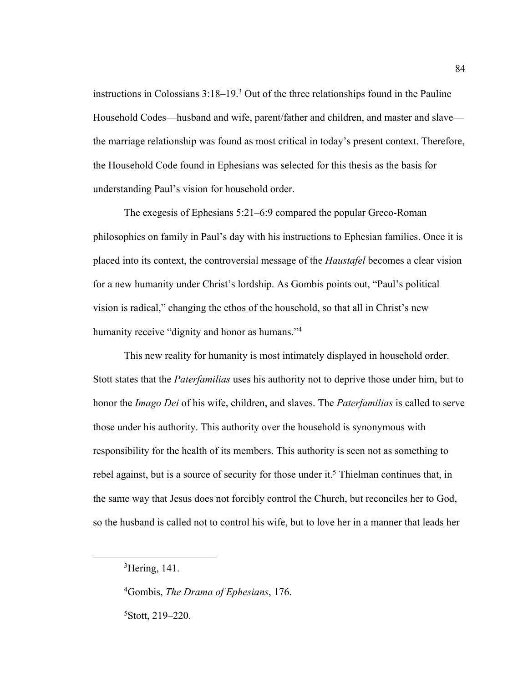instructions in Colossians  $3:18-19.3$  Out of the three relationships found in the Pauline Household Codes—husband and wife, parent/father and children, and master and slave the marriage relationship was found as most critical in today's present context. Therefore, the Household Code found in Ephesians was selected for this thesis as the basis for understanding Paul's vision for household order.

The exegesis of Ephesians 5:21–6:9 compared the popular Greco-Roman philosophies on family in Paul's day with his instructions to Ephesian families. Once it is placed into its context, the controversial message of the *Haustafel* becomes a clear vision for a new humanity under Christ's lordship. As Gombis points out, "Paul's political vision is radical," changing the ethos of the household, so that all in Christ's new humanity receive "dignity and honor as humans."<sup>4</sup>

This new reality for humanity is most intimately displayed in household order. Stott states that the *Paterfamilias* uses his authority not to deprive those under him, but to honor the *Imago Dei* of his wife, children, and slaves. The *Paterfamilias* is called to serve those under his authority. This authority over the household is synonymous with responsibility for the health of its members. This authority is seen not as something to rebel against, but is a source of security for those under it.<sup>5</sup> Thielman continues that, in the same way that Jesus does not forcibly control the Church, but reconciles her to God, so the husband is called not to control his wife, but to love her in a manner that leads her

4 Gombis, *The Drama of Ephesians*, 176. 5 Stott, 219–220.

<sup>&</sup>lt;sup>3</sup>Hering, 141.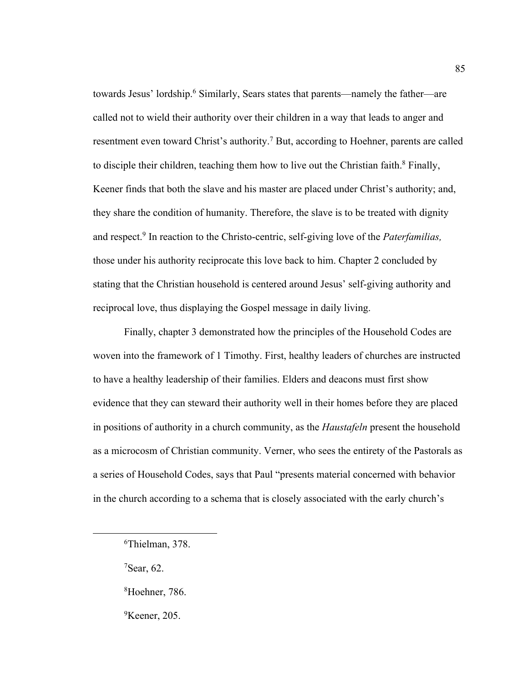towards Jesus' lordship.6 Similarly, Sears states that parents—namely the father—are called not to wield their authority over their children in a way that leads to anger and resentment even toward Christ's authority.<sup>7</sup> But, according to Hoehner, parents are called to disciple their children, teaching them how to live out the Christian faith.<sup>8</sup> Finally, Keener finds that both the slave and his master are placed under Christ's authority; and, they share the condition of humanity. Therefore, the slave is to be treated with dignity and respect.9 In reaction to the Christo-centric, self-giving love of the *Paterfamilias,*  those under his authority reciprocate this love back to him. Chapter 2 concluded by stating that the Christian household is centered around Jesus' self-giving authority and reciprocal love, thus displaying the Gospel message in daily living.

Finally, chapter 3 demonstrated how the principles of the Household Codes are woven into the framework of 1 Timothy. First, healthy leaders of churches are instructed to have a healthy leadership of their families. Elders and deacons must first show evidence that they can steward their authority well in their homes before they are placed in positions of authority in a church community, as the *Haustafeln* present the household as a microcosm of Christian community. Verner, who sees the entirety of the Pastorals as a series of Household Codes, says that Paul "presents material concerned with behavior in the church according to a schema that is closely associated with the early church's

- $7$ Sear, 62.
- 8 Hoehner, 786.
- <sup>9</sup>Keener, 205.

<sup>6</sup> Thielman, 378.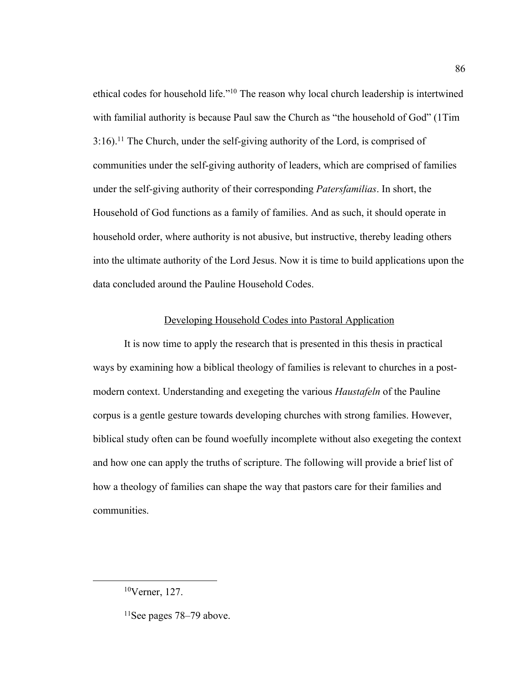ethical codes for household life."10 The reason why local church leadership is intertwined with familial authority is because Paul saw the Church as "the household of God" (1Tim  $3:16$ .<sup>11</sup> The Church, under the self-giving authority of the Lord, is comprised of communities under the self-giving authority of leaders, which are comprised of families under the self-giving authority of their corresponding *Patersfamilias*. In short, the Household of God functions as a family of families. And as such, it should operate in household order, where authority is not abusive, but instructive, thereby leading others into the ultimate authority of the Lord Jesus. Now it is time to build applications upon the data concluded around the Pauline Household Codes.

### Developing Household Codes into Pastoral Application

It is now time to apply the research that is presented in this thesis in practical ways by examining how a biblical theology of families is relevant to churches in a postmodern context. Understanding and exegeting the various *Haustafeln* of the Pauline corpus is a gentle gesture towards developing churches with strong families. However, biblical study often can be found woefully incomplete without also exegeting the context and how one can apply the truths of scripture. The following will provide a brief list of how a theology of families can shape the way that pastors care for their families and communities.

<sup>10</sup>Verner, 127.

 $11$ See pages 78–79 above.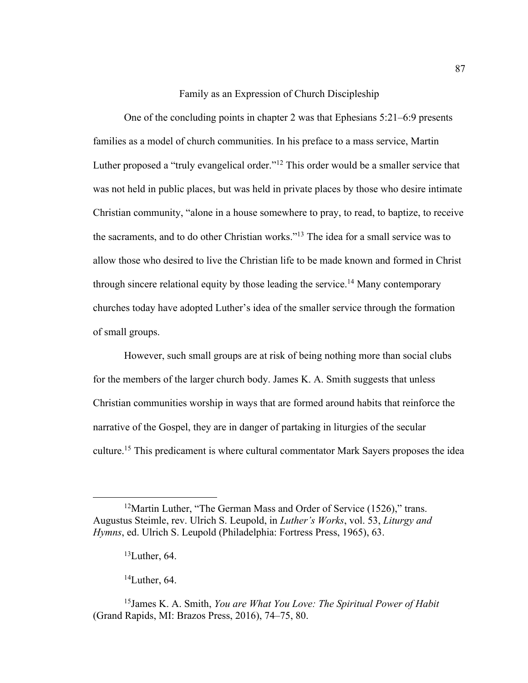## Family as an Expression of Church Discipleship

One of the concluding points in chapter 2 was that Ephesians 5:21–6:9 presents families as a model of church communities. In his preface to a mass service, Martin Luther proposed a "truly evangelical order."<sup>12</sup> This order would be a smaller service that was not held in public places, but was held in private places by those who desire intimate Christian community, "alone in a house somewhere to pray, to read, to baptize, to receive the sacraments, and to do other Christian works."13 The idea for a small service was to allow those who desired to live the Christian life to be made known and formed in Christ through sincere relational equity by those leading the service.<sup>14</sup> Many contemporary churches today have adopted Luther's idea of the smaller service through the formation of small groups.

However, such small groups are at risk of being nothing more than social clubs for the members of the larger church body. James K. A. Smith suggests that unless Christian communities worship in ways that are formed around habits that reinforce the narrative of the Gospel, they are in danger of partaking in liturgies of the secular culture.15 This predicament is where cultural commentator Mark Sayers proposes the idea

 $14$ Luther, 64.

<sup>&</sup>lt;sup>12</sup>Martin Luther, "The German Mass and Order of Service (1526)," trans. Augustus Steimle, rev. Ulrich S. Leupold, in *Luther's Works*, vol. 53, *Liturgy and Hymns*, ed. Ulrich S. Leupold (Philadelphia: Fortress Press, 1965), 63.

 $13$ Luther, 64.

<sup>15</sup>James K. A. Smith, *You are What You Love: The Spiritual Power of Habit*  (Grand Rapids, MI: Brazos Press, 2016), 74–75, 80.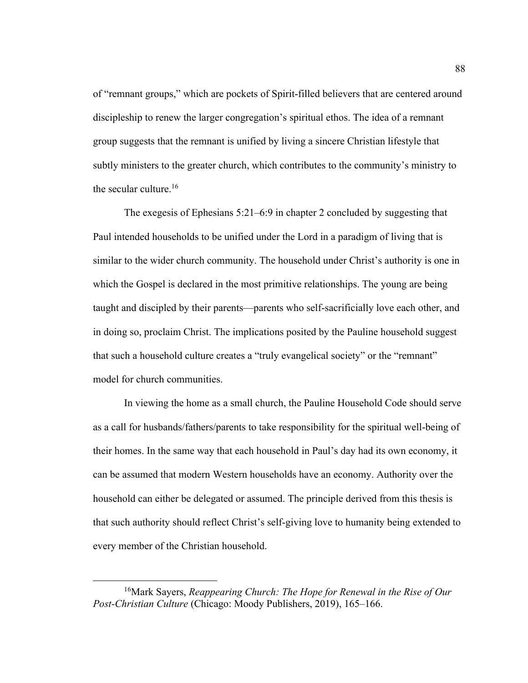of "remnant groups," which are pockets of Spirit-filled believers that are centered around discipleship to renew the larger congregation's spiritual ethos. The idea of a remnant group suggests that the remnant is unified by living a sincere Christian lifestyle that subtly ministers to the greater church, which contributes to the community's ministry to the secular culture.<sup>16</sup>

The exegesis of Ephesians 5:21–6:9 in chapter 2 concluded by suggesting that Paul intended households to be unified under the Lord in a paradigm of living that is similar to the wider church community. The household under Christ's authority is one in which the Gospel is declared in the most primitive relationships. The young are being taught and discipled by their parents—parents who self-sacrificially love each other, and in doing so, proclaim Christ. The implications posited by the Pauline household suggest that such a household culture creates a "truly evangelical society" or the "remnant" model for church communities.

In viewing the home as a small church, the Pauline Household Code should serve as a call for husbands/fathers/parents to take responsibility for the spiritual well-being of their homes. In the same way that each household in Paul's day had its own economy, it can be assumed that modern Western households have an economy. Authority over the household can either be delegated or assumed. The principle derived from this thesis is that such authority should reflect Christ's self-giving love to humanity being extended to every member of the Christian household.

<sup>16</sup>Mark Sayers, *Reappearing Church: The Hope for Renewal in the Rise of Our Post-Christian Culture* (Chicago: Moody Publishers, 2019), 165–166.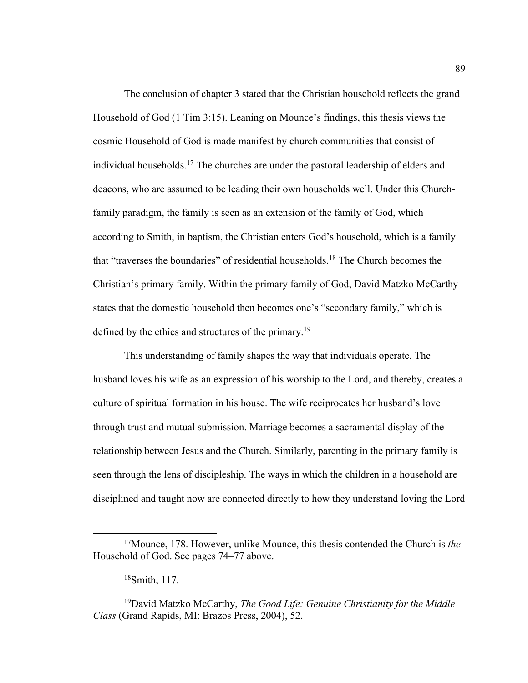The conclusion of chapter 3 stated that the Christian household reflects the grand Household of God (1 Tim 3:15). Leaning on Mounce's findings, this thesis views the cosmic Household of God is made manifest by church communities that consist of individual households.<sup>17</sup> The churches are under the pastoral leadership of elders and deacons, who are assumed to be leading their own households well. Under this Churchfamily paradigm, the family is seen as an extension of the family of God, which according to Smith, in baptism, the Christian enters God's household, which is a family that "traverses the boundaries" of residential households.18 The Church becomes the Christian's primary family. Within the primary family of God, David Matzko McCarthy states that the domestic household then becomes one's "secondary family," which is defined by the ethics and structures of the primary.<sup>19</sup>

This understanding of family shapes the way that individuals operate. The husband loves his wife as an expression of his worship to the Lord, and thereby, creates a culture of spiritual formation in his house. The wife reciprocates her husband's love through trust and mutual submission. Marriage becomes a sacramental display of the relationship between Jesus and the Church. Similarly, parenting in the primary family is seen through the lens of discipleship. The ways in which the children in a household are disciplined and taught now are connected directly to how they understand loving the Lord

<sup>17</sup>Mounce, 178. However, unlike Mounce, this thesis contended the Church is *the*  Household of God. See pages 74–77 above.

<sup>18</sup>Smith, 117.

<sup>19</sup>David Matzko McCarthy, *The Good Life: Genuine Christianity for the Middle Class* (Grand Rapids, MI: Brazos Press, 2004), 52.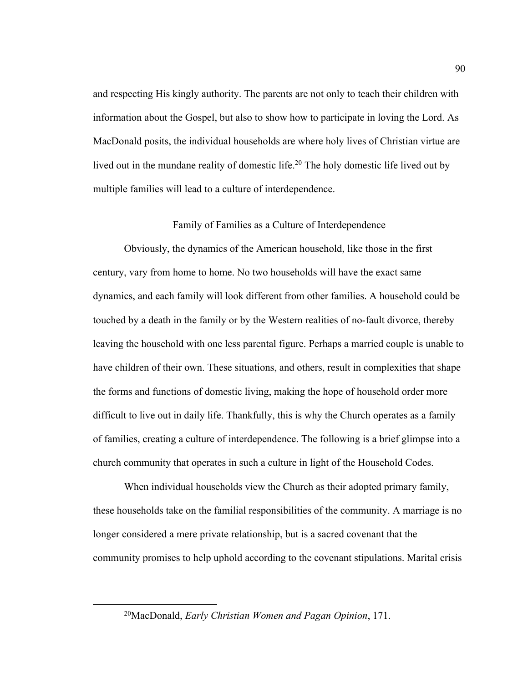and respecting His kingly authority. The parents are not only to teach their children with information about the Gospel, but also to show how to participate in loving the Lord. As MacDonald posits, the individual households are where holy lives of Christian virtue are lived out in the mundane reality of domestic life.<sup>20</sup> The holy domestic life lived out by multiple families will lead to a culture of interdependence.

# Family of Families as a Culture of Interdependence

Obviously, the dynamics of the American household, like those in the first century, vary from home to home. No two households will have the exact same dynamics, and each family will look different from other families. A household could be touched by a death in the family or by the Western realities of no-fault divorce, thereby leaving the household with one less parental figure. Perhaps a married couple is unable to have children of their own. These situations, and others, result in complexities that shape the forms and functions of domestic living, making the hope of household order more difficult to live out in daily life. Thankfully, this is why the Church operates as a family of families, creating a culture of interdependence. The following is a brief glimpse into a church community that operates in such a culture in light of the Household Codes.

When individual households view the Church as their adopted primary family, these households take on the familial responsibilities of the community. A marriage is no longer considered a mere private relationship, but is a sacred covenant that the community promises to help uphold according to the covenant stipulations. Marital crisis

<sup>20</sup>MacDonald, *Early Christian Women and Pagan Opinion*, 171.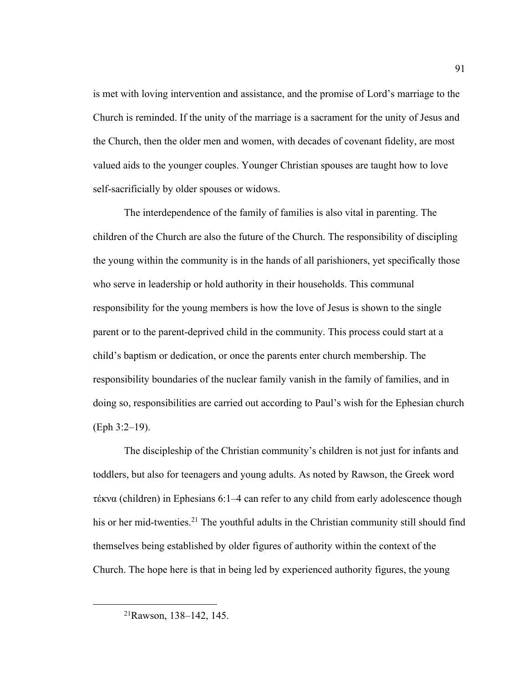is met with loving intervention and assistance, and the promise of Lord's marriage to the Church is reminded. If the unity of the marriage is a sacrament for the unity of Jesus and the Church, then the older men and women, with decades of covenant fidelity, are most valued aids to the younger couples. Younger Christian spouses are taught how to love self-sacrificially by older spouses or widows.

The interdependence of the family of families is also vital in parenting. The children of the Church are also the future of the Church. The responsibility of discipling the young within the community is in the hands of all parishioners, yet specifically those who serve in leadership or hold authority in their households. This communal responsibility for the young members is how the love of Jesus is shown to the single parent or to the parent-deprived child in the community. This process could start at a child's baptism or dedication, or once the parents enter church membership. The responsibility boundaries of the nuclear family vanish in the family of families, and in doing so, responsibilities are carried out according to Paul's wish for the Ephesian church (Eph 3:2–19).

The discipleship of the Christian community's children is not just for infants and toddlers, but also for teenagers and young adults. As noted by Rawson, the Greek word τέκνα (children) in Ephesians 6:1–4 can refer to any child from early adolescence though his or her mid-twenties.<sup>21</sup> The youthful adults in the Christian community still should find themselves being established by older figures of authority within the context of the Church. The hope here is that in being led by experienced authority figures, the young

<sup>21</sup>Rawson, 138–142, 145.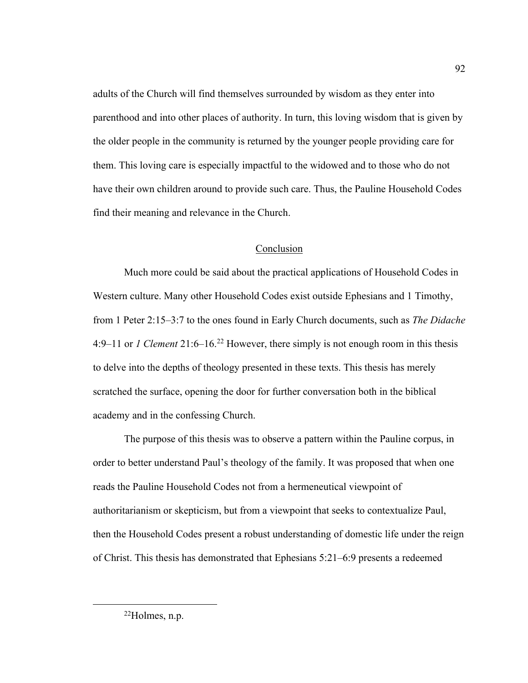adults of the Church will find themselves surrounded by wisdom as they enter into parenthood and into other places of authority. In turn, this loving wisdom that is given by the older people in the community is returned by the younger people providing care for them. This loving care is especially impactful to the widowed and to those who do not have their own children around to provide such care. Thus, the Pauline Household Codes find their meaning and relevance in the Church.

# Conclusion

Much more could be said about the practical applications of Household Codes in Western culture. Many other Household Codes exist outside Ephesians and 1 Timothy, from 1 Peter 2:15–3:7 to the ones found in Early Church documents, such as *The Didache*  4:9–11 or *1 Clement* 21:6–16.22 However, there simply is not enough room in this thesis to delve into the depths of theology presented in these texts. This thesis has merely scratched the surface, opening the door for further conversation both in the biblical academy and in the confessing Church.

The purpose of this thesis was to observe a pattern within the Pauline corpus, in order to better understand Paul's theology of the family. It was proposed that when one reads the Pauline Household Codes not from a hermeneutical viewpoint of authoritarianism or skepticism, but from a viewpoint that seeks to contextualize Paul, then the Household Codes present a robust understanding of domestic life under the reign of Christ. This thesis has demonstrated that Ephesians 5:21–6:9 presents a redeemed

 $^{22}$ Holmes, n.p.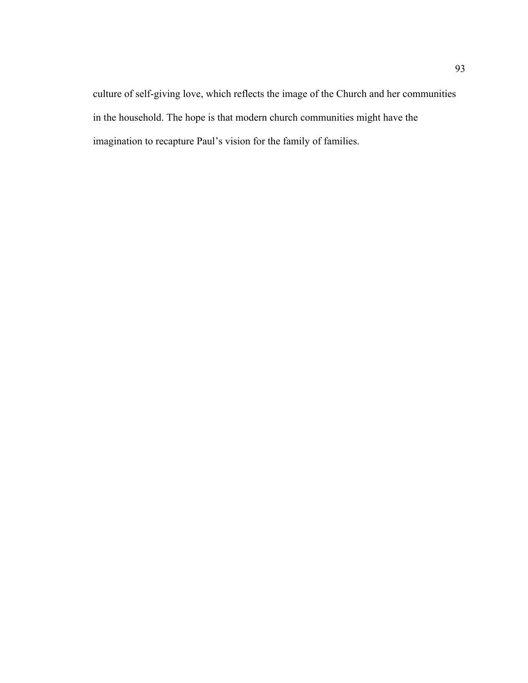culture of self-giving love, which reflects the image of the Church and her communities in the household. The hope is that modern church communities might have the imagination to recapture Paul's vision for the family of families.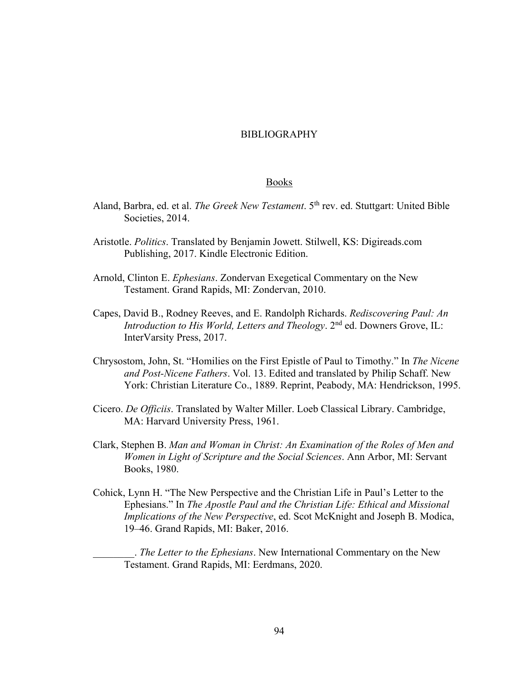## BIBLIOGRAPHY

#### Books

- Aland, Barbra, ed. et al. *The Greek New Testament*. 5th rev. ed. Stuttgart: United Bible Societies, 2014.
- Aristotle. *Politics*. Translated by Benjamin Jowett. Stilwell, KS: Digireads.com Publishing, 2017. Kindle Electronic Edition.
- Arnold, Clinton E. *Ephesians*. Zondervan Exegetical Commentary on the New Testament. Grand Rapids, MI: Zondervan, 2010.
- Capes, David B., Rodney Reeves, and E. Randolph Richards. *Rediscovering Paul: An Introduction to His World, Letters and Theology.* 2<sup>nd</sup> ed. Downers Grove, IL: InterVarsity Press, 2017.
- Chrysostom, John, St. "Homilies on the First Epistle of Paul to Timothy." In *The Nicene and Post-Nicene Fathers*. Vol. 13. Edited and translated by Philip Schaff. New York: Christian Literature Co., 1889. Reprint, Peabody, MA: Hendrickson, 1995.
- Cicero. *De Officiis*. Translated by Walter Miller. Loeb Classical Library. Cambridge, MA: Harvard University Press, 1961.
- Clark, Stephen B. *Man and Woman in Christ: An Examination of the Roles of Men and Women in Light of Scripture and the Social Sciences*. Ann Arbor, MI: Servant Books, 1980.
- Cohick, Lynn H. "The New Perspective and the Christian Life in Paul's Letter to the Ephesians." In *The Apostle Paul and the Christian Life: Ethical and Missional Implications of the New Perspective*, ed. Scot McKnight and Joseph B. Modica, 19–46. Grand Rapids, MI: Baker, 2016.

\_\_\_\_\_\_\_\_. *The Letter to the Ephesians*. New International Commentary on the New Testament. Grand Rapids, MI: Eerdmans, 2020.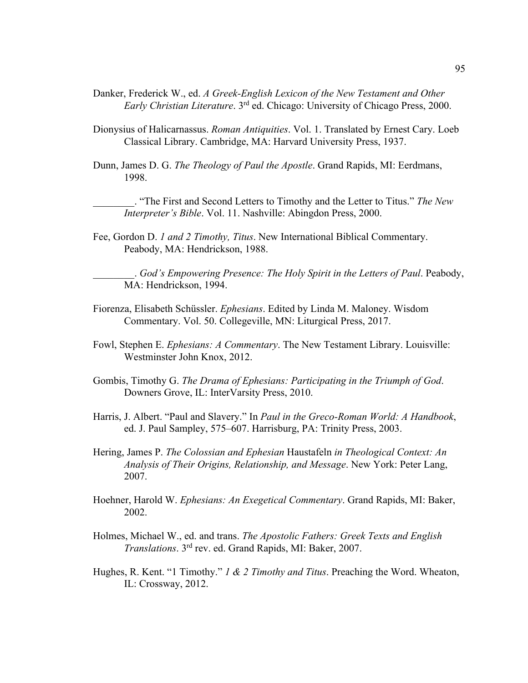- Danker, Frederick W., ed. *A Greek-English Lexicon of the New Testament and Other Early Christian Literature*. 3rd ed. Chicago: University of Chicago Press, 2000.
- Dionysius of Halicarnassus. *Roman Antiquities*. Vol. 1. Translated by Ernest Cary. Loeb Classical Library. Cambridge, MA: Harvard University Press, 1937.
- Dunn, James D. G. *The Theology of Paul the Apostle*. Grand Rapids, MI: Eerdmans, 1998.

\_\_\_\_\_\_\_\_. "The First and Second Letters to Timothy and the Letter to Titus." *The New Interpreter's Bible*. Vol. 11. Nashville: Abingdon Press, 2000.

Fee, Gordon D. *1 and 2 Timothy, Titus*. New International Biblical Commentary. Peabody, MA: Hendrickson, 1988.

\_\_\_\_\_\_\_\_. *God's Empowering Presence: The Holy Spirit in the Letters of Paul*. Peabody, MA: Hendrickson, 1994.

- Fiorenza, Elisabeth Schüssler. *Ephesians*. Edited by Linda M. Maloney. Wisdom Commentary. Vol. 50. Collegeville, MN: Liturgical Press, 2017.
- Fowl, Stephen E. *Ephesians: A Commentary*. The New Testament Library. Louisville: Westminster John Knox, 2012.
- Gombis, Timothy G. *The Drama of Ephesians: Participating in the Triumph of God*. Downers Grove, IL: InterVarsity Press, 2010.
- Harris, J. Albert. "Paul and Slavery." In *Paul in the Greco-Roman World: A Handbook*, ed. J. Paul Sampley, 575–607. Harrisburg, PA: Trinity Press, 2003.
- Hering, James P. *The Colossian and Ephesian* Haustafeln *in Theological Context: An Analysis of Their Origins, Relationship, and Message*. New York: Peter Lang, 2007.
- Hoehner, Harold W. *Ephesians: An Exegetical Commentary*. Grand Rapids, MI: Baker, 2002.
- Holmes, Michael W., ed. and trans. *The Apostolic Fathers: Greek Texts and English Translations*. 3rd rev. ed. Grand Rapids, MI: Baker, 2007.
- Hughes, R. Kent. "1 Timothy." *1 & 2 Timothy and Titus*. Preaching the Word. Wheaton, IL: Crossway, 2012.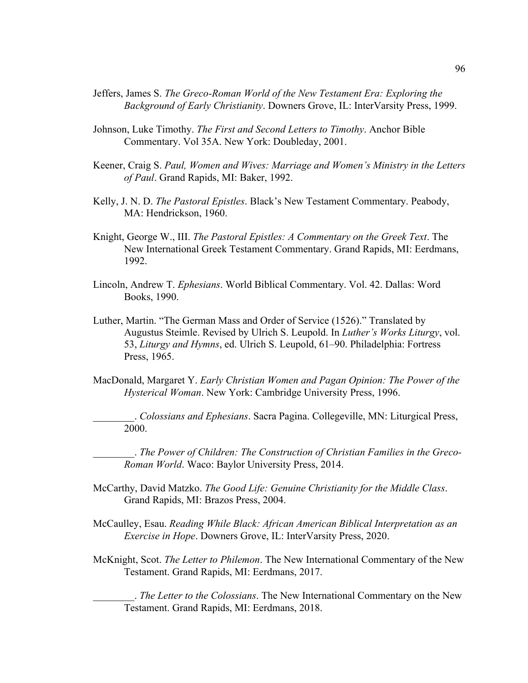- Jeffers, James S. *The Greco-Roman World of the New Testament Era: Exploring the Background of Early Christianity*. Downers Grove, IL: InterVarsity Press, 1999.
- Johnson, Luke Timothy. *The First and Second Letters to Timothy*. Anchor Bible Commentary. Vol 35A. New York: Doubleday, 2001.
- Keener, Craig S. *Paul, Women and Wives: Marriage and Women's Ministry in the Letters of Paul*. Grand Rapids, MI: Baker, 1992.
- Kelly, J. N. D. *The Pastoral Epistles*. Black's New Testament Commentary. Peabody, MA: Hendrickson, 1960.
- Knight, George W., III. *The Pastoral Epistles: A Commentary on the Greek Text*. The New International Greek Testament Commentary. Grand Rapids, MI: Eerdmans, 1992.
- Lincoln, Andrew T. *Ephesians*. World Biblical Commentary. Vol. 42. Dallas: Word Books, 1990.
- Luther, Martin. "The German Mass and Order of Service (1526)." Translated by Augustus Steimle. Revised by Ulrich S. Leupold. In *Luther's Works Liturgy*, vol. 53, *Liturgy and Hymns*, ed. Ulrich S. Leupold, 61–90. Philadelphia: Fortress Press, 1965.
- MacDonald, Margaret Y. *Early Christian Women and Pagan Opinion: The Power of the Hysterical Woman*. New York: Cambridge University Press, 1996.

\_\_\_\_\_\_\_\_. *Colossians and Ephesians*. Sacra Pagina. Collegeville, MN: Liturgical Press, 2000.

\_\_\_\_\_\_\_\_. *The Power of Children: The Construction of Christian Families in the Greco-Roman World*. Waco: Baylor University Press, 2014.

- McCarthy, David Matzko. *The Good Life: Genuine Christianity for the Middle Class*. Grand Rapids, MI: Brazos Press, 2004.
- McCaulley, Esau. *Reading While Black: African American Biblical Interpretation as an Exercise in Hope*. Downers Grove, IL: InterVarsity Press, 2020.
- McKnight, Scot. *The Letter to Philemon*. The New International Commentary of the New Testament. Grand Rapids, MI: Eerdmans, 2017.

\_\_\_\_\_\_\_\_. *The Letter to the Colossians*. The New International Commentary on the New Testament. Grand Rapids, MI: Eerdmans, 2018.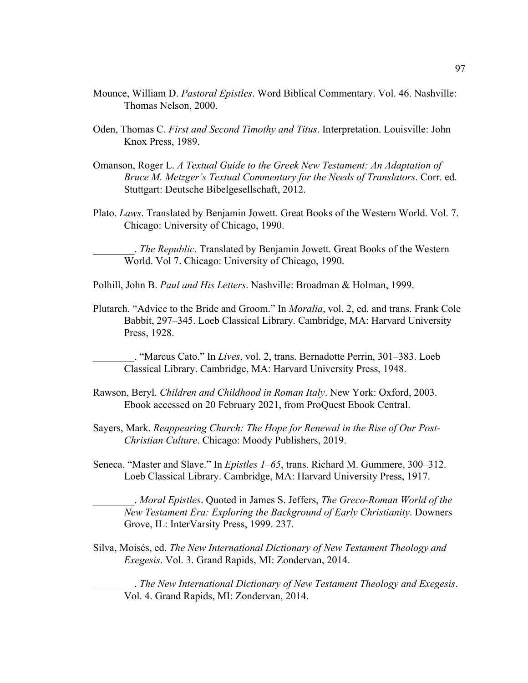- Mounce, William D. *Pastoral Epistles*. Word Biblical Commentary. Vol. 46. Nashville: Thomas Nelson, 2000.
- Oden, Thomas C. *First and Second Timothy and Titus*. Interpretation. Louisville: John Knox Press, 1989.
- Omanson, Roger L. *A Textual Guide to the Greek New Testament: An Adaptation of Bruce M. Metzger's Textual Commentary for the Needs of Translators*. Corr. ed. Stuttgart: Deutsche Bibelgesellschaft, 2012.
- Plato. *Laws*. Translated by Benjamin Jowett. Great Books of the Western World. Vol. 7. Chicago: University of Chicago, 1990.

\_\_\_\_\_\_\_\_. *The Republic*. Translated by Benjamin Jowett. Great Books of the Western World. Vol 7. Chicago: University of Chicago, 1990.

- Polhill, John B. *Paul and His Letters*. Nashville: Broadman & Holman, 1999.
- Plutarch. "Advice to the Bride and Groom." In *Moralia*, vol. 2, ed. and trans. Frank Cole Babbit, 297–345. Loeb Classical Library. Cambridge, MA: Harvard University Press, 1928.

\_\_\_\_\_\_\_\_. "Marcus Cato." In *Lives*, vol. 2, trans. Bernadotte Perrin, 301–383. Loeb Classical Library. Cambridge, MA: Harvard University Press, 1948.

- Rawson, Beryl. *Children and Childhood in Roman Italy*. New York: Oxford, 2003. Ebook accessed on 20 February 2021, from ProQuest Ebook Central.
- Sayers, Mark. *Reappearing Church: The Hope for Renewal in the Rise of Our Post-Christian Culture*. Chicago: Moody Publishers, 2019.
- Seneca. "Master and Slave." In *Epistles 1–65*, trans. Richard M. Gummere, 300–312. Loeb Classical Library. Cambridge, MA: Harvard University Press, 1917.

\_\_\_\_\_\_\_\_. *Moral Epistles*. Quoted in James S. Jeffers, *The Greco-Roman World of the New Testament Era: Exploring the Background of Early Christianity*. Downers Grove, IL: InterVarsity Press, 1999. 237.

Silva, Moisés, ed. *The New International Dictionary of New Testament Theology and Exegesis*. Vol. 3. Grand Rapids, MI: Zondervan, 2014.

\_\_\_\_\_\_\_\_. *The New International Dictionary of New Testament Theology and Exegesis*. Vol. 4. Grand Rapids, MI: Zondervan, 2014.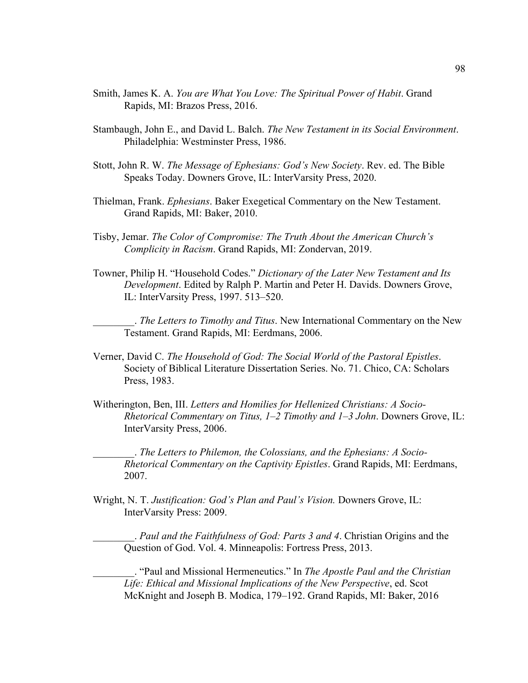- Smith, James K. A. *You are What You Love: The Spiritual Power of Habit*. Grand Rapids, MI: Brazos Press, 2016.
- Stambaugh, John E., and David L. Balch. *The New Testament in its Social Environment*. Philadelphia: Westminster Press, 1986.
- Stott, John R. W. *The Message of Ephesians: God's New Society*. Rev. ed. The Bible Speaks Today. Downers Grove, IL: InterVarsity Press, 2020.
- Thielman, Frank. *Ephesians*. Baker Exegetical Commentary on the New Testament. Grand Rapids, MI: Baker, 2010.
- Tisby, Jemar. *The Color of Compromise: The Truth About the American Church's Complicity in Racism*. Grand Rapids, MI: Zondervan, 2019.
- Towner, Philip H. "Household Codes." *Dictionary of the Later New Testament and Its Development*. Edited by Ralph P. Martin and Peter H. Davids. Downers Grove, IL: InterVarsity Press, 1997. 513–520.

\_\_\_\_\_\_\_\_. *The Letters to Timothy and Titus*. New International Commentary on the New Testament. Grand Rapids, MI: Eerdmans, 2006.

- Verner, David C. *The Household of God: The Social World of the Pastoral Epistles*. Society of Biblical Literature Dissertation Series. No. 71. Chico, CA: Scholars Press, 1983.
- Witherington, Ben, III. *Letters and Homilies for Hellenized Christians: A Socio-Rhetorical Commentary on Titus, 1–2 Timothy and 1–3 John*. Downers Grove, IL: InterVarsity Press, 2006.

\_\_\_\_\_\_\_\_. *The Letters to Philemon, the Colossians, and the Ephesians: A Socio-Rhetorical Commentary on the Captivity Epistles*. Grand Rapids, MI: Eerdmans, 2007.

Wright, N. T. *Justification: God's Plan and Paul's Vision.* Downers Grove, IL: InterVarsity Press: 2009.

\_\_\_\_\_\_\_\_. *Paul and the Faithfulness of God: Parts 3 and 4*. Christian Origins and the Question of God. Vol. 4. Minneapolis: Fortress Press, 2013.

\_\_\_\_\_\_\_\_. "Paul and Missional Hermeneutics." In *The Apostle Paul and the Christian Life: Ethical and Missional Implications of the New Perspective*, ed. Scot McKnight and Joseph B. Modica, 179–192. Grand Rapids, MI: Baker, 2016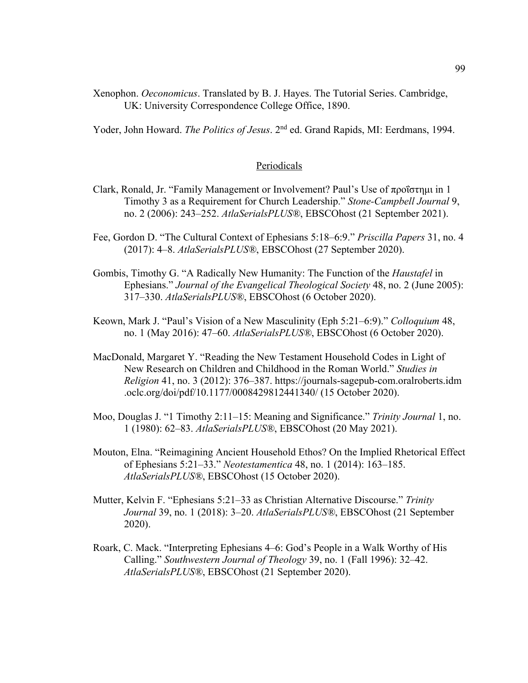Xenophon. *Oeconomicus*. Translated by B. J. Hayes. The Tutorial Series. Cambridge, UK: University Correspondence College Office, 1890.

Yoder, John Howard. *The Politics of Jesus*. 2nd ed. Grand Rapids, MI: Eerdmans, 1994.

## **Periodicals**

- Clark, Ronald, Jr. "Family Management or Involvement? Paul's Use of προΐστημι in 1 Timothy 3 as a Requirement for Church Leadership." *Stone-Campbell Journal* 9, no. 2 (2006): 243–252. *AtlaSerialsPLUS®*, EBSCOhost (21 September 2021).
- Fee, Gordon D. "The Cultural Context of Ephesians 5:18–6:9." *Priscilla Papers* 31, no. 4 (2017): 4–8. *AtlaSerialsPLUS®*, EBSCOhost (27 September 2020).
- Gombis, Timothy G. "A Radically New Humanity: The Function of the *Haustafel* in Ephesians." *Journal of the Evangelical Theological Society* 48, no. 2 (June 2005): 317–330. *AtlaSerialsPLUS®*, EBSCOhost (6 October 2020).
- Keown, Mark J. "Paul's Vision of a New Masculinity (Eph 5:21–6:9)." *Colloquium* 48, no. 1 (May 2016): 47–60. *AtlaSerialsPLUS®*, EBSCOhost (6 October 2020).
- MacDonald, Margaret Y. "Reading the New Testament Household Codes in Light of New Research on Children and Childhood in the Roman World." *Studies in Religion* 41, no. 3 (2012): 376–387. https://journals-sagepub-com.oralroberts.idm .oclc.org/doi/pdf/10.1177/0008429812441340/ (15 October 2020).
- Moo, Douglas J. "1 Timothy 2:11–15: Meaning and Significance." *Trinity Journal* 1, no. 1 (1980): 62–83. *AtlaSerialsPLUS®*, EBSCOhost (20 May 2021).
- Mouton, Elna. "Reimagining Ancient Household Ethos? On the Implied Rhetorical Effect of Ephesians 5:21–33." *Neotestamentica* 48, no. 1 (2014): 163–185. *AtlaSerialsPLUS®*, EBSCOhost (15 October 2020).
- Mutter, Kelvin F. "Ephesians 5:21–33 as Christian Alternative Discourse." *Trinity Journal* 39, no. 1 (2018): 3–20. *AtlaSerialsPLUS®*, EBSCOhost (21 September 2020).
- Roark, C. Mack. "Interpreting Ephesians 4–6: God's People in a Walk Worthy of His Calling." *Southwestern Journal of Theology* 39, no. 1 (Fall 1996): 32–42. *AtlaSerialsPLUS®*, EBSCOhost (21 September 2020).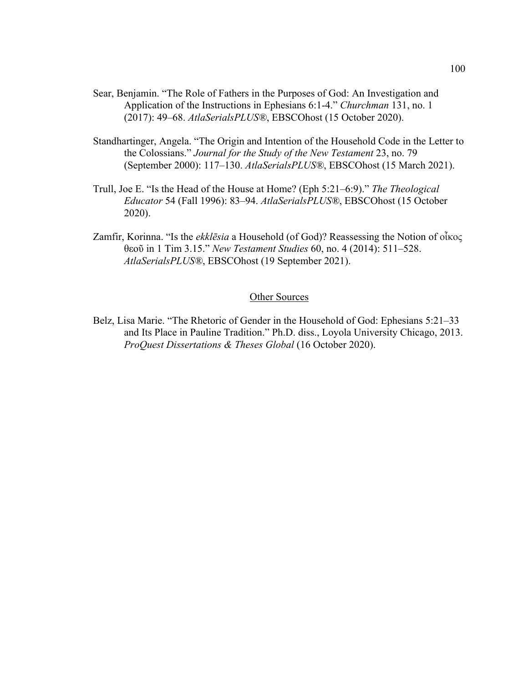- Sear, Benjamin. "The Role of Fathers in the Purposes of God: An Investigation and Application of the Instructions in Ephesians 6:1-4." *Churchman* 131, no. 1 (2017): 49–68. *AtlaSerialsPLUS®*, EBSCOhost (15 October 2020).
- Standhartinger, Angela. "The Origin and Intention of the Household Code in the Letter to the Colossians." *Journal for the Study of the New Testament* 23, no. 79 (September 2000): 117–130. *AtlaSerialsPLUS®*, EBSCOhost (15 March 2021).
- Trull, Joe E. "Is the Head of the House at Home? (Eph 5:21–6:9)." *The Theological Educator* 54 (Fall 1996): 83–94. *AtlaSerialsPLUS®*, EBSCOhost (15 October 2020).
- Zamfir, Korinna. "Is the *ekklēsia* a Household (of God)? Reassessing the Notion of οἶκος θεοῦ in 1 Tim 3.15." *New Testament Studies* 60, no. 4 (2014): 511–528. *AtlaSerialsPLUS®*, EBSCOhost (19 September 2021).

## Other Sources

Belz, Lisa Marie. "The Rhetoric of Gender in the Household of God: Ephesians 5:21–33 and Its Place in Pauline Tradition." Ph.D. diss., Loyola University Chicago, 2013. *ProQuest Dissertations & Theses Global* (16 October 2020).